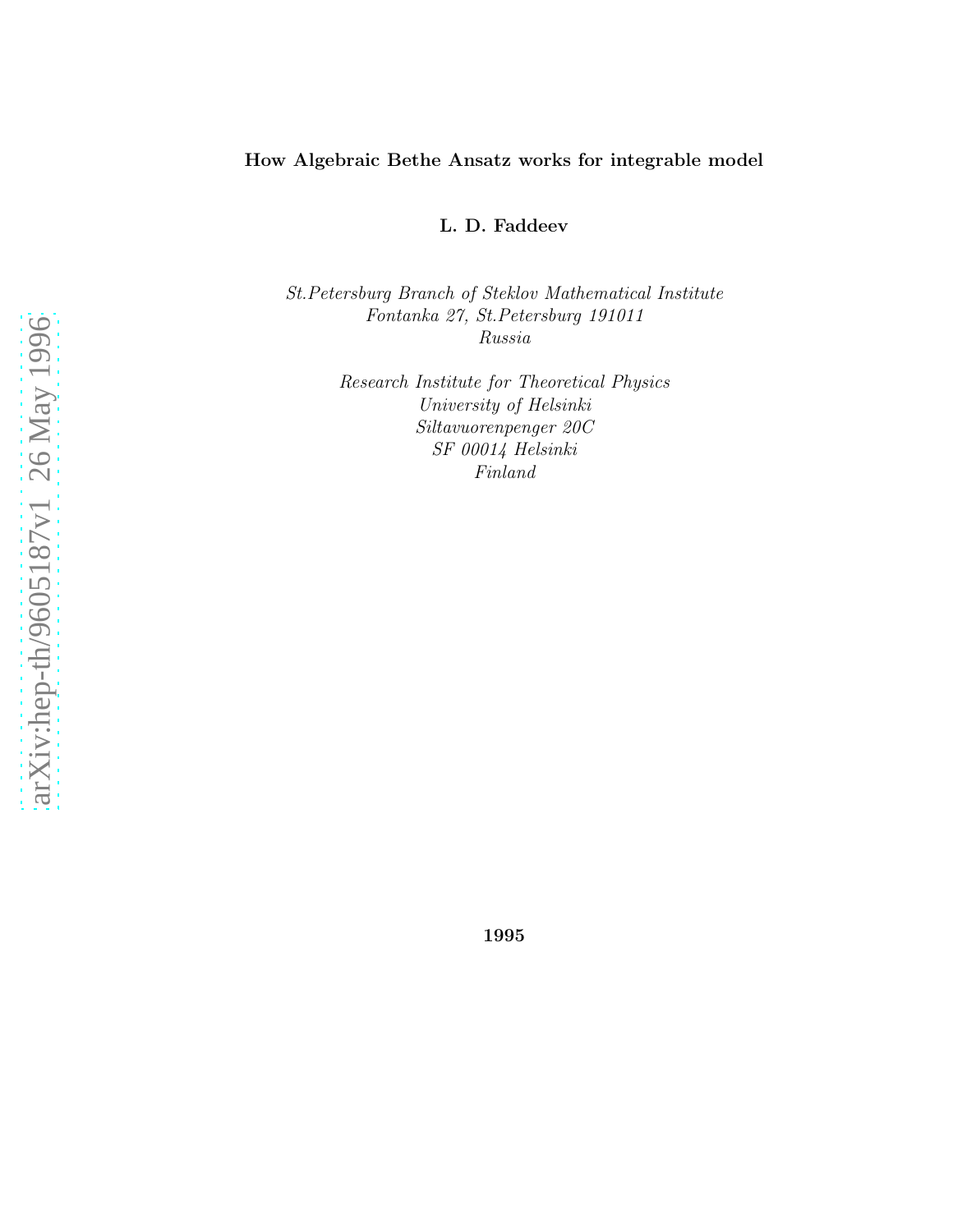#### How Algebraic Bethe Ansatz works for integrable model

L. D. Faddeev

St.Petersburg Branch of Steklov Mathematical Institute Fontanka 27, St.Petersburg 191011 Russia

> Research Institute for Theoretical Physics University of Helsinki Siltavuorenpenger 20C SF 00014 Helsinki Finland

1995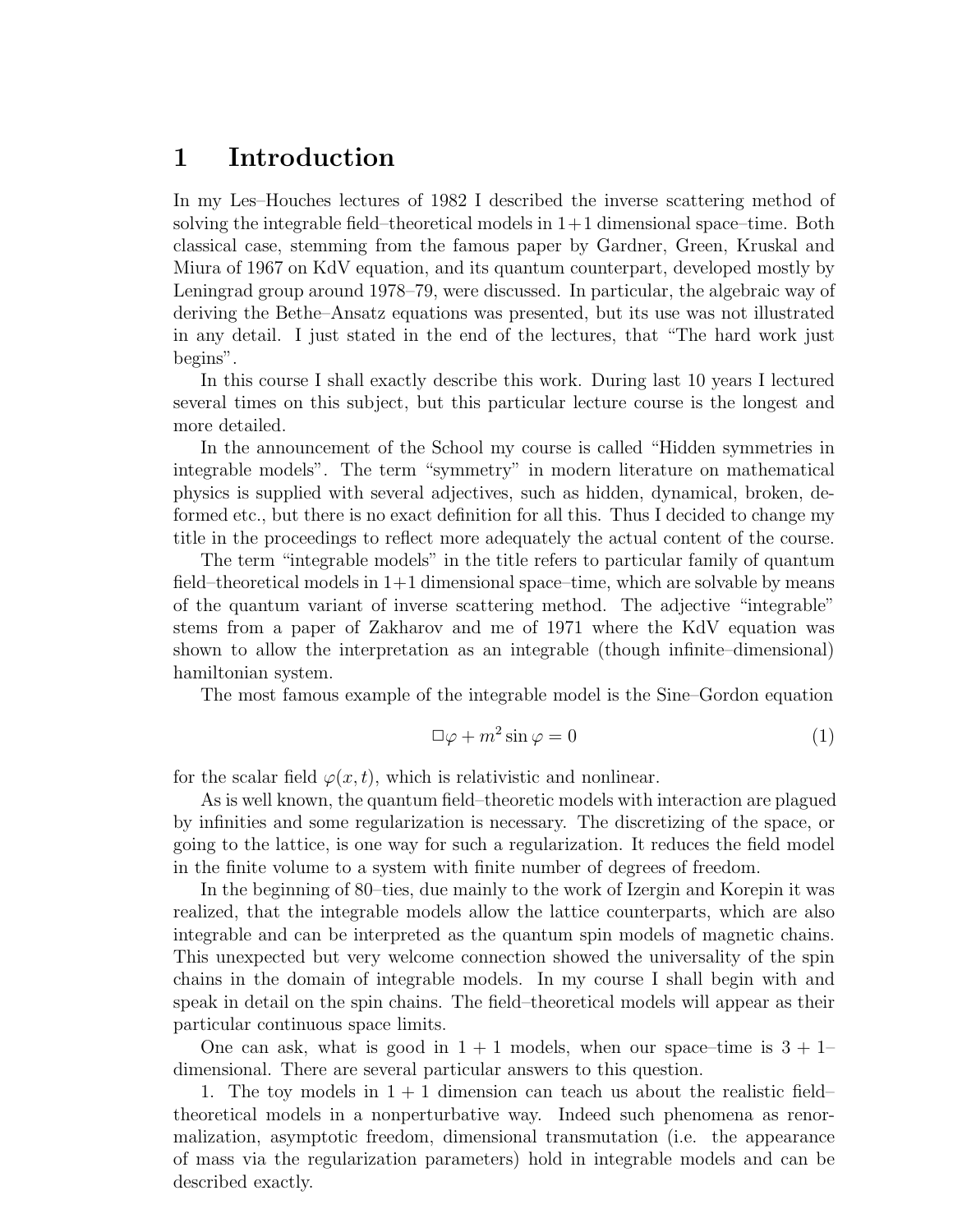#### <span id="page-1-0"></span>1 Introduction

In my Les–Houches lectures of 1982 I described the inverse scattering method of solving the integrable field–theoretical models in  $1+1$  dimensional space–time. Both classical case, stemming from the famous paper by Gardner, Green, Kruskal and Miura of 1967 on KdV equation, and its quantum counterpart, developed mostly by Leningrad group around 1978–79, were discussed. In particular, the algebraic way of deriving the Bethe–Ansatz equations was presented, but its use was not illustrated in any detail. I just stated in the end of the lectures, that "The hard work just begins".

In this course I shall exactly describe this work. During last 10 years I lectured several times on this subject, but this particular lecture course is the longest and more detailed.

In the announcement of the School my course is called "Hidden symmetries in integrable models". The term "symmetry" in modern literature on mathematical physics is supplied with several adjectives, such as hidden, dynamical, broken, deformed etc., but there is no exact definition for all this. Thus I decided to change my title in the proceedings to reflect more adequately the actual content of the course.

The term "integrable models" in the title refers to particular family of quantum field–theoretical models in  $1+1$  dimensional space–time, which are solvable by means of the quantum variant of inverse scattering method. The adjective "integrable" stems from a paper of Zakharov and me of 1971 where the KdV equation was shown to allow the interpretation as an integrable (though infinite–dimensional) hamiltonian system.

The most famous example of the integrable model is the Sine–Gordon equation

$$
\Box \varphi + m^2 \sin \varphi = 0 \tag{1}
$$

for the scalar field  $\varphi(x, t)$ , which is relativistic and nonlinear.

As is well known, the quantum field–theoretic models with interaction are plagued by infinities and some regularization is necessary. The discretizing of the space, or going to the lattice, is one way for such a regularization. It reduces the field model in the finite volume to a system with finite number of degrees of freedom.

In the beginning of 80–ties, due mainly to the work of Izergin and Korepin it was realized, that the integrable models allow the lattice counterparts, which are also integrable and can be interpreted as the quantum spin models of magnetic chains. This unexpected but very welcome connection showed the universality of the spin chains in the domain of integrable models. In my course I shall begin with and speak in detail on the spin chains. The field–theoretical models will appear as their particular continuous space limits.

One can ask, what is good in  $1 + 1$  models, when our space–time is  $3 + 1$ – dimensional. There are several particular answers to this question.

1. The toy models in  $1 + 1$  dimension can teach us about the realistic field– theoretical models in a nonperturbative way. Indeed such phenomena as renormalization, asymptotic freedom, dimensional transmutation (i.e. the appearance of mass via the regularization parameters) hold in integrable models and can be described exactly.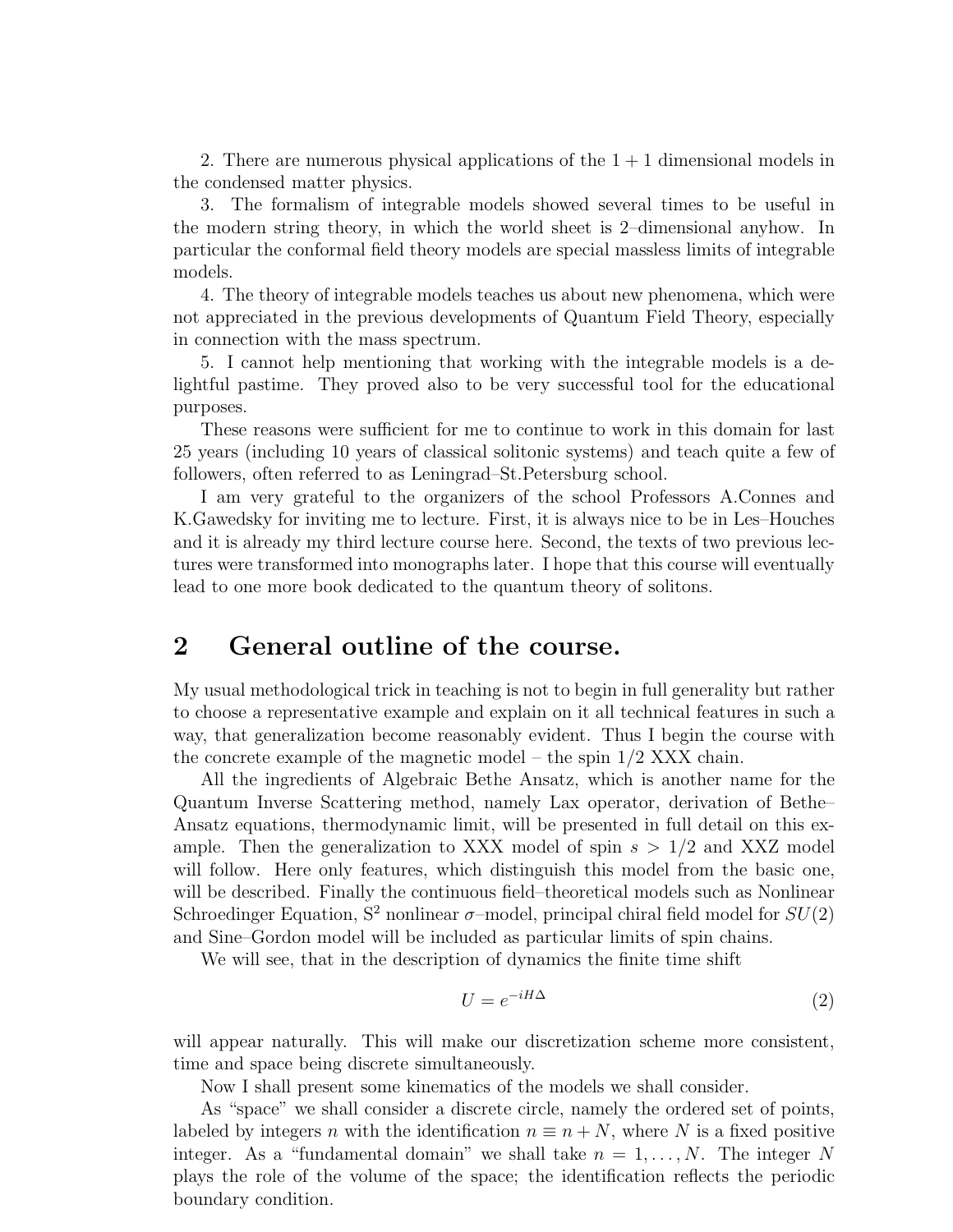<span id="page-2-0"></span>2. There are numerous physical applications of the  $1 + 1$  dimensional models in the condensed matter physics.

3. The formalism of integrable models showed several times to be useful in the modern string theory, in which the world sheet is 2–dimensional anyhow. In particular the conformal field theory models are special massless limits of integrable models.

4. The theory of integrable models teaches us about new phenomena, which were not appreciated in the previous developments of Quantum Field Theory, especially in connection with the mass spectrum.

5. I cannot help mentioning that working with the integrable models is a delightful pastime. They proved also to be very successful tool for the educational purposes.

These reasons were sufficient for me to continue to work in this domain for last 25 years (including 10 years of classical solitonic systems) and teach quite a few of followers, often referred to as Leningrad–St.Petersburg school.

I am very grateful to the organizers of the school Professors A.Connes and K.Gawedsky for inviting me to lecture. First, it is always nice to be in Les–Houches and it is already my third lecture course here. Second, the texts of two previous lectures were transformed into monographs later. I hope that this course will eventually lead to one more book dedicated to the quantum theory of solitons.

#### 2 General outline of the course.

My usual methodological trick in teaching is not to begin in full generality but rather to choose a representative example and explain on it all technical features in such a way, that generalization become reasonably evident. Thus I begin the course with the concrete example of the magnetic model – the spin  $1/2$  XXX chain.

All the ingredients of Algebraic Bethe Ansatz, which is another name for the Quantum Inverse Scattering method, namely Lax operator, derivation of Bethe– Ansatz equations, thermodynamic limit, will be presented in full detail on this example. Then the generalization to XXX model of spin  $s > 1/2$  and XXZ model will follow. Here only features, which distinguish this model from the basic one, will be described. Finally the continuous field–theoretical models such as Nonlinear Schroedinger Equation,  $S^2$  nonlinear  $\sigma$ -model, principal chiral field model for  $SU(2)$ and Sine–Gordon model will be included as particular limits of spin chains.

We will see, that in the description of dynamics the finite time shift

$$
U = e^{-iH\Delta} \tag{2}
$$

will appear naturally. This will make our discretization scheme more consistent, time and space being discrete simultaneously.

Now I shall present some kinematics of the models we shall consider.

As "space" we shall consider a discrete circle, namely the ordered set of points, labeled by integers n with the identification  $n \equiv n + N$ , where N is a fixed positive integer. As a "fundamental domain" we shall take  $n = 1, \ldots, N$ . The integer N plays the role of the volume of the space; the identification reflects the periodic boundary condition.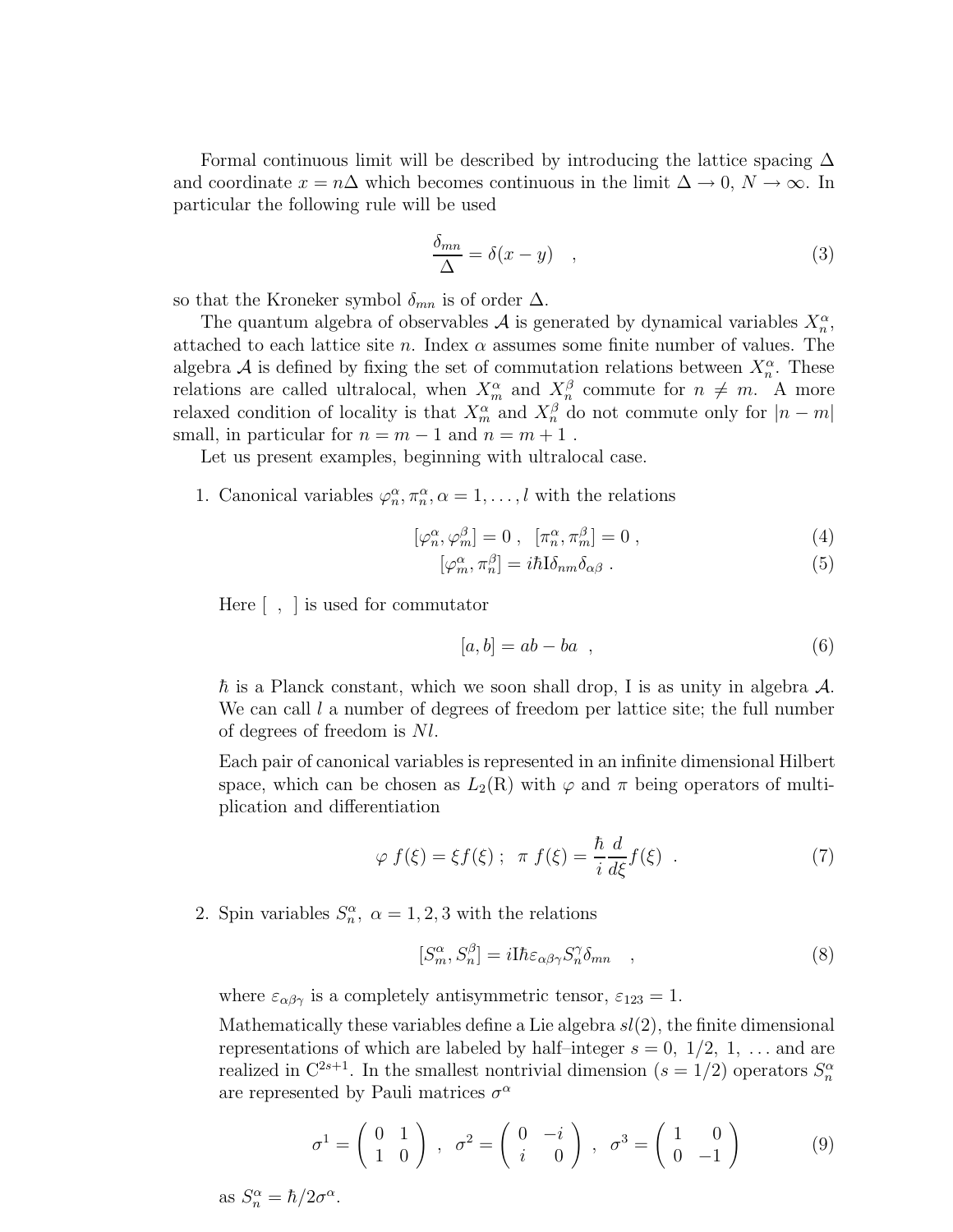Formal continuous limit will be described by introducing the lattice spacing  $\Delta$ and coordinate  $x = n\Delta$  which becomes continuous in the limit  $\Delta \to 0$ ,  $N \to \infty$ . In particular the following rule will be used

$$
\frac{\delta_{mn}}{\Delta} = \delta(x - y) \quad , \tag{3}
$$

so that the Kroneker symbol  $\delta_{mn}$  is of order  $\Delta$ .

The quantum algebra of observables  $A$  is generated by dynamical variables  $X_n^{\alpha}$ , attached to each lattice site n. Index  $\alpha$  assumes some finite number of values. The algebra A is defined by fixing the set of commutation relations between  $X_n^{\alpha}$ . These relations are called ultralocal, when  $X_m^{\alpha}$  and  $X_n^{\beta}$  commute for  $n \neq m$ . A more relaxed condition of locality is that  $X_m^{\alpha}$  and  $X_n^{\beta}$  do not commute only for  $|n - m|$ small, in particular for  $n = m - 1$  and  $n = m + 1$ .

Let us present examples, beginning with ultralocal case.

1. Canonical variables  $\varphi_n^{\alpha}, \pi_n^{\alpha}, \alpha = 1, \ldots, l$  with the relations

$$
[\varphi_n^{\alpha}, \varphi_m^{\beta}] = 0 , \quad [\pi_n^{\alpha}, \pi_m^{\beta}] = 0 , \tag{4}
$$

$$
[\varphi_m^{\alpha}, \pi_n^{\beta}] = i\hbar I \delta_{nm} \delta_{\alpha\beta} . \tag{5}
$$

Here [ , ] is used for commutator

$$
[a, b] = ab - ba \quad , \tag{6}
$$

 $\hbar$  is a Planck constant, which we soon shall drop, I is as unity in algebra  $\mathcal{A}$ . We can call  $l$  a number of degrees of freedom per lattice site; the full number of degrees of freedom is Nl.

Each pair of canonical variables is represented in an infinite dimensional Hilbert space, which can be chosen as  $L_2(R)$  with  $\varphi$  and  $\pi$  being operators of multiplication and differentiation

$$
\varphi f(\xi) = \xi f(\xi) \; ; \; \; \pi f(\xi) = \frac{\hbar}{i} \frac{d}{d\xi} f(\xi) \; . \tag{7}
$$

2. Spin variables  $S_n^{\alpha}$ ,  $\alpha = 1, 2, 3$  with the relations

$$
[S_m^{\alpha}, S_n^{\beta}] = iI\hbar \varepsilon_{\alpha\beta\gamma} S_n^{\gamma} \delta_{mn} \quad , \tag{8}
$$

where  $\varepsilon_{\alpha\beta\gamma}$  is a completely antisymmetric tensor,  $\varepsilon_{123} = 1$ .

Mathematically these variables define a Lie algebra  $sl(2)$ , the finite dimensional representations of which are labeled by half-integer  $s = 0, 1/2, 1, \ldots$  and are realized in  $\mathbb{C}^{2s+1}$ . In the smallest nontrivial dimension  $(s = 1/2)$  operators  $S_n^{\alpha}$ are represented by Pauli matrices  $\sigma^{\alpha}$ 

$$
\sigma^1 = \begin{pmatrix} 0 & 1 \\ 1 & 0 \end{pmatrix} , \quad \sigma^2 = \begin{pmatrix} 0 & -i \\ i & 0 \end{pmatrix} , \quad \sigma^3 = \begin{pmatrix} 1 & 0 \\ 0 & -1 \end{pmatrix} \tag{9}
$$

as  $S_n^{\alpha} = \hbar/2\sigma^{\alpha}$ .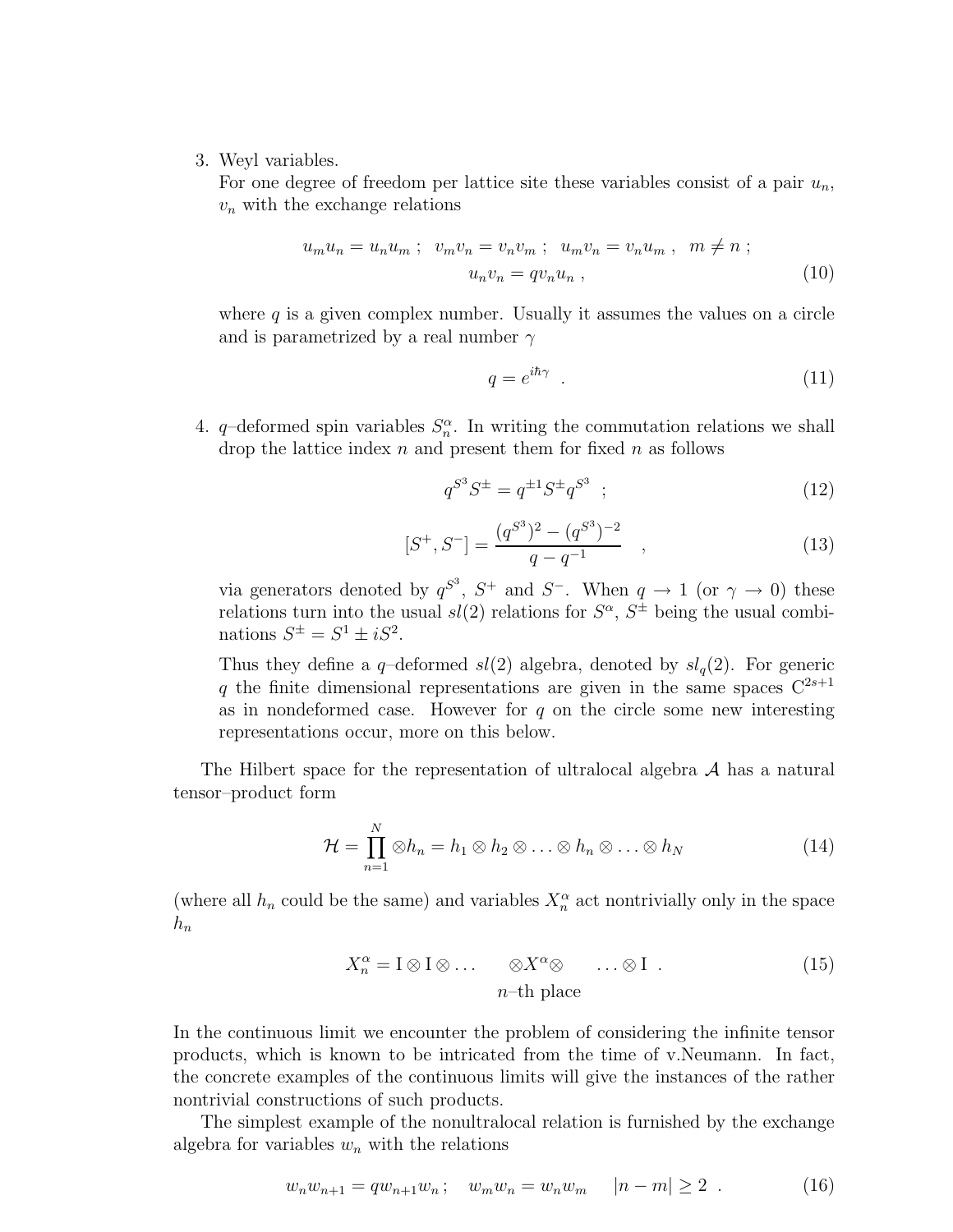<span id="page-4-0"></span>3. Weyl variables.

For one degree of freedom per lattice site these variables consist of a pair  $u_n$ ,  $v_n$  with the exchange relations

$$
u_m u_n = u_n u_m ; \quad v_m v_n = v_n v_m ; \quad u_m v_n = v_n u_m , \quad m \neq n ;
$$
  

$$
u_n v_n = q v_n u_n , \tag{10}
$$

where  $q$  is a given complex number. Usually it assumes the values on a circle and is parametrized by a real number  $\gamma$ 

$$
q = e^{i\hbar\gamma} \tag{11}
$$

4. q-deformed spin variables  $S_n^{\alpha}$ . In writing the commutation relations we shall drop the lattice index  $n$  and present them for fixed  $n$  as follows

$$
q^{S^3} S^{\pm} = q^{\pm 1} S^{\pm} q^{S^3} \quad ; \tag{12}
$$

$$
[S^+, S^-] = \frac{(q^{S^3})^2 - (q^{S^3})^{-2}}{q - q^{-1}} , \qquad (13)
$$

via generators denoted by  $q^{S^3}$ ,  $S^+$  and  $S^-$ . When  $q \to 1$  (or  $\gamma \to 0$ ) these relations turn into the usual  $sl(2)$  relations for  $S^{\alpha}$ ,  $S^{\pm}$  being the usual combinations  $S^{\pm} = S^1 \pm iS^2$ .

Thus they define a q-deformed  $sl(2)$  algebra, denoted by  $sl_q(2)$ . For generic q the finite dimensional representations are given in the same spaces  $C^{2s+1}$ as in nondeformed case. However for  $q$  on the circle some new interesting representations occur, more on this below.

The Hilbert space for the representation of ultralocal algebra  $A$  has a natural tensor–product form

$$
\mathcal{H} = \prod_{n=1}^{N} \otimes h_n = h_1 \otimes h_2 \otimes \ldots \otimes h_n \otimes \ldots \otimes h_N
$$
 (14)

(where all  $h_n$  could be the same) and variables  $X_n^{\alpha}$  act nontrivially only in the space  $h_n$ 

$$
X_n^{\alpha} = \mathbf{I} \otimes \mathbf{I} \otimes \dots \otimes X^{\alpha} \otimes \dots \otimes \mathbf{I} . \tag{15}
$$
  

$$
n-\text{th place}
$$

In the continuous limit we encounter the problem of considering the infinite tensor products, which is known to be intricated from the time of v.Neumann. In fact, the concrete examples of the continuous limits will give the instances of the rather nontrivial constructions of such products.

The simplest example of the nonultralocal relation is furnished by the exchange algebra for variables  $w_n$  with the relations

$$
w_n w_{n+1} = q w_{n+1} w_n; \quad w_m w_n = w_n w_m \quad |n - m| \ge 2 \tag{16}
$$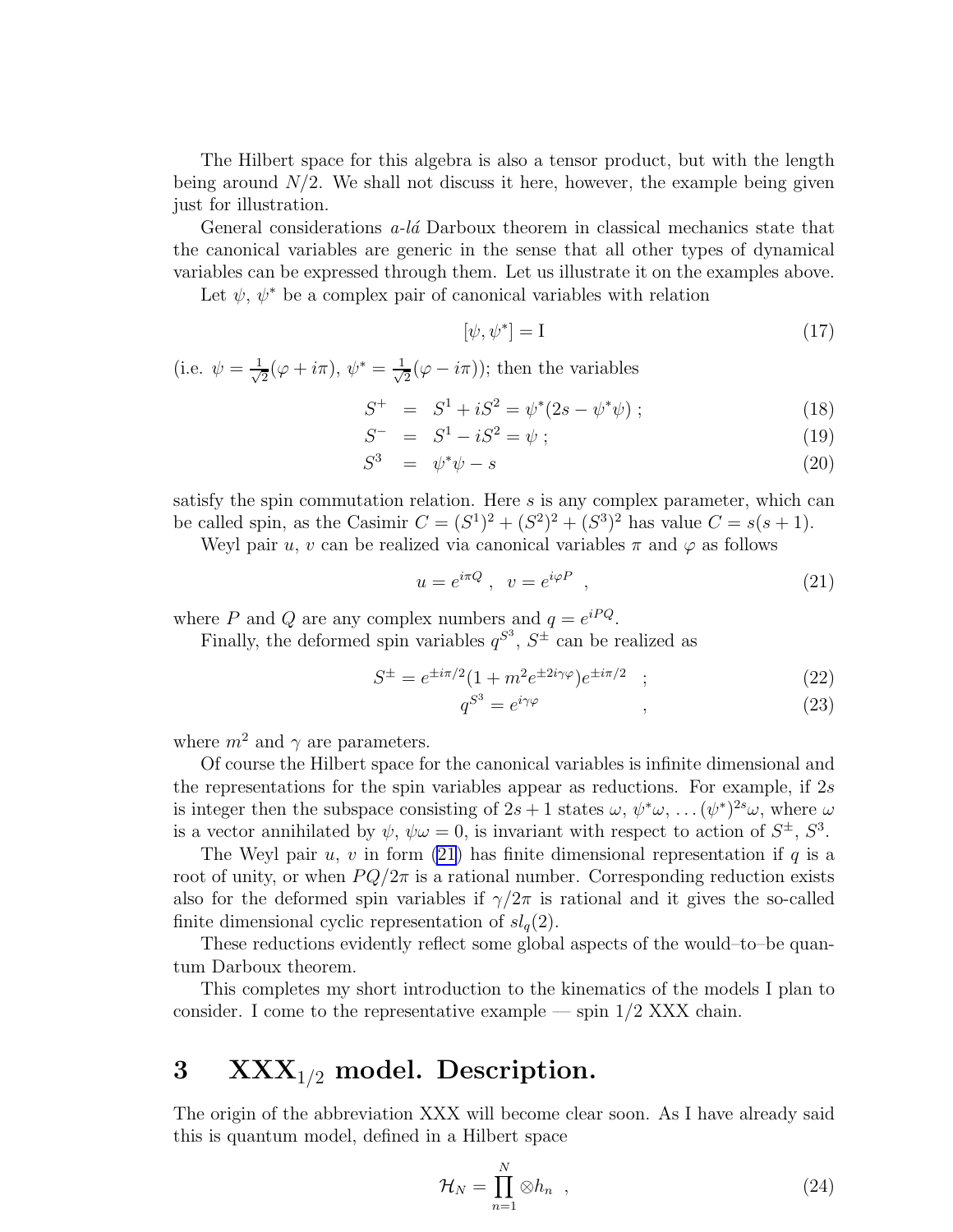<span id="page-5-0"></span>The Hilbert space for this algebra is also a tensor product, but with the length being around  $N/2$ . We shall not discuss it here, however, the example being given just for illustration.

General considerations  $a$ -la Darboux theorem in classical mechanics state that the canonical variables are generic in the sense that all other types of dynamical variables can be expressed through them. Let us illustrate it on the examples above.

Let  $\psi$ ,  $\psi^*$  be a complex pair of canonical variables with relation

$$
[\psi, \psi^*] = I \tag{17}
$$

(i.e.  $\psi = \frac{1}{\sqrt{2}}$  $\frac{1}{2}(\varphi+i\pi),\,\psi^*=\frac{1}{\sqrt{2}}$  $\frac{1}{2}(\varphi - i\pi)$ ; then the variables

$$
S^{+} = S^{1} + iS^{2} = \psi^{*}(2s - \psi^{*}\psi) ; \qquad (18)
$$

$$
S^- = S^1 - iS^2 = \psi \tag{19}
$$

$$
S^3 = \psi^* \psi - s \tag{20}
$$

satisfy the spin commutation relation. Here  $s$  is any complex parameter, which can be called spin, as the Casimir  $C = (S^1)^2 + (S^2)^2 + (S^3)^2$  has value  $C = s(s + 1)$ .

Weyl pair u, v can be realized via canonical variables  $\pi$  and  $\varphi$  as follows

$$
u = e^{i\pi Q}, \quad v = e^{i\varphi P} \quad , \tag{21}
$$

where P and Q are any complex numbers and  $q = e^{iPQ}$ .

Finally, the deformed spin variables  $q^{S^3}$ ,  $S^{\pm}$  can be realized as

$$
S^{\pm} = e^{\pm i\pi/2} (1 + m^2 e^{\pm 2i\gamma\varphi}) e^{\pm i\pi/2} \quad ; \tag{22}
$$

$$
q^{S^3} = e^{i\gamma\varphi} \tag{23}
$$

where  $m^2$  and  $\gamma$  are parameters.

Of course the Hilbert space for the canonical variables is infinite dimensional and the representations for the spin variables appear as reductions. For example, if 2s is integer then the subspace consisting of  $2s + 1$  states  $\omega, \psi^* \omega, \ldots (\psi^*)^{2s} \omega$ , where  $\omega$ is a vector annihilated by  $\psi$ ,  $\psi \omega = 0$ , is invariant with respect to action of  $S^{\pm}$ ,  $S^3$ .

The Weyl pair  $u, v$  in form (21) has finite dimensional representation if q is a root of unity, or when  $PQ/2\pi$  is a rational number. Corresponding reduction exists also for the deformed spin variables if  $\gamma/2\pi$  is rational and it gives the so-called finite dimensional cyclic representation of  $sl_q(2)$ .

These reductions evidently reflect some global aspects of the would–to–be quantum Darboux theorem.

This completes my short introduction to the kinematics of the models I plan to consider. I come to the representative example — spin  $1/2$  XXX chain.

### 3  $\text{XXX}_{1/2}$  model. Description.

The origin of the abbreviation XXX will become clear soon. As I have already said this is quantum model, defined in a Hilbert space

$$
\mathcal{H}_N = \prod_{n=1}^N \otimes h_n \quad , \tag{24}
$$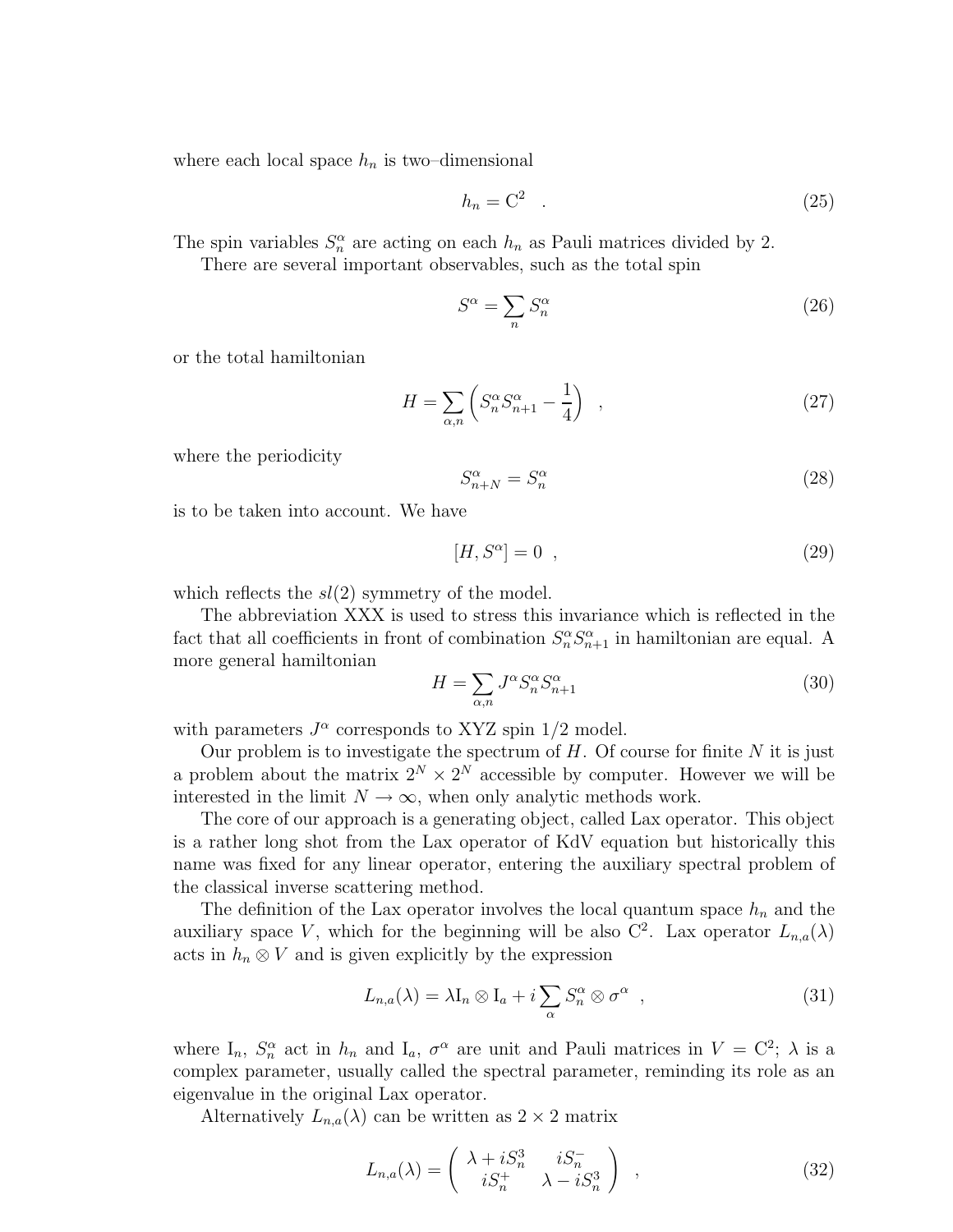<span id="page-6-0"></span>where each local space  $h_n$  is two–dimensional

$$
h_n = \mathcal{C}^2 \quad . \tag{25}
$$

The spin variables  $S_n^{\alpha}$  are acting on each  $h_n$  as Pauli matrices divided by 2.

There are several important observables, such as the total spin

$$
S^{\alpha} = \sum_{n} S^{\alpha}_{n} \tag{26}
$$

or the total hamiltonian

$$
H = \sum_{\alpha,n} \left( S_n^{\alpha} S_{n+1}^{\alpha} - \frac{1}{4} \right) \quad , \tag{27}
$$

where the periodicity

$$
S_{n+N}^{\alpha} = S_n^{\alpha} \tag{28}
$$

is to be taken into account. We have

$$
[H, S^{\alpha}] = 0 \quad , \tag{29}
$$

which reflects the  $sl(2)$  symmetry of the model.

The abbreviation XXX is used to stress this invariance which is reflected in the fact that all coefficients in front of combination  $S_n^{\alpha} S_{n+1}^{\alpha}$  in hamiltonian are equal. A more general hamiltonian

$$
H = \sum_{\alpha,n} J^{\alpha} S_n^{\alpha} S_{n+1}^{\alpha} \tag{30}
$$

with parameters  $J^{\alpha}$  corresponds to XYZ spin 1/2 model.

Our problem is to investigate the spectrum of  $H$ . Of course for finite  $N$  it is just a problem about the matrix  $2^N \times 2^N$  accessible by computer. However we will be interested in the limit  $N \to \infty$ , when only analytic methods work.

The core of our approach is a generating object, called Lax operator. This object is a rather long shot from the Lax operator of KdV equation but historically this name was fixed for any linear operator, entering the auxiliary spectral problem of the classical inverse scattering method.

The definition of the Lax operator involves the local quantum space  $h_n$  and the auxiliary space V, which for the beginning will be also  $C^2$ . Lax operator  $L_{n,a}(\lambda)$ acts in  $h_n \otimes V$  and is given explicitly by the expression

$$
L_{n,a}(\lambda) = \lambda I_n \otimes I_a + i \sum_{\alpha} S_n^{\alpha} \otimes \sigma^{\alpha} , \qquad (31)
$$

where  $I_n$ ,  $S_n^{\alpha}$  act in  $h_n$  and  $I_a$ ,  $\sigma^{\alpha}$  are unit and Pauli matrices in  $V = C^2$ ;  $\lambda$  is a complex parameter, usually called the spectral parameter, reminding its role as an eigenvalue in the original Lax operator.

Alternatively  $L_{n,a}(\lambda)$  can be written as  $2 \times 2$  matrix

$$
L_{n,a}(\lambda) = \begin{pmatrix} \lambda + iS_n^3 & iS_n^- \\ iS_n^+ & \lambda - iS_n^3 \end{pmatrix} , \qquad (32)
$$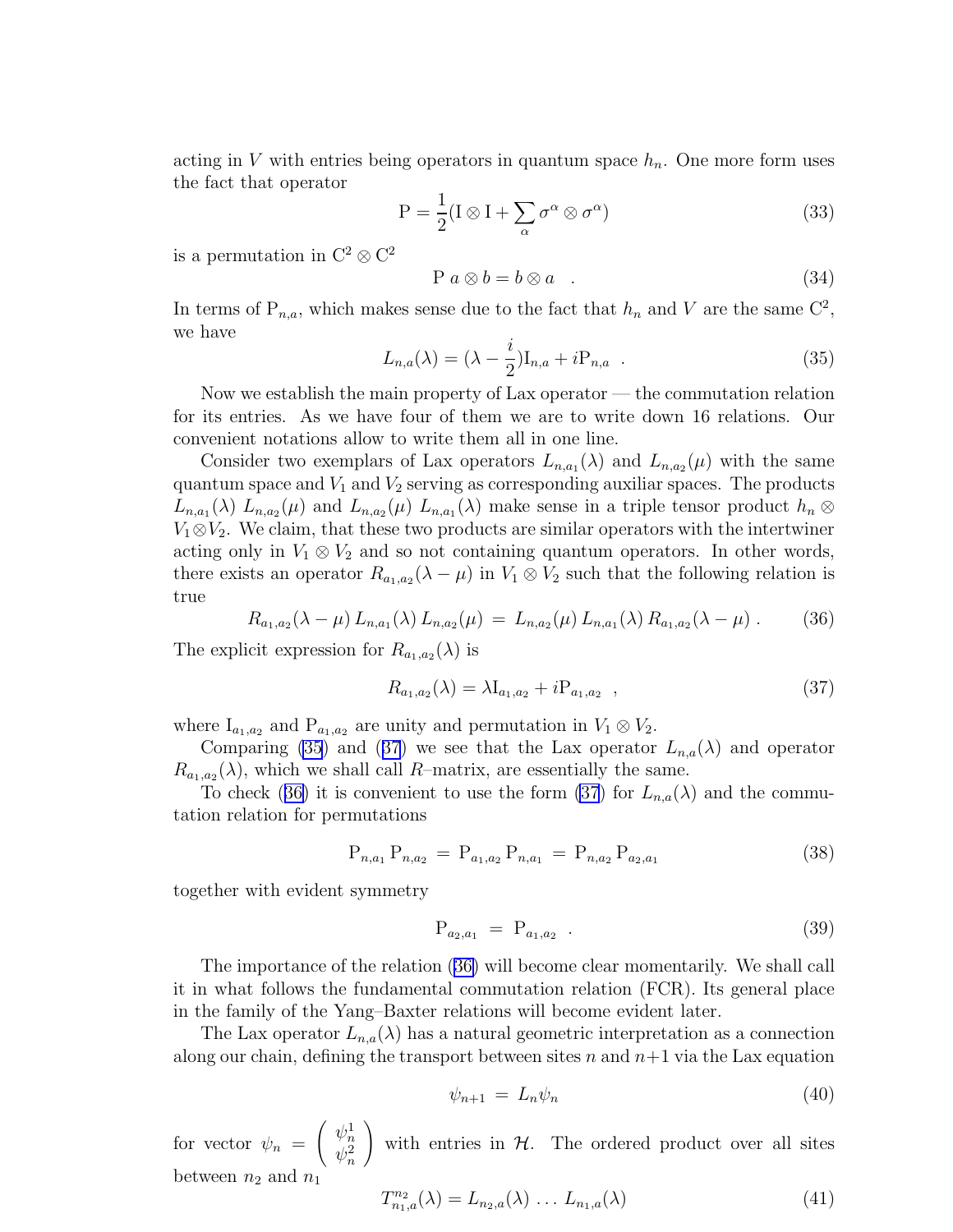<span id="page-7-0"></span>acting in V with entries being operators in quantum space  $h_n$ . One more form uses the fact that operator

$$
P = \frac{1}{2}(I \otimes I + \sum_{\alpha} \sigma^{\alpha} \otimes \sigma^{\alpha})
$$
\n(33)

is a permutation in  $C^2 \otimes C^2$ 

$$
P \ a \otimes b = b \otimes a \quad . \tag{34}
$$

In terms of  $P_{n,a}$ , which makes sense due to the fact that  $h_n$  and V are the same  $C^2$ , we have

$$
L_{n,a}(\lambda) = (\lambda - \frac{i}{2})I_{n,a} + iP_{n,a} . \qquad (35)
$$

Now we establish the main property of Lax operator — the commutation relation for its entries. As we have four of them we are to write down 16 relations. Our convenient notations allow to write them all in one line.

Consider two exemplars of Lax operators  $L_{n,a_1}(\lambda)$  and  $L_{n,a_2}(\mu)$  with the same quantum space and  $V_1$  and  $V_2$  serving as corresponding auxiliar spaces. The products  $L_{n,a_1}(\lambda) L_{n,a_2}(\mu)$  and  $L_{n,a_2}(\mu) L_{n,a_1}(\lambda)$  make sense in a triple tensor product  $h_n \otimes$  $V_1 \otimes V_2$ . We claim, that these two products are similar operators with the intertwiner acting only in  $V_1 \otimes V_2$  and so not containing quantum operators. In other words, there exists an operator  $R_{a_1,a_2}(\lambda - \mu)$  in  $V_1 \otimes V_2$  such that the following relation is true

$$
R_{a_1,a_2}(\lambda-\mu) L_{n,a_1}(\lambda) L_{n,a_2}(\mu) = L_{n,a_2}(\mu) L_{n,a_1}(\lambda) R_{a_1,a_2}(\lambda-\mu) . \tag{36}
$$

The explicit expression for  $R_{a_1,a_2}(\lambda)$  is

$$
R_{a_1,a_2}(\lambda) = \lambda I_{a_1,a_2} + i P_{a_1,a_2} \quad , \tag{37}
$$

where  $I_{a_1,a_2}$  and  $P_{a_1,a_2}$  are unity and permutation in  $V_1 \otimes V_2$ .

Comparing (35) and (37) we see that the Lax operator  $L_{n,a}(\lambda)$  and operator  $R_{a_1,a_2}(\lambda)$ , which we shall call R-matrix, are essentially the same.

To check (36) it is convenient to use the form (37) for  $L_{n,a}(\lambda)$  and the commutation relation for permutations

$$
P_{n,a_1} P_{n,a_2} = P_{a_1,a_2} P_{n,a_1} = P_{n,a_2} P_{a_2,a_1}
$$
 (38)

together with evident symmetry

$$
P_{a_2, a_1} = P_{a_1, a_2} \tag{39}
$$

The importance of the relation (36) will become clear momentarily. We shall call it in what follows the fundamental commutation relation (FCR). Its general place in the family of the Yang–Baxter relations will become evident later.

The Lax operator  $L_{n,a}(\lambda)$  has a natural geometric interpretation as a connection along our chain, defining the transport between sites n and  $n+1$  via the Lax equation

$$
\psi_{n+1} = L_n \psi_n \tag{40}
$$

for vector  $\psi_n =$  $\left( \begin{array}{c} \psi_n^1 \\ \end{array} \right)$  $\psi_n^2$ ! with entries in  $H$ . The ordered product over all sites between  $n_2$  and  $n_1$ 

$$
T_{n_1,a}^{n_2}(\lambda) = L_{n_2,a}(\lambda) \dots L_{n_1,a}(\lambda)
$$
\n(41)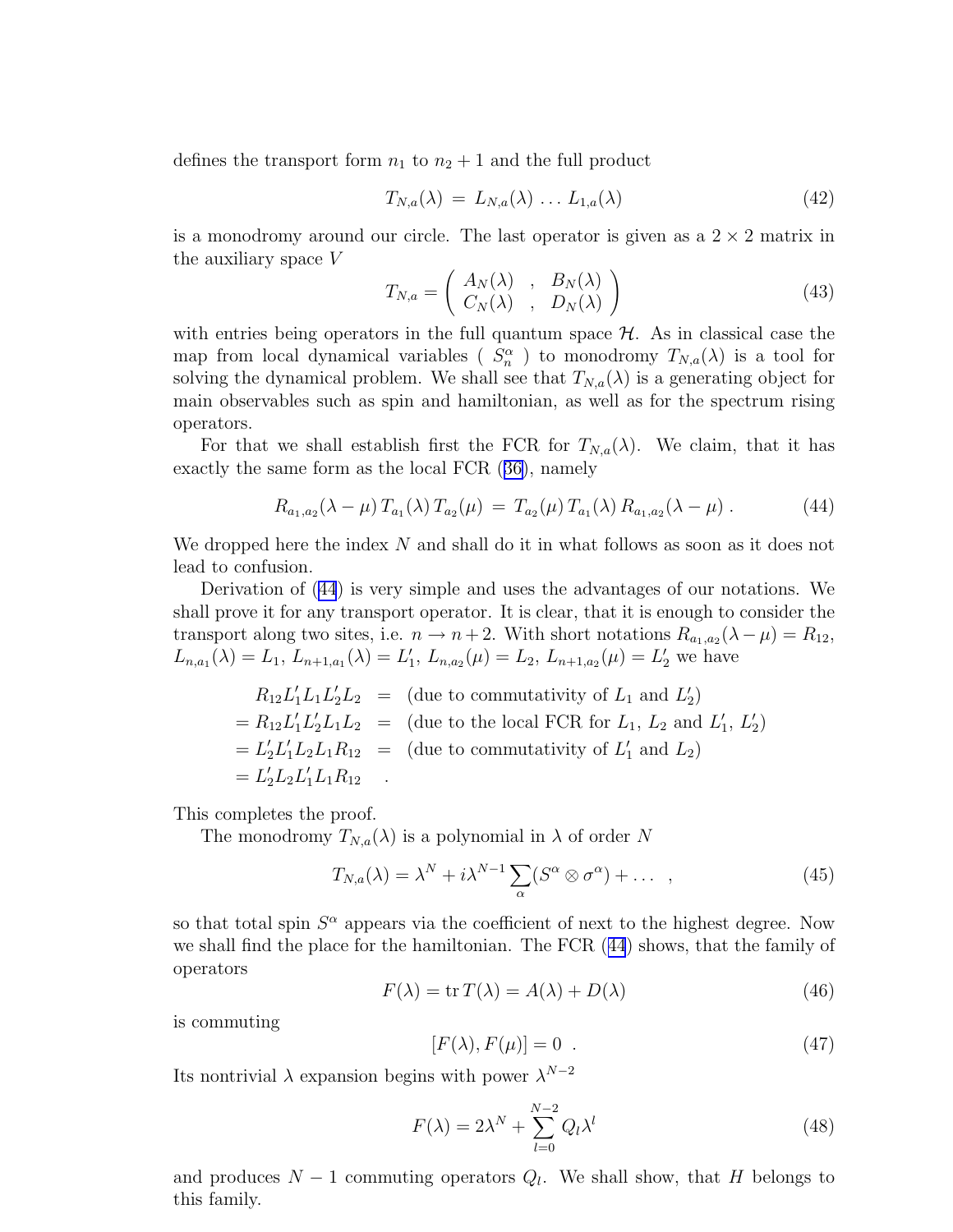<span id="page-8-0"></span>defines the transport form  $n_1$  to  $n_2 + 1$  and the full product

$$
T_{N,a}(\lambda) = L_{N,a}(\lambda) \dots L_{1,a}(\lambda) \tag{42}
$$

is a monodromy around our circle. The last operator is given as a  $2 \times 2$  matrix in the auxiliary space V

$$
T_{N,a} = \left(\begin{array}{cc} A_N(\lambda) & , & B_N(\lambda) \\ C_N(\lambda) & , & D_N(\lambda) \end{array}\right) \tag{43}
$$

with entries being operators in the full quantum space  $H$ . As in classical case the map from local dynamical variables ( $S_n^{\alpha}$ ) to monodromy  $T_{N,a}(\lambda)$  is a tool for solving the dynamical problem. We shall see that  $T_{N,a}(\lambda)$  is a generating object for main observables such as spin and hamiltonian, as well as for the spectrum rising operators.

For that we shall establish first the FCR for  $T_{N,a}(\lambda)$ . We claim, that it has exactly the same form as the local FCR([36\)](#page-7-0), namely

$$
R_{a_1,a_2}(\lambda - \mu) T_{a_1}(\lambda) T_{a_2}(\mu) = T_{a_2}(\mu) T_{a_1}(\lambda) R_{a_1,a_2}(\lambda - \mu) . \tag{44}
$$

We dropped here the index  $N$  and shall do it in what follows as soon as it does not lead to confusion.

Derivation of (44) is very simple and uses the advantages of our notations. We shall prove it for any transport operator. It is clear, that it is enough to consider the transport along two sites, i.e.  $n \to n+2$ . With short notations  $R_{a_1,a_2}(\lambda - \mu) = R_{12}$ ,  $L_{n,a_1}(\lambda) = L_1, L_{n+1,a_1}(\lambda) = L'_1, L_{n,a_2}(\mu) = L_2, L_{n+1,a_2}(\mu) = L'_2$  we have

$$
R_{12}L'_1L_1L'_2L_2 = (\text{due to commutativity of } L_1 \text{ and } L'_2)
$$
  
=  $R_{12}L'_1L'_2L_1L_2 = (\text{due to the local FCR for } L_1, L_2 \text{ and } L'_1, L'_2)$   
=  $L'_2L'_1L_2L_1R_{12} = (\text{due to commutativity of } L'_1 \text{ and } L_2)$   
=  $L'_2L_2L'_1L_1R_{12}$ .

This completes the proof.

The monodromy  $T_{N,a}(\lambda)$  is a polynomial in  $\lambda$  of order N

$$
T_{N,a}(\lambda) = \lambda^N + i\lambda^{N-1} \sum_{\alpha} (S^{\alpha} \otimes \sigma^{\alpha}) + \dots \quad , \tag{45}
$$

so that total spin  $S^{\alpha}$  appears via the coefficient of next to the highest degree. Now we shall find the place for the hamiltonian. The FCR (44) shows, that the family of operators

$$
F(\lambda) = \text{tr}\,T(\lambda) = A(\lambda) + D(\lambda) \tag{46}
$$

is commuting

$$
[F(\lambda), F(\mu)] = 0 \t\t(47)
$$

Its nontrivial  $\lambda$  expansion begins with power  $\lambda^{N-2}$ 

$$
F(\lambda) = 2\lambda^N + \sum_{l=0}^{N-2} Q_l \lambda^l
$$
\n(48)

and produces  $N-1$  commuting operators  $Q_l$ . We shall show, that H belongs to this family.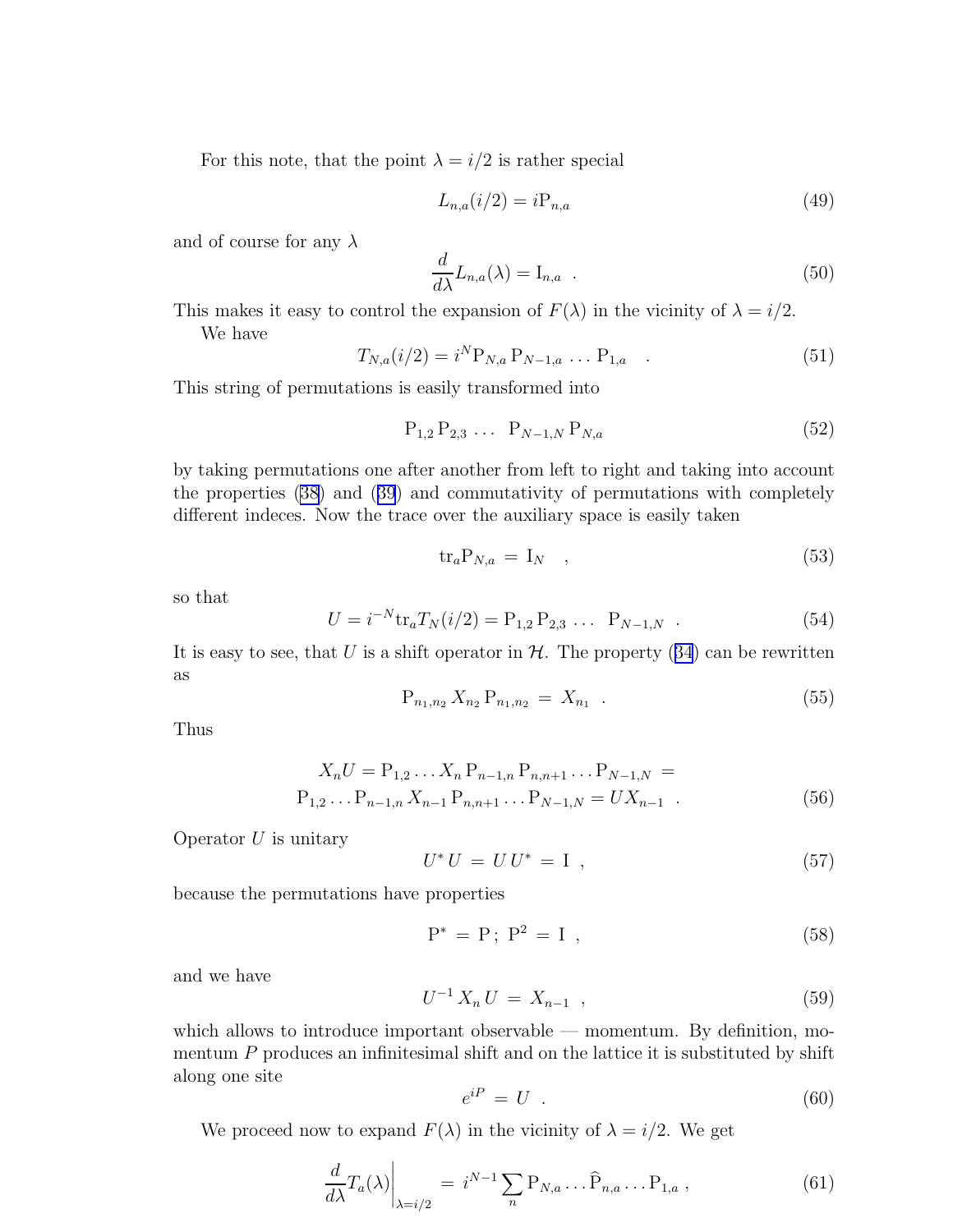For this note, that the point  $\lambda = i/2$  is rather special

$$
L_{n,a}(i/2) = iP_{n,a} \tag{49}
$$

and of course for any  $\lambda$ 

$$
\frac{d}{d\lambda}L_{n,a}(\lambda) = I_{n,a} \t . \t (50)
$$

This makes it easy to control the expansion of  $F(\lambda)$  in the vicinity of  $\lambda = i/2$ . We have

$$
T_{N,a}(i/2) = i^N P_{N,a} P_{N-1,a} \dots P_{1,a} \quad . \tag{51}
$$

This string of permutations is easily transformed into

$$
P_{1,2} P_{2,3} \ldots P_{N-1,N} P_{N,a} \tag{52}
$$

by taking permutations one after another from left to right and taking into account the properties [\(38\)](#page-7-0) and([39](#page-7-0)) and commutativity of permutations with completely different indeces. Now the trace over the auxiliary space is easily taken

$$
\text{tr}_a \mathbf{P}_{N,a} = \mathbf{I}_N \quad , \tag{53}
$$

so that

$$
U = i^{-N} \text{tr}_a T_N(i/2) = P_{1,2} P_{2,3} \dots P_{N-1,N} \tag{54}
$$

Itis easy to see, that U is a shift operator in  $H$ . The property ([34](#page-7-0)) can be rewritten as

$$
P_{n_1,n_2} X_{n_2} P_{n_1,n_2} = X_{n_1} . \t\t(55)
$$

Thus

$$
X_n U = P_{1,2} \dots X_n P_{n-1,n} P_{n,n+1} \dots P_{N-1,N} =
$$
  
\n
$$
P_{1,2} \dots P_{n-1,n} X_{n-1} P_{n,n+1} \dots P_{N-1,N} = U X_{n-1}.
$$
 (56)

Operator  $U$  is unitary

$$
U^* U = U U^* = I , \qquad (57)
$$

because the permutations have properties

$$
P^* = P; P^2 = I , \t\t(58)
$$

and we have

$$
U^{-1} X_n U = X_{n-1} \t\t(59)
$$

which allows to introduce important observable — momentum. By definition, momentum  $P$  produces an infinitesimal shift and on the lattice it is substituted by shift along one site

$$
e^{iP} = U \tag{60}
$$

We proceed now to expand  $F(\lambda)$  in the vicinity of  $\lambda = i/2$ . We get

$$
\left. \frac{d}{d\lambda} T_a(\lambda) \right|_{\lambda = i/2} = i^{N-1} \sum_n \mathbf{P}_{N,a} \dots \widehat{\mathbf{P}}_{n,a} \dots \mathbf{P}_{1,a} \,, \tag{61}
$$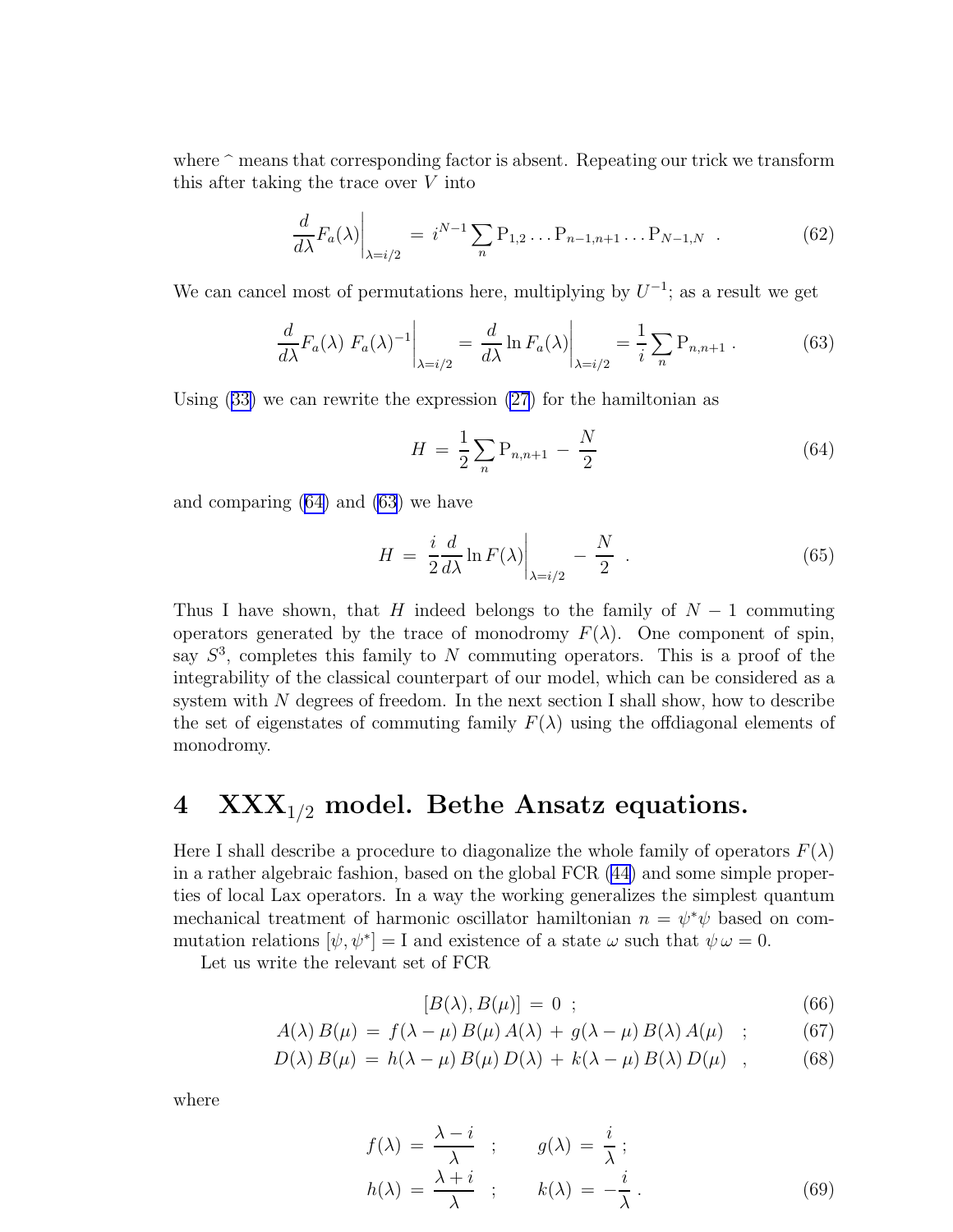<span id="page-10-0"></span>where  $\hat{\ }$  means that corresponding factor is absent. Repeating our trick we transform this after taking the trace over V into

$$
\frac{d}{d\lambda}F_a(\lambda)\Big|_{\lambda=i/2} = i^{N-1}\sum_n P_{1,2}\dots P_{n-1,n+1}\dots P_{N-1,N} \quad . \tag{62}
$$

We can cancel most of permutations here, multiplying by  $U^{-1}$ ; as a result we get

$$
\frac{d}{d\lambda}F_a(\lambda) F_a(\lambda)^{-1}\bigg|_{\lambda=i/2} = \frac{d}{d\lambda} \ln F_a(\lambda)\bigg|_{\lambda=i/2} = \frac{1}{i} \sum_n \mathcal{P}_{n,n+1} . \tag{63}
$$

Using([33\)](#page-7-0) we can rewrite the expression [\(27](#page-6-0)) for the hamiltonian as

$$
H = \frac{1}{2} \sum_{n} P_{n,n+1} - \frac{N}{2}
$$
 (64)

and comparing (64) and (63) we have

$$
H = \frac{i}{2} \frac{d}{d\lambda} \ln F(\lambda) \bigg|_{\lambda = i/2} - \frac{N}{2} . \tag{65}
$$

Thus I have shown, that H indeed belongs to the family of  $N-1$  commuting operators generated by the trace of monodromy  $F(\lambda)$ . One component of spin, say  $S<sup>3</sup>$ , completes this family to N commuting operators. This is a proof of the integrability of the classical counterpart of our model, which can be considered as a system with  $N$  degrees of freedom. In the next section I shall show, how to describe the set of eigenstates of commuting family  $F(\lambda)$  using the offdiagonal elements of monodromy.

### 4  $\text{XXX}_{1/2}$  model. Bethe Ansatz equations.

Here I shall describe a procedure to diagonalize the whole family of operators  $F(\lambda)$ in a rather algebraic fashion, based on the global FCR([44\)](#page-8-0) and some simple properties of local Lax operators. In a way the working generalizes the simplest quantum mechanical treatment of harmonic oscillator hamiltonian  $n = \psi^* \psi$  based on commutation relations  $[\psi, \psi^*]=I$  and existence of a state  $\omega$  such that  $\psi \omega = 0$ .

Let us write the relevant set of FCR

$$
[B(\lambda), B(\mu)] = 0 \quad ; \tag{66}
$$

$$
A(\lambda) B(\mu) = f(\lambda - \mu) B(\mu) A(\lambda) + g(\lambda - \mu) B(\lambda) A(\mu) ; \qquad (67)
$$

$$
D(\lambda) B(\mu) = h(\lambda - \mu) B(\mu) D(\lambda) + k(\lambda - \mu) B(\lambda) D(\mu) , \qquad (68)
$$

where

$$
f(\lambda) = \frac{\lambda - i}{\lambda} \quad ; \qquad g(\lambda) = \frac{i}{\lambda} \, ;
$$
  
\n
$$
h(\lambda) = \frac{\lambda + i}{\lambda} \quad ; \qquad k(\lambda) = -\frac{i}{\lambda} \, .
$$
\n(69)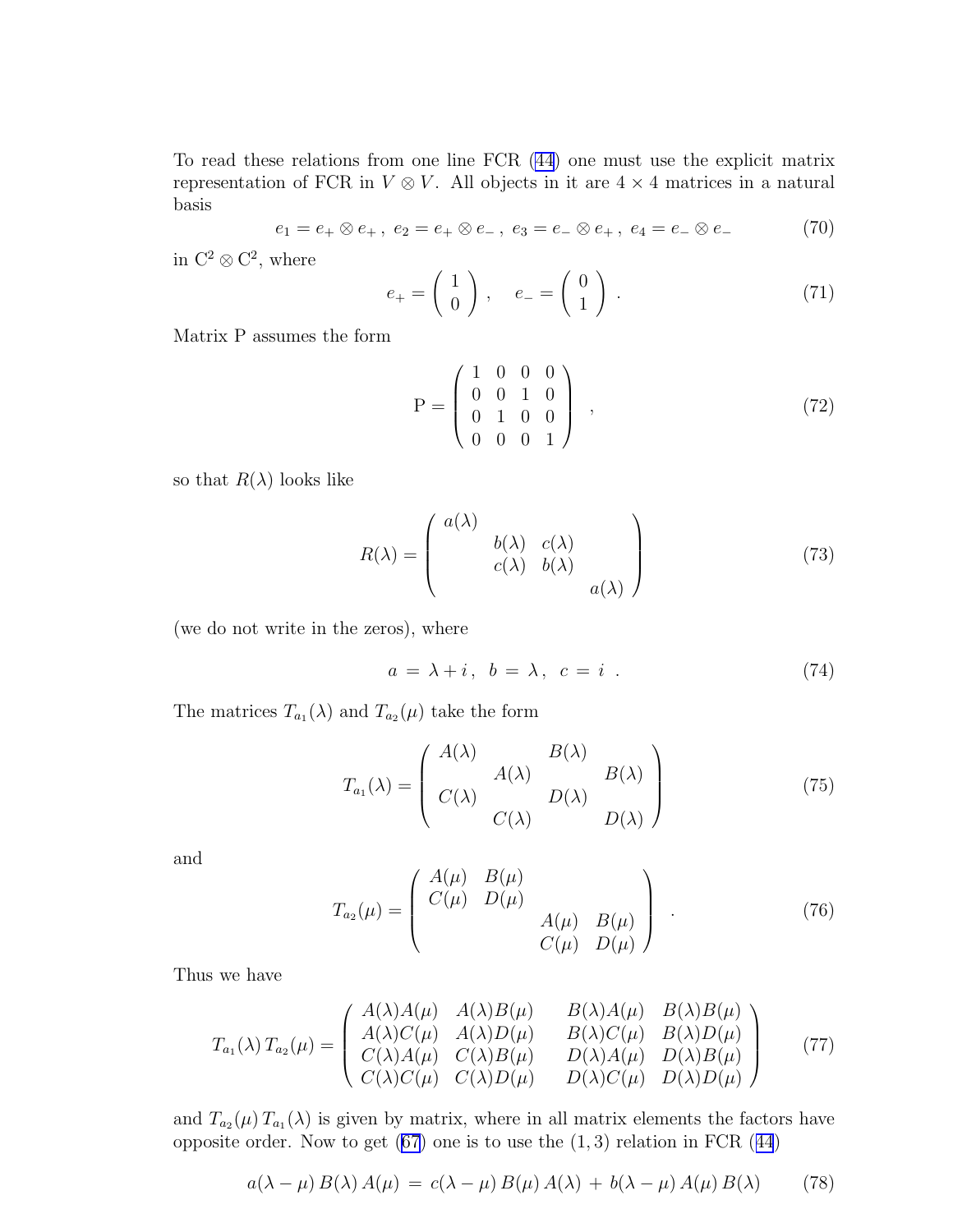<span id="page-11-0"></span>To read these relations from one line FCR [\(44\)](#page-8-0) one must use the explicit matrix representation of FCR in  $V \otimes V$ . All objects in it are  $4 \times 4$  matrices in a natural basis

$$
e_1 = e_+ \otimes e_+, \ e_2 = e_+ \otimes e_-, \ e_3 = e_- \otimes e_+, \ e_4 = e_- \otimes e_- \tag{70}
$$

in  $\mathbb{C}^2 \otimes \mathbb{C}^2$ , where

$$
e_{+} = \left(\begin{array}{c} 1 \\ 0 \end{array}\right) , \quad e_{-} = \left(\begin{array}{c} 0 \\ 1 \end{array}\right) . \tag{71}
$$

Matrix P assumes the form

$$
P = \begin{pmatrix} 1 & 0 & 0 & 0 \\ 0 & 0 & 1 & 0 \\ 0 & 1 & 0 & 0 \\ 0 & 0 & 0 & 1 \end{pmatrix} , \qquad (72)
$$

so that  $R(\lambda)$  looks like

$$
R(\lambda) = \begin{pmatrix} a(\lambda) & b(\lambda) & c(\lambda) \\ b(\lambda) & b(\lambda) & \\ c(\lambda) & b(\lambda) & \\ & & a(\lambda) \end{pmatrix}
$$
 (73)

(we do not write in the zeros), where

$$
a = \lambda + i, \ b = \lambda, \ c = i \tag{74}
$$

The matrices  $T_{a_1}(\lambda)$  and  $T_{a_2}(\mu)$  take the form

$$
T_{a_1}(\lambda) = \begin{pmatrix} A(\lambda) & B(\lambda) \\ C(\lambda) & D(\lambda) \\ C(\lambda) & D(\lambda) \end{pmatrix}
$$
 (75)

and

$$
T_{a_2}(\mu) = \begin{pmatrix} A(\mu) & B(\mu) & & \\ C(\mu) & D(\mu) & & \\ & & A(\mu) & B(\mu) \\ & & & C(\mu) & D(\mu) \end{pmatrix} .
$$
 (76)

Thus we have

$$
T_{a_1}(\lambda) T_{a_2}(\mu) = \begin{pmatrix} A(\lambda)A(\mu) & A(\lambda)B(\mu) & B(\lambda)A(\mu) & B(\lambda)B(\mu) \\ A(\lambda)C(\mu) & A(\lambda)D(\mu) & B(\lambda)C(\mu) & B(\lambda)D(\mu) \\ C(\lambda)A(\mu) & C(\lambda)B(\mu) & D(\lambda)A(\mu) & D(\lambda)B(\mu) \\ C(\lambda)C(\mu) & C(\lambda)D(\mu) & D(\lambda)C(\mu) & D(\lambda)D(\mu) \end{pmatrix}
$$
(77)

and  $T_{a_2}(\mu) T_{a_1}(\lambda)$  is given by matrix, where in all matrix elements the factors have oppositeorder. Now to get  $(67)$  one is to use the  $(1, 3)$  relation in FCR  $(44)$  $(44)$  $(44)$ 

$$
a(\lambda - \mu) B(\lambda) A(\mu) = c(\lambda - \mu) B(\mu) A(\lambda) + b(\lambda - \mu) A(\mu) B(\lambda)
$$
 (78)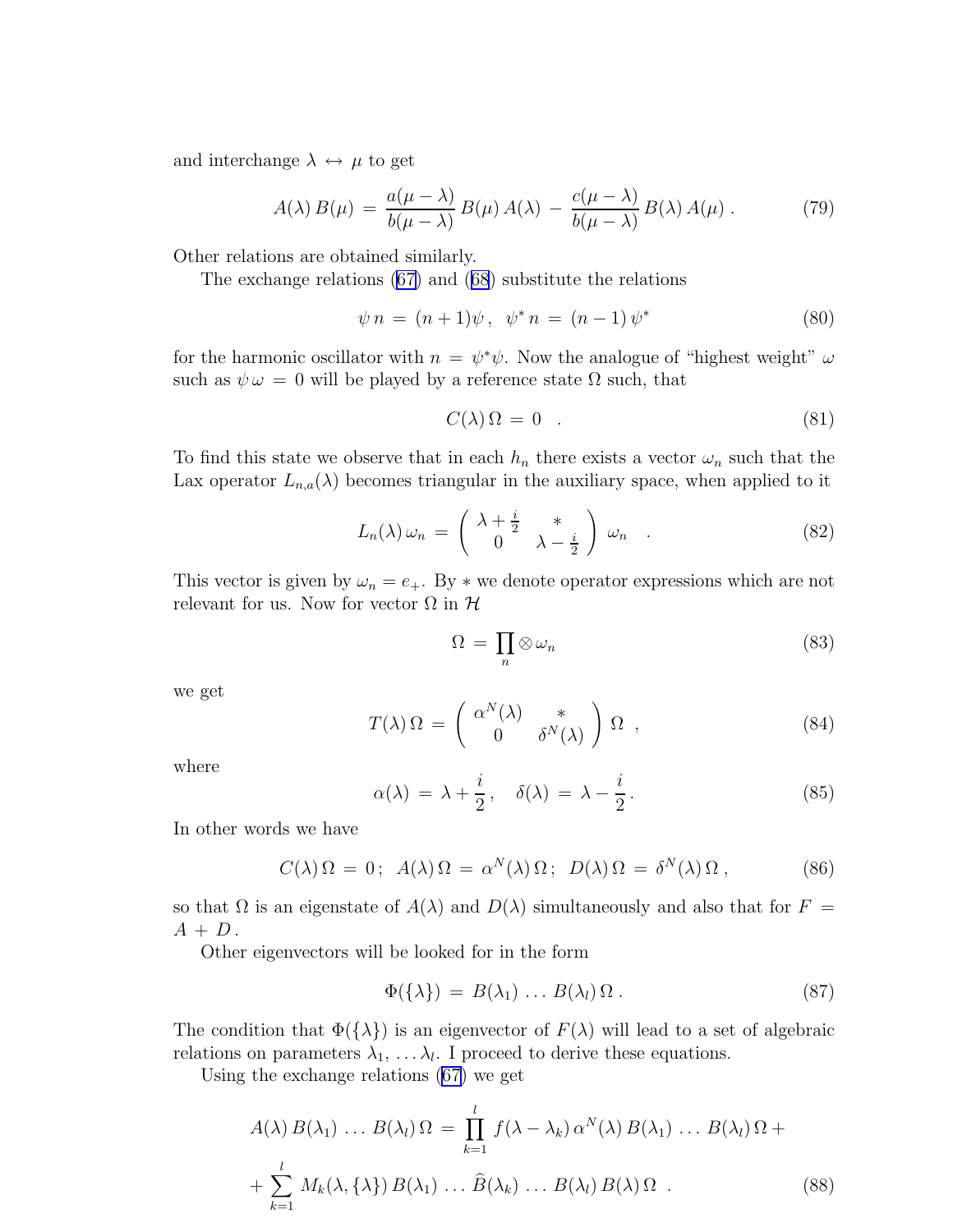<span id="page-12-0"></span>and interchange  $\lambda \leftrightarrow \mu$  to get

$$
A(\lambda) B(\mu) = \frac{a(\mu - \lambda)}{b(\mu - \lambda)} B(\mu) A(\lambda) - \frac{c(\mu - \lambda)}{b(\mu - \lambda)} B(\lambda) A(\mu) . \tag{79}
$$

Other relations are obtained similarly.

The exchange relations [\(67\)](#page-10-0) and([68](#page-10-0)) substitute the relations

$$
\psi n = (n+1)\psi, \ \psi^* n = (n-1)\psi^* \tag{80}
$$

for the harmonic oscillator with  $n = \psi^* \psi$ . Now the analogue of "highest weight"  $\omega$ such as  $\psi \omega = 0$  will be played by a reference state  $\Omega$  such, that

$$
C(\lambda)\,\Omega\,=\,0\quad.\tag{81}
$$

To find this state we observe that in each  $h_n$  there exists a vector  $\omega_n$  such that the Lax operator  $L_{n,a}(\lambda)$  becomes triangular in the auxiliary space, when applied to it

$$
L_n(\lambda)\,\omega_n\,=\,\left(\begin{array}{cc} \lambda+\frac{i}{2} & * \\ 0 & \lambda-\frac{i}{2} \end{array}\right)\,\omega_n\quad.\tag{82}
$$

This vector is given by  $\omega_n = e_+$ . By  $*$  we denote operator expressions which are not relevant for us. Now for vector  $\Omega$  in  $\mathcal H$ 

$$
\Omega = \prod_{n} \otimes \omega_n \tag{83}
$$

we get

$$
T(\lambda)\Omega = \begin{pmatrix} \alpha^N(\lambda) & * \\ 0 & \delta^N(\lambda) \end{pmatrix} \Omega , \qquad (84)
$$

where

$$
\alpha(\lambda) = \lambda + \frac{i}{2}, \quad \delta(\lambda) = \lambda - \frac{i}{2}.
$$
 (85)

In other words we have

$$
C(\lambda)\Omega = 0; \ \ A(\lambda)\Omega = \alpha^N(\lambda)\Omega; \ \ D(\lambda)\Omega = \delta^N(\lambda)\Omega \,, \tag{86}
$$

so that  $\Omega$  is an eigenstate of  $A(\lambda)$  and  $D(\lambda)$  simultaneously and also that for  $F =$  $A + D$ .

Other eigenvectors will be looked for in the form

$$
\Phi(\{\lambda\}) = B(\lambda_1) \dots B(\lambda_l) \Omega . \tag{87}
$$

The condition that  $\Phi({\lambda})$  is an eigenvector of  $F(\lambda)$  will lead to a set of algebraic relations on parameters  $\lambda_1, \ldots, \lambda_l$ . I proceed to derive these equations.

Using the exchange relations [\(67\)](#page-10-0) we get

$$
A(\lambda) B(\lambda_1) \dots B(\lambda_l) \Omega = \prod_{k=1}^l f(\lambda - \lambda_k) \alpha^N(\lambda) B(\lambda_1) \dots B(\lambda_l) \Omega +
$$
  
+ 
$$
\sum_{k=1}^l M_k(\lambda, {\lambda}) B(\lambda_1) \dots \widehat{B}(\lambda_k) \dots B(\lambda_l) B(\lambda) \Omega .
$$
 (88)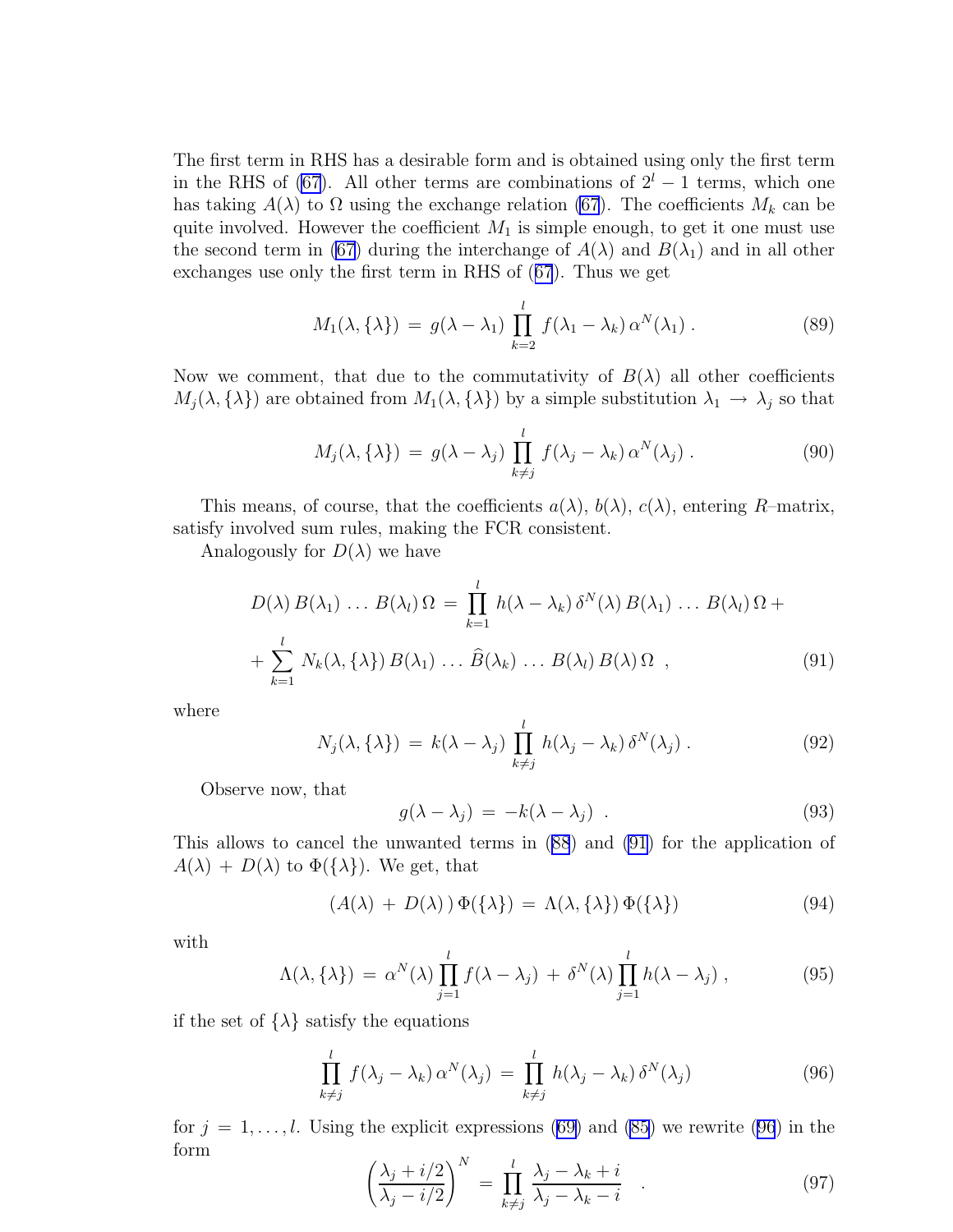<span id="page-13-0"></span>The first term in RHS has a desirable form and is obtained using only the first term in the RHS of [\(67\)](#page-10-0). All other terms are combinations of  $2<sup>l</sup> - 1$  terms, which one has taking  $A(\lambda)$  to  $\Omega$  using the exchange relation [\(67](#page-10-0)). The coefficients  $M_k$  can be quite involved. However the coefficient  $M_1$  is simple enough, to get it one must use the second term in [\(67](#page-10-0)) during the interchange of  $A(\lambda)$  and  $B(\lambda_1)$  and in all other exchanges use only the first term in RHS of([67](#page-10-0)). Thus we get

$$
M_1(\lambda, \{\lambda\}) = g(\lambda - \lambda_1) \prod_{k=2}^{l} f(\lambda_1 - \lambda_k) \alpha^N(\lambda_1).
$$
 (89)

Now we comment, that due to the commutativity of  $B(\lambda)$  all other coefficients  $M_j(\lambda, {\lambda})$  are obtained from  $M_1(\lambda, {\lambda})$  by a simple substitution  $\lambda_1 \to \lambda_j$  so that

$$
M_j(\lambda, \{\lambda\}) = g(\lambda - \lambda_j) \prod_{k \neq j}^l f(\lambda_j - \lambda_k) \alpha^N(\lambda_j).
$$
 (90)

This means, of course, that the coefficients  $a(\lambda)$ ,  $b(\lambda)$ ,  $c(\lambda)$ , entering R-matrix, satisfy involved sum rules, making the FCR consistent.

Analogously for  $D(\lambda)$  we have

$$
D(\lambda) B(\lambda_1) \dots B(\lambda_l) \Omega = \prod_{k=1}^l h(\lambda - \lambda_k) \delta^N(\lambda) B(\lambda_1) \dots B(\lambda_l) \Omega +
$$
  
+ 
$$
\sum_{k=1}^l N_k(\lambda, \{\lambda\}) B(\lambda_1) \dots \widehat{B}(\lambda_k) \dots B(\lambda_l) B(\lambda) \Omega , \qquad (91)
$$

where

$$
N_j(\lambda, \{\lambda\}) = k(\lambda - \lambda_j) \prod_{k \neq j}^l h(\lambda_j - \lambda_k) \delta^N(\lambda_j).
$$
 (92)

Observe now, that

$$
g(\lambda - \lambda_j) = -k(\lambda - \lambda_j) . \tag{93}
$$

This allows to cancel the unwanted terms in([88](#page-12-0)) and (91) for the application of  $A(\lambda) + D(\lambda)$  to  $\Phi({\lambda})$ . We get, that

$$
(A(\lambda) + D(\lambda)) \Phi(\{\lambda\}) = \Lambda(\lambda, \{\lambda\}) \Phi(\{\lambda\})
$$
\n(94)

with

$$
\Lambda(\lambda, \{\lambda\}) = \alpha^N(\lambda) \prod_{j=1}^l f(\lambda - \lambda_j) + \delta^N(\lambda) \prod_{j=1}^l h(\lambda - \lambda_j), \qquad (95)
$$

if the set of  $\{\lambda\}$  satisfy the equations

$$
\prod_{k \neq j}^{l} f(\lambda_j - \lambda_k) \alpha^N(\lambda_j) = \prod_{k \neq j}^{l} h(\lambda_j - \lambda_k) \delta^N(\lambda_j)
$$
\n(96)

for  $j = 1, \ldots, l$ . Using the explicit expressions [\(69\)](#page-10-0) and [\(85](#page-12-0)) we rewrite (96) in the form

$$
\left(\frac{\lambda_j + i/2}{\lambda_j - i/2}\right)^N = \prod_{k \neq j}^l \frac{\lambda_j - \lambda_k + i}{\lambda_j - \lambda_k - i} \tag{97}
$$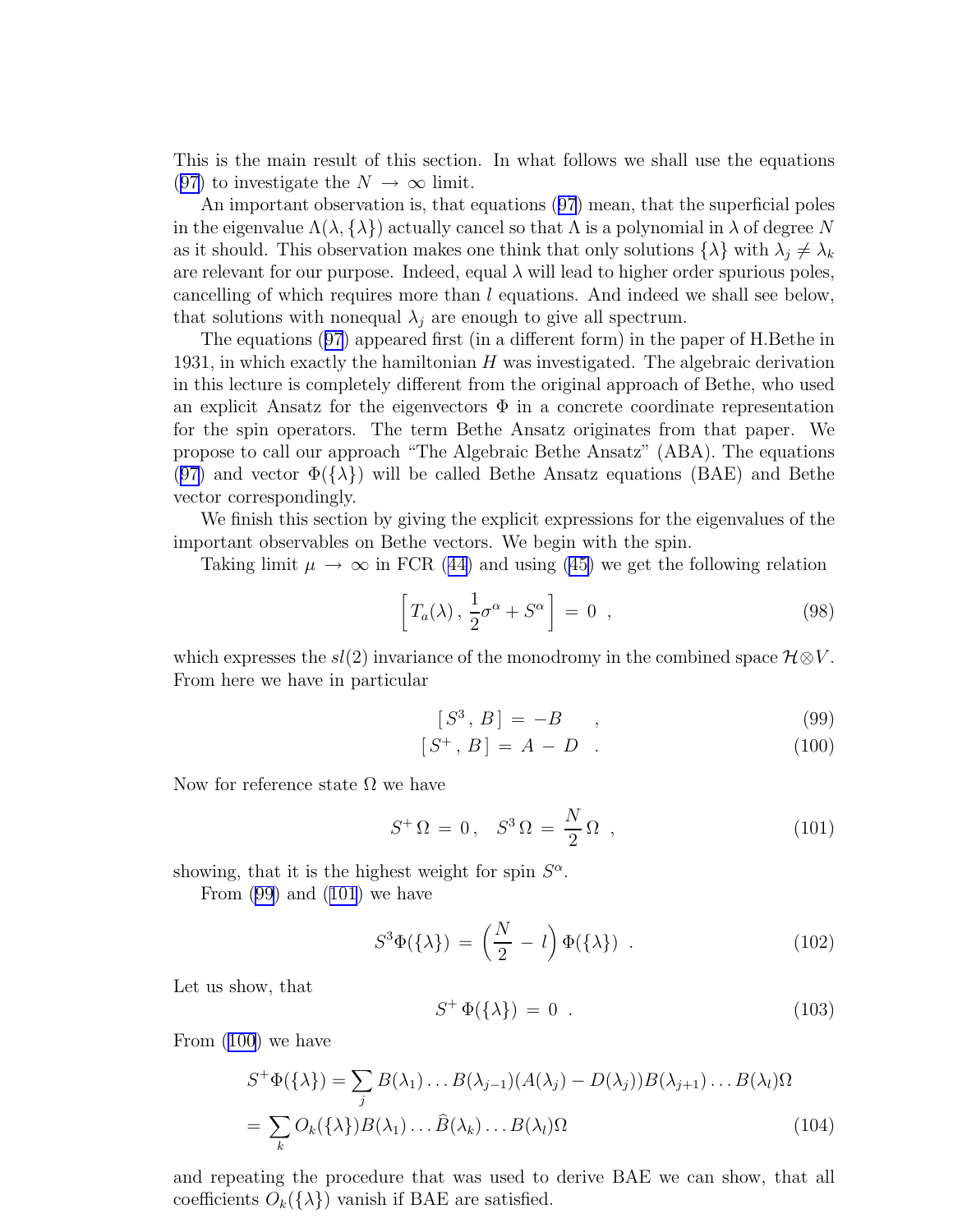This is the main result of this section. In what follows we shall use the equations ([97\)](#page-13-0) to investigate the  $N \to \infty$  limit.

An important observation is, that equations([97](#page-13-0)) mean, that the superficial poles in the eigenvalue  $\Lambda(\lambda, \{\lambda\})$  actually cancel so that  $\Lambda$  is a polynomial in  $\lambda$  of degree N as it should. This observation makes one think that only solutions  $\{\lambda\}$  with  $\lambda_j \neq \lambda_k$ are relevant for our purpose. Indeed, equal  $\lambda$  will lead to higher order spurious poles, cancelling of which requires more than l equations. And indeed we shall see below, that solutions with nonequal  $\lambda_i$  are enough to give all spectrum.

The equations([97](#page-13-0)) appeared first (in a different form) in the paper of H.Bethe in 1931, in which exactly the hamiltonian  $H$  was investigated. The algebraic derivation in this lecture is completely different from the original approach of Bethe, who used an explicit Ansatz for the eigenvectors  $\Phi$  in a concrete coordinate representation for the spin operators. The term Bethe Ansatz originates from that paper. We propose to call our approach "The Algebraic Bethe Ansatz" (ABA). The equations ([97\)](#page-13-0) and vector  $\Phi({\lambda})$  will be called Bethe Ansatz equations (BAE) and Bethe vector correspondingly.

We finish this section by giving the explicit expressions for the eigenvalues of the important observables on Bethe vectors. We begin with the spin.

Takinglimit  $\mu \to \infty$  in FCR ([44\)](#page-8-0) and using [\(45\)](#page-8-0) we get the following relation

$$
\[T_a(\lambda), \frac{1}{2}\sigma^{\alpha} + S^{\alpha}\] = 0 \quad , \tag{98}
$$

which expresses the  $sl(2)$  invariance of the monodromy in the combined space  $\mathcal{H} \otimes V$ . From here we have in particular

$$
[S^3, B] = -B \qquad , \tag{99}
$$

$$
[S^+, B] = A - D \t . \t (100)
$$

Now for reference state  $\Omega$  we have

$$
S^+ \Omega = 0, \quad S^3 \Omega = \frac{N}{2} \Omega \quad , \tag{101}
$$

showing, that it is the highest weight for spin  $S^{\alpha}$ .

From (99) and (101) we have

$$
S^{3}\Phi(\{\lambda\}) = \left(\frac{N}{2} - l\right)\Phi(\{\lambda\}) . \tag{102}
$$

Let us show, that

$$
S^+ \Phi(\{\lambda\}) = 0 \tag{103}
$$

From (100) we have

$$
S^{+}\Phi(\{\lambda\}) = \sum_{j} B(\lambda_{1}) \dots B(\lambda_{j-1}) (A(\lambda_{j}) - D(\lambda_{j})) B(\lambda_{j+1}) \dots B(\lambda_{l}) \Omega
$$
  
= 
$$
\sum_{k} O_{k}(\{\lambda\}) B(\lambda_{1}) \dots \widehat{B}(\lambda_{k}) \dots B(\lambda_{l}) \Omega
$$
 (104)

and repeating the procedure that was used to derive BAE we can show, that all coefficients  $O_k({\{\lambda\}})$  vanish if BAE are satisfied.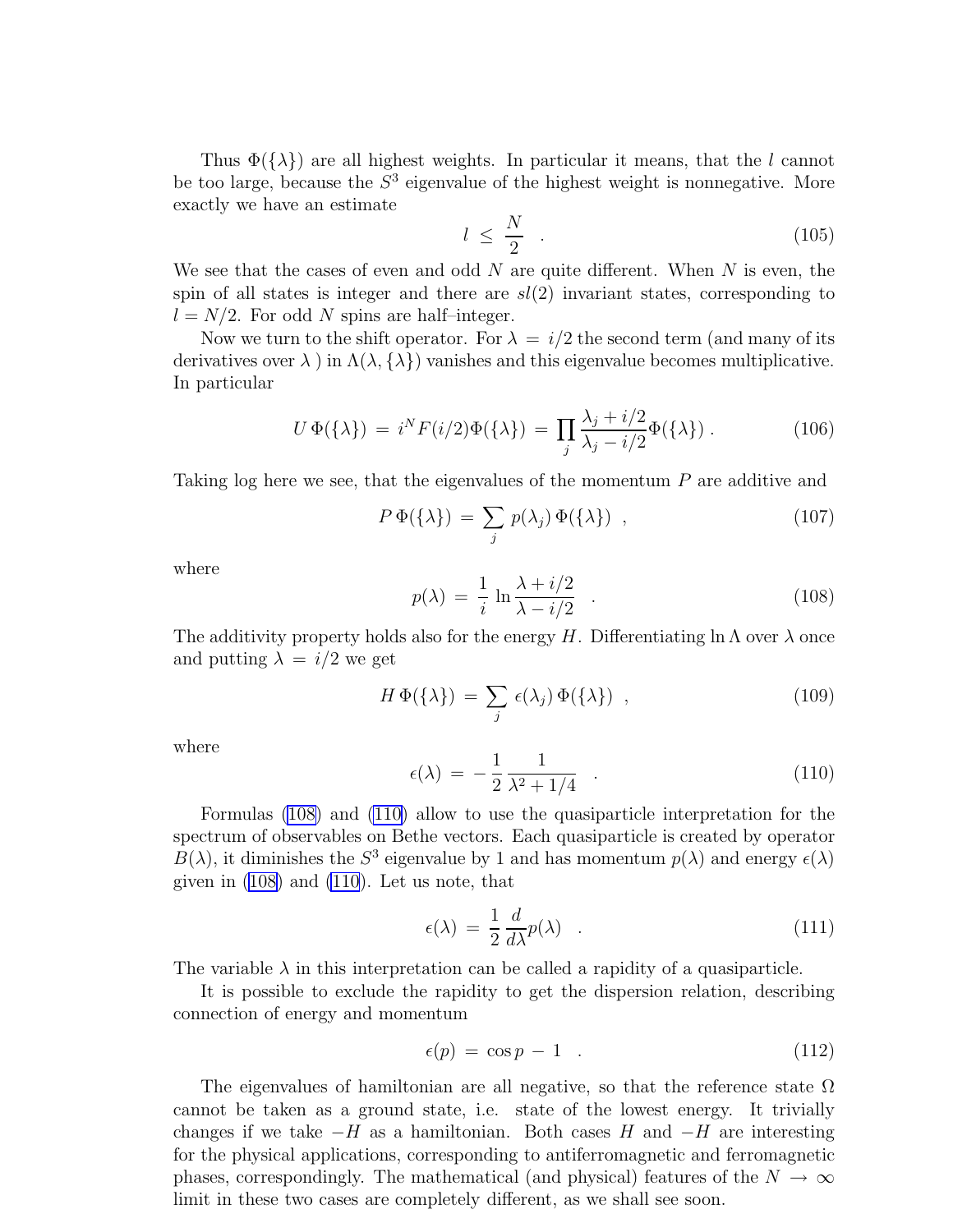<span id="page-15-0"></span>Thus  $\Phi({\lambda})$  are all highest weights. In particular it means, that the l cannot be too large, because the  $S<sup>3</sup>$  eigenvalue of the highest weight is nonnegative. More exactly we have an estimate

$$
l \leq \frac{N}{2} \tag{105}
$$

We see that the cases of even and odd N are quite different. When  $N$  is even, the spin of all states is integer and there are  $sl(2)$  invariant states, corresponding to  $l = N/2$ . For odd N spins are half-integer.

Now we turn to the shift operator. For  $\lambda = i/2$  the second term (and many of its derivatives over  $\lambda$  ) in  $\Lambda(\lambda, {\lambda})$  vanishes and this eigenvalue becomes multiplicative. In particular

$$
U\,\Phi(\{\lambda\})\,=\,i^N F(i/2)\Phi(\{\lambda\})\,=\,\prod_j\frac{\lambda_j+i/2}{\lambda_j-i/2}\Phi(\{\lambda\})\,.\tag{106}
$$

Taking log here we see, that the eigenvalues of the momentum P are additive and

$$
P\,\Phi(\{\lambda\})\,=\,\sum_{j}\,p(\lambda_j)\,\Phi(\{\lambda\})\quad,\tag{107}
$$

where

$$
p(\lambda) = \frac{1}{i} \ln \frac{\lambda + i/2}{\lambda - i/2} \quad . \tag{108}
$$

The additivity property holds also for the energy H. Differentiating  $\ln \Lambda$  over  $\lambda$  once and putting  $\lambda = i/2$  we get

$$
H\,\Phi(\{\lambda\})\,=\,\sum_{j}\,\epsilon(\lambda_j)\,\Phi(\{\lambda\})\,,\tag{109}
$$

where

$$
\epsilon(\lambda) = -\frac{1}{2} \frac{1}{\lambda^2 + 1/4} \quad . \tag{110}
$$

Formulas (108) and (110) allow to use the quasiparticle interpretation for the spectrum of observables on Bethe vectors. Each quasiparticle is created by operator  $B(\lambda)$ , it diminishes the  $S^3$  eigenvalue by 1 and has momentum  $p(\lambda)$  and energy  $\epsilon(\lambda)$ given in (108) and (110). Let us note, that

$$
\epsilon(\lambda) = \frac{1}{2} \frac{d}{d\lambda} p(\lambda) \quad . \tag{111}
$$

The variable  $\lambda$  in this interpretation can be called a rapidity of a quasiparticle.

It is possible to exclude the rapidity to get the dispersion relation, describing connection of energy and momentum

$$
\epsilon(p) = \cos p - 1 \quad . \tag{112}
$$

The eigenvalues of hamiltonian are all negative, so that the reference state  $\Omega$ cannot be taken as a ground state, i.e. state of the lowest energy. It trivially changes if we take  $-H$  as a hamiltonian. Both cases H and  $-H$  are interesting for the physical applications, corresponding to antiferromagnetic and ferromagnetic phases, correspondingly. The mathematical (and physical) features of the  $N \to \infty$ limit in these two cases are completely different, as we shall see soon.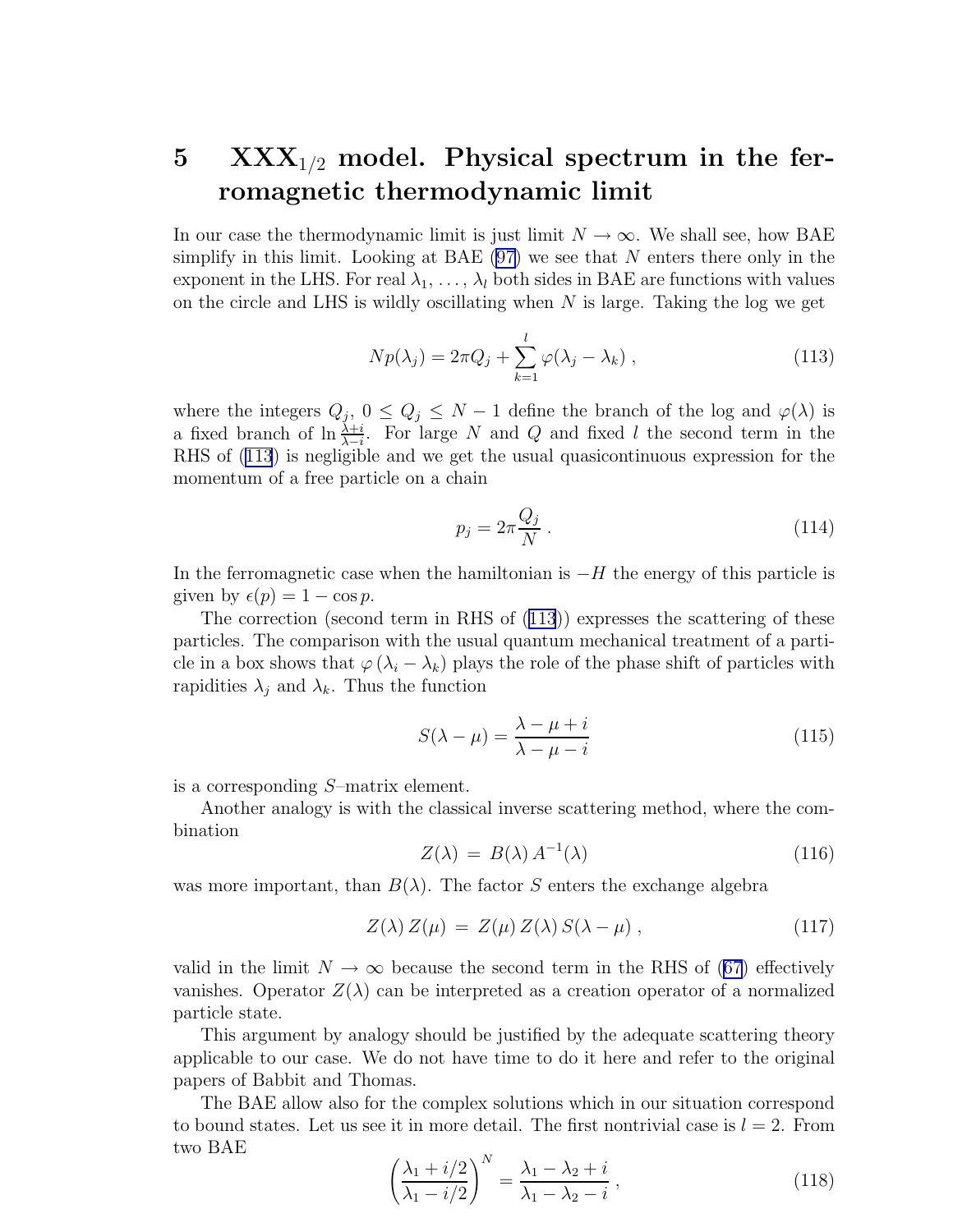# <span id="page-16-0"></span> $5$   $\text{XXX}_{1/2}$  model. Physical spectrum in the ferromagnetic thermodynamic limit

In our case the thermodynamic limit is just limit  $N \to \infty$ . We shall see, how BAE simplify in this limit. Looking at BAE  $(97)$  we see that N enters there only in the exponent in the LHS. For real  $\lambda_1, \ldots, \lambda_l$  both sides in BAE are functions with values on the circle and LHS is wildly oscillating when  $N$  is large. Taking the log we get

$$
Np(\lambda_j) = 2\pi Q_j + \sum_{k=1}^{l} \varphi(\lambda_j - \lambda_k), \qquad (113)
$$

where the integers  $Q_j$ ,  $0 \leq Q_j \leq N-1$  define the branch of the log and  $\varphi(\lambda)$  is a fixed branch of  $\ln \frac{\lambda + i}{\lambda - i}$ . For large N and Q and fixed l the second term in the RHS of (113) is negligible and we get the usual quasicontinuous expression for the momentum of a free particle on a chain

$$
p_j = 2\pi \frac{Q_j}{N} \,. \tag{114}
$$

In the ferromagnetic case when the hamiltonian is  $-H$  the energy of this particle is given by  $\epsilon(p) = 1 - \cos p$ .

The correction (second term in RHS of (113)) expresses the scattering of these particles. The comparison with the usual quantum mechanical treatment of a particle in a box shows that  $\varphi(\lambda_i - \lambda_k)$  plays the role of the phase shift of particles with rapidities  $\lambda_j$  and  $\lambda_k$ . Thus the function

$$
S(\lambda - \mu) = \frac{\lambda - \mu + i}{\lambda - \mu - i}
$$
\n(115)

is a corresponding S–matrix element.

Another analogy is with the classical inverse scattering method, where the combination

$$
Z(\lambda) = B(\lambda) A^{-1}(\lambda) \tag{116}
$$

was more important, than  $B(\lambda)$ . The factor S enters the exchange algebra

$$
Z(\lambda) Z(\mu) = Z(\mu) Z(\lambda) S(\lambda - \mu) , \qquad (117)
$$

valid in the limit  $N \to \infty$  because the second term in the RHS of [\(67\)](#page-10-0) effectively vanishes. Operator  $Z(\lambda)$  can be interpreted as a creation operator of a normalized particle state.

This argument by analogy should be justified by the adequate scattering theory applicable to our case. We do not have time to do it here and refer to the original papers of Babbit and Thomas.

The BAE allow also for the complex solutions which in our situation correspond to bound states. Let us see it in more detail. The first nontrivial case is  $l = 2$ . From two BAE

$$
\left(\frac{\lambda_1 + i/2}{\lambda_1 - i/2}\right)^N = \frac{\lambda_1 - \lambda_2 + i}{\lambda_1 - \lambda_2 - i},\tag{118}
$$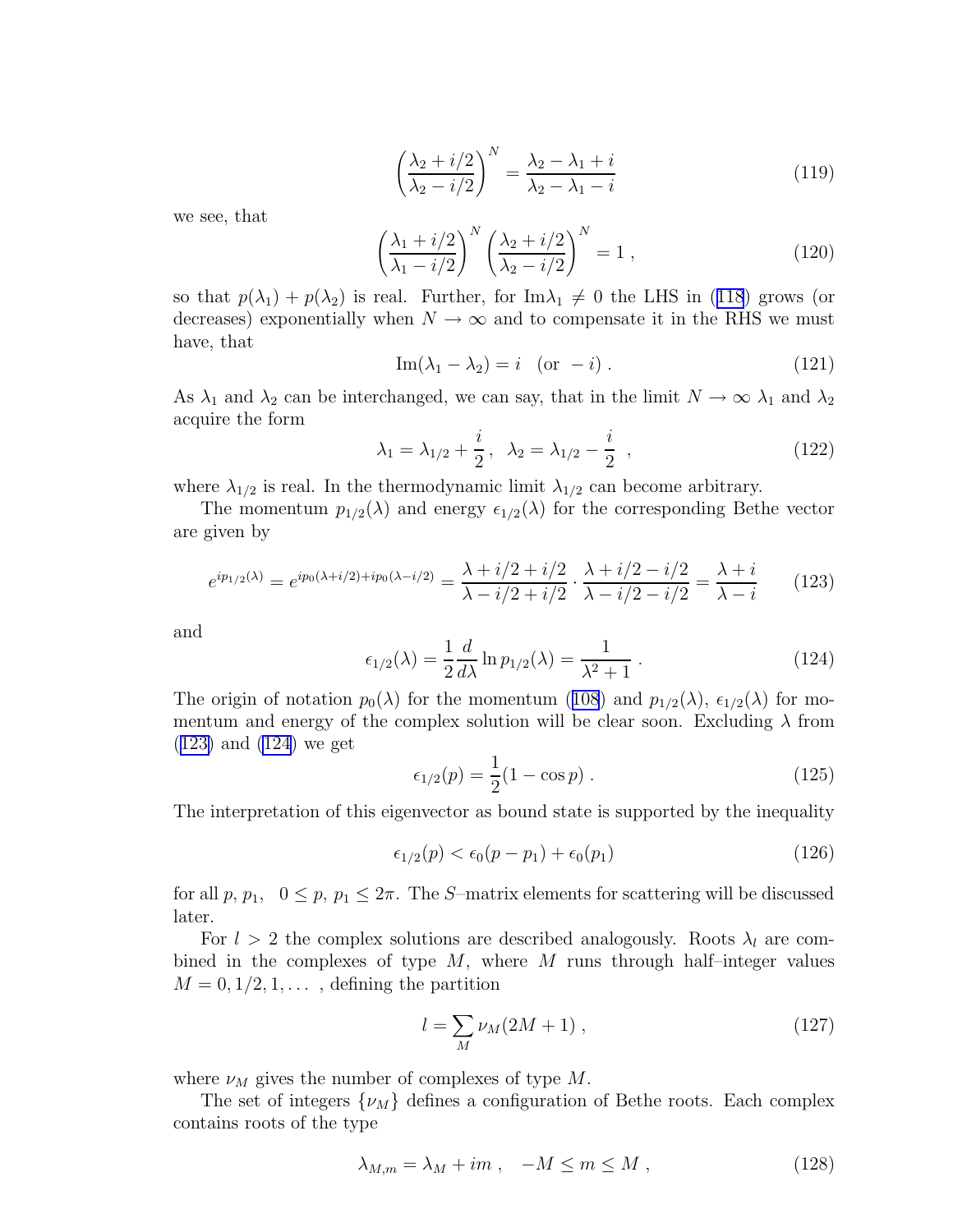$$
\left(\frac{\lambda_2 + i/2}{\lambda_2 - i/2}\right)^N = \frac{\lambda_2 - \lambda_1 + i}{\lambda_2 - \lambda_1 - i} \tag{119}
$$

we see, that

$$
\left(\frac{\lambda_1 + i/2}{\lambda_1 - i/2}\right)^N \left(\frac{\lambda_2 + i/2}{\lambda_2 - i/2}\right)^N = 1,
$$
\n(120)

sothat  $p(\lambda_1) + p(\lambda_2)$  is real. Further, for Im $\lambda_1 \neq 0$  the LHS in ([118](#page-16-0)) grows (or decreases) exponentially when  $N \to \infty$  and to compensate it in the RHS we must have, that

$$
\operatorname{Im}(\lambda_1 - \lambda_2) = i \quad \text{(or } -i).
$$
 (121)

As  $\lambda_1$  and  $\lambda_2$  can be interchanged, we can say, that in the limit  $N \to \infty$   $\lambda_1$  and  $\lambda_2$ acquire the form

$$
\lambda_1 = \lambda_{1/2} + \frac{i}{2}, \quad \lambda_2 = \lambda_{1/2} - \frac{i}{2} \quad , \tag{122}
$$

where  $\lambda_{1/2}$  is real. In the thermodynamic limit  $\lambda_{1/2}$  can become arbitrary.

The momentum  $p_{1/2}(\lambda)$  and energy  $\epsilon_{1/2}(\lambda)$  for the corresponding Bethe vector are given by

$$
e^{ip_{1/2}(\lambda)} = e^{ip_0(\lambda + i/2) + ip_0(\lambda - i/2)} = \frac{\lambda + i/2 + i/2}{\lambda - i/2 + i/2} \cdot \frac{\lambda + i/2 - i/2}{\lambda - i/2 - i/2} = \frac{\lambda + i}{\lambda - i} \tag{123}
$$

and

$$
\epsilon_{1/2}(\lambda) = \frac{1}{2} \frac{d}{d\lambda} \ln p_{1/2}(\lambda) = \frac{1}{\lambda^2 + 1} \,. \tag{124}
$$

Theorigin of notation  $p_0(\lambda)$  for the momentum ([108](#page-15-0)) and  $p_{1/2}(\lambda)$ ,  $\epsilon_{1/2}(\lambda)$  for momentum and energy of the complex solution will be clear soon. Excluding  $\lambda$  from (123) and (124) we get

$$
\epsilon_{1/2}(p) = \frac{1}{2}(1 - \cos p) \,. \tag{125}
$$

The interpretation of this eigenvector as bound state is supported by the inequality

$$
\epsilon_{1/2}(p) < \epsilon_0(p - p_1) + \epsilon_0(p_1) \tag{126}
$$

for all p,  $p_1$ ,  $0 \leq p$ ,  $p_1 \leq 2\pi$ . The S-matrix elements for scattering will be discussed later.

For  $l > 2$  the complex solutions are described analogously. Roots  $\lambda_l$  are combined in the complexes of type  $M$ , where  $M$  runs through half-integer values  $M = 0, 1/2, 1, \ldots$ , defining the partition

$$
l = \sum_{M} \nu_M (2M + 1) \,, \tag{127}
$$

where  $\nu_M$  gives the number of complexes of type M.

The set of integers  $\{\nu_M\}$  defines a configuration of Bethe roots. Each complex contains roots of the type

$$
\lambda_{M,m} = \lambda_M + im \;, \quad -M \le m \le M \;, \tag{128}
$$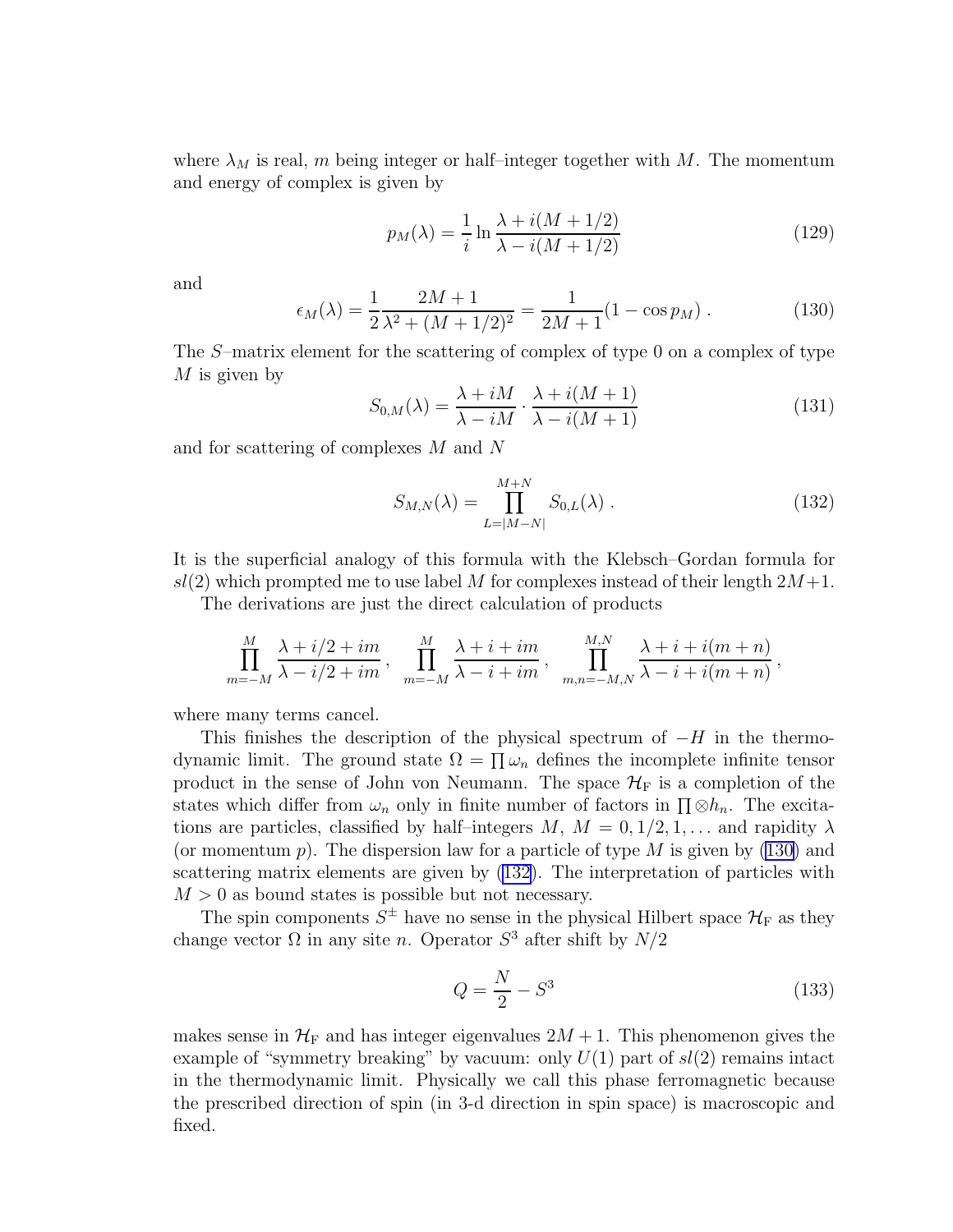<span id="page-18-0"></span>where  $\lambda_M$  is real, m being integer or half–integer together with M. The momentum and energy of complex is given by

$$
p_M(\lambda) = \frac{1}{i} \ln \frac{\lambda + i(M + 1/2)}{\lambda - i(M + 1/2)}
$$
\n(129)

and

$$
\epsilon_M(\lambda) = \frac{1}{2} \frac{2M + 1}{\lambda^2 + (M + 1/2)^2} = \frac{1}{2M + 1} (1 - \cos p_M) \,. \tag{130}
$$

The S–matrix element for the scattering of complex of type 0 on a complex of type  $M$  is given by

$$
S_{0,M}(\lambda) = \frac{\lambda + iM}{\lambda - iM} \cdot \frac{\lambda + i(M+1)}{\lambda - i(M+1)}
$$
(131)

and for scattering of complexes M and N

$$
S_{M,N}(\lambda) = \prod_{L=|M-N|}^{M+N} S_{0,L}(\lambda) .
$$
 (132)

It is the superficial analogy of this formula with the Klebsch–Gordan formula for  $sl(2)$  which prompted me to use label M for complexes instead of their length  $2M+1$ .

The derivations are just the direct calculation of products

$$
\prod_{m=-M}^{M} \frac{\lambda + i/2 + im}{\lambda - i/2 + im}, \quad \prod_{m=-M}^{M} \frac{\lambda + i + im}{\lambda - i + im}, \quad \prod_{m,n=-M,N}^{M,N} \frac{\lambda + i + i(m+n)}{\lambda - i + i(m+n)},
$$

where many terms cancel.

This finishes the description of the physical spectrum of  $-H$  in the thermodynamic limit. The ground state  $\Omega = \prod \omega_n$  defines the incomplete infinite tensor product in the sense of John von Neumann. The space  $\mathcal{H}_{\mathrm{F}}$  is a completion of the states which differ from  $\omega_n$  only in finite number of factors in  $\prod \otimes h_n$ . The excitations are particles, classified by half-integers  $M, M = 0, 1/2, 1, \ldots$  and rapidity  $\lambda$ (or momentum  $p$ ). The dispersion law for a particle of type M is given by (130) and scattering matrix elements are given by (132). The interpretation of particles with  $M > 0$  as bound states is possible but not necessary.

The spin components  $S^{\pm}$  have no sense in the physical Hilbert space  $\mathcal{H}_{F}$  as they change vector  $\Omega$  in any site n. Operator  $S^3$  after shift by  $N/2$ 

$$
Q = \frac{N}{2} - S^3 \tag{133}
$$

makes sense in  $\mathcal{H}_F$  and has integer eigenvalues  $2M + 1$ . This phenomenon gives the example of "symmetry breaking" by vacuum: only  $U(1)$  part of  $sl(2)$  remains intact in the thermodynamic limit. Physically we call this phase ferromagnetic because the prescribed direction of spin (in 3-d direction in spin space) is macroscopic and fixed.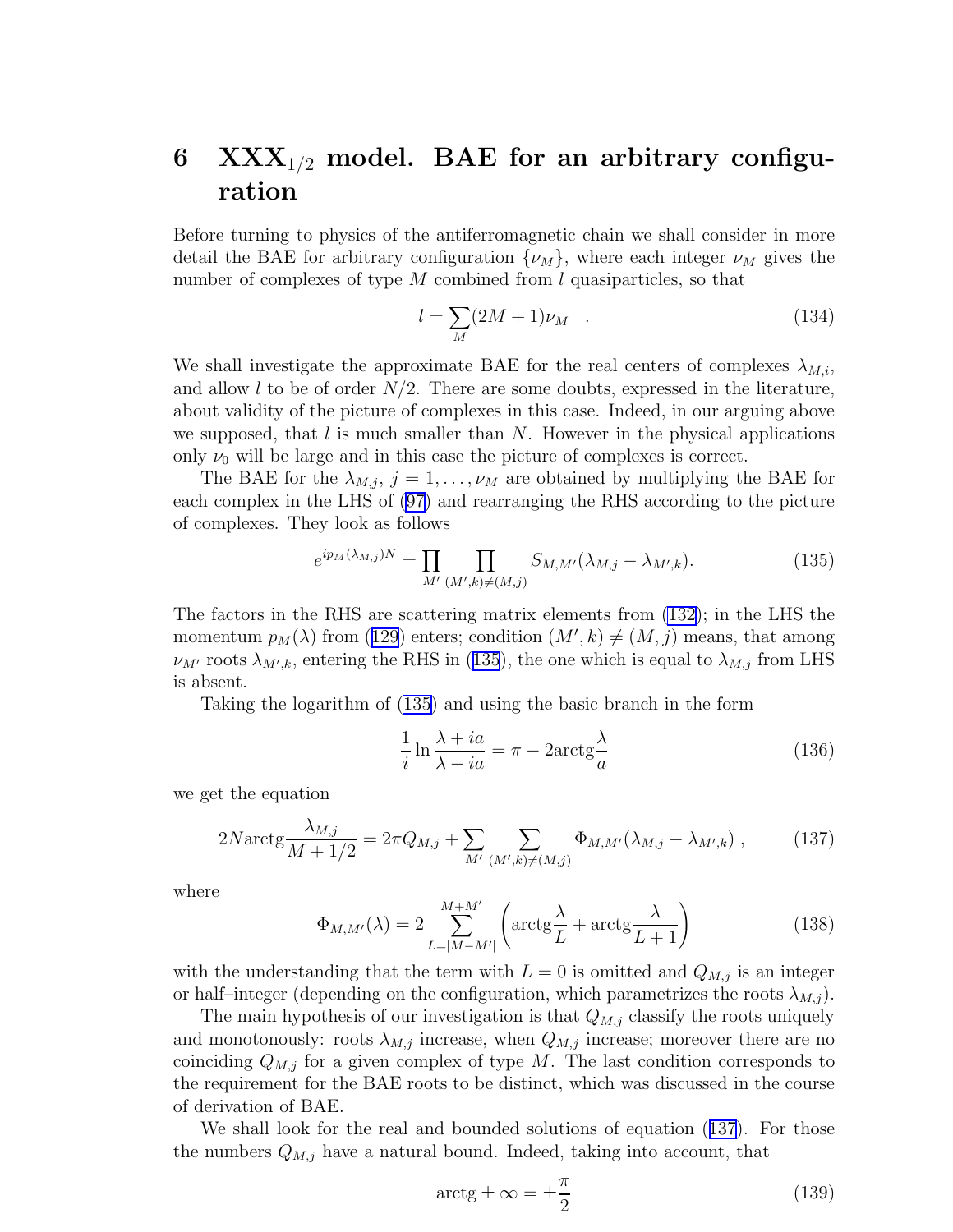### <span id="page-19-0"></span>6  $\text{XXX}_{1/2}$  model. BAE for an arbitrary configuration

Before turning to physics of the antiferromagnetic chain we shall consider in more detail the BAE for arbitrary configuration  $\{\nu_M\}$ , where each integer  $\nu_M$  gives the number of complexes of type  $M$  combined from  $l$  quasiparticles, so that

$$
l = \sum_{M} (2M + 1)\nu_M \quad . \tag{134}
$$

We shall investigate the approximate BAE for the real centers of complexes  $\lambda_{M,i}$ , and allow l to be of order  $N/2$ . There are some doubts, expressed in the literature, about validity of the picture of complexes in this case. Indeed, in our arguing above we supposed, that  $l$  is much smaller than  $N$ . However in the physical applications only  $\nu_0$  will be large and in this case the picture of complexes is correct.

The BAE for the  $\lambda_{M,j}$ ,  $j = 1, \ldots, \nu_M$  are obtained by multiplying the BAE for each complex in the LHS of [\(97\)](#page-13-0) and rearranging the RHS according to the picture of complexes. They look as follows

$$
e^{ip_M(\lambda_{M,j})N} = \prod_{M'} \prod_{(M',k)\neq(M,j)} S_{M,M'}(\lambda_{M,j} - \lambda_{M',k}).
$$
\n(135)

The factors in the RHS are scattering matrix elements from [\(132](#page-18-0)); in the LHS the momentum $p_M(\lambda)$  from ([129](#page-18-0)) enters; condition  $(M', k) \neq (M, j)$  means, that among  $\nu_{M'}$  roots  $\lambda_{M',k}$ , entering the RHS in (135), the one which is equal to  $\lambda_{M,j}$  from LHS is absent.

Taking the logarithm of (135) and using the basic branch in the form

$$
\frac{1}{i}\ln\frac{\lambda + ia}{\lambda - ia} = \pi - 2\arctg\frac{\lambda}{a}
$$
\n(136)

we get the equation

$$
2N \arctg \frac{\lambda_{M,j}}{M+1/2} = 2\pi Q_{M,j} + \sum_{M'} \sum_{(M',k)\neq(M,j)} \Phi_{M,M'}(\lambda_{M,j} - \lambda_{M',k}), \qquad (137)
$$

where

$$
\Phi_{M,M'}(\lambda) = 2 \sum_{L=|M-M'|}^{M+M'} \left( \arctg \frac{\lambda}{L} + \arctg \frac{\lambda}{L+1} \right) \tag{138}
$$

with the understanding that the term with  $L = 0$  is omitted and  $Q_{M,j}$  is an integer or half–integer (depending on the configuration, which parametrizes the roots  $\lambda_{M,j}$ ).

The main hypothesis of our investigation is that  $Q_{M,j}$  classify the roots uniquely and monotonously: roots  $\lambda_{M,j}$  increase, when  $Q_{M,j}$  increase; moreover there are no coinciding  $Q_{M,j}$  for a given complex of type M. The last condition corresponds to the requirement for the BAE roots to be distinct, which was discussed in the course of derivation of BAE.

We shall look for the real and bounded solutions of equation (137). For those the numbers  $Q_{M,j}$  have a natural bound. Indeed, taking into account, that

$$
\arctg \pm \infty = \pm \frac{\pi}{2} \tag{139}
$$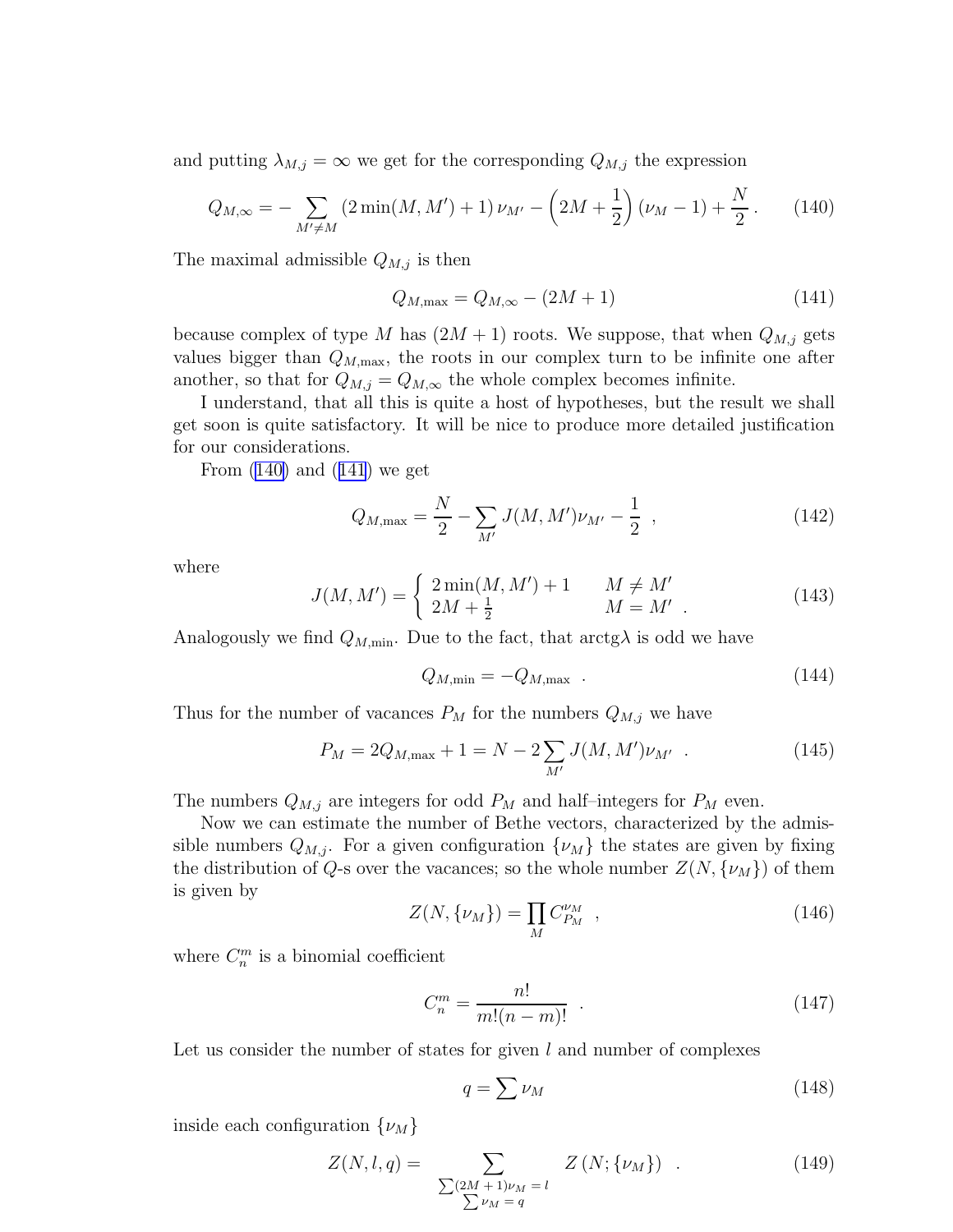and putting  $\lambda_{M,j} = \infty$  we get for the corresponding  $Q_{M,j}$  the expression

$$
Q_{M,\infty} = -\sum_{M' \neq M} \left(2\min(M, M') + 1\right) \nu_{M'} - \left(2M + \frac{1}{2}\right) \left(\nu_M - 1\right) + \frac{N}{2} \,. \tag{140}
$$

The maximal admissible  $Q_{M,j}$  is then

$$
Q_{M,\max} = Q_{M,\infty} - (2M + 1)
$$
\n(141)

because complex of type M has  $(2M + 1)$  roots. We suppose, that when  $Q_{M,j}$  gets values bigger than  $Q_{M,\text{max}}$ , the roots in our complex turn to be infinite one after another, so that for  $Q_{M,j} = Q_{M,\infty}$  the whole complex becomes infinite.

I understand, that all this is quite a host of hypotheses, but the result we shall get soon is quite satisfactory. It will be nice to produce more detailed justification for our considerations.

From  $(140)$  and  $(141)$  we get

$$
Q_{M,\max} = \frac{N}{2} - \sum_{M'} J(M, M') \nu_{M'} - \frac{1}{2} \tag{142}
$$

where

$$
J(M, M') = \begin{cases} 2\min(M, M') + 1 & M \neq M' \\ 2M + \frac{1}{2} & M = M' \end{cases} .
$$
 (143)

Analogously we find  $Q_{M,\text{min}}$ . Due to the fact, that  $\arctg\lambda$  is odd we have

$$
Q_{M,\min} = -Q_{M,\max} \quad . \tag{144}
$$

Thus for the number of vacances  $P_M$  for the numbers  $Q_{M,j}$  we have

$$
P_M = 2Q_{M,\text{max}} + 1 = N - 2\sum_{M'} J(M, M')\nu_{M'} . \qquad (145)
$$

The numbers  $Q_{M,j}$  are integers for odd  $P_M$  and half-integers for  $P_M$  even.

Now we can estimate the number of Bethe vectors, characterized by the admissible numbers  $Q_{M,i}$ . For a given configuration  $\{\nu_M\}$  the states are given by fixing the distribution of Q-s over the vacances; so the whole number  $Z(N, \{\nu_M\})$  of them is given by

$$
Z(N, \{\nu_M\}) = \prod_M C_{P_M}^{\nu_M} \t{146}
$$

where  $C_n^m$  is a binomial coefficient

$$
C_n^m = \frac{n!}{m!(n-m)!} \tag{147}
$$

Let us consider the number of states for given  $l$  and number of complexes

$$
q = \sum \nu_M \tag{148}
$$

inside each configuration  $\{\nu_M\}$ 

$$
Z(N, l, q) = \sum_{\substack{\sum (2M+1)\nu_M = l \\ \sum \nu_M = q}} Z(N; \{\nu_M\}) . \tag{149}
$$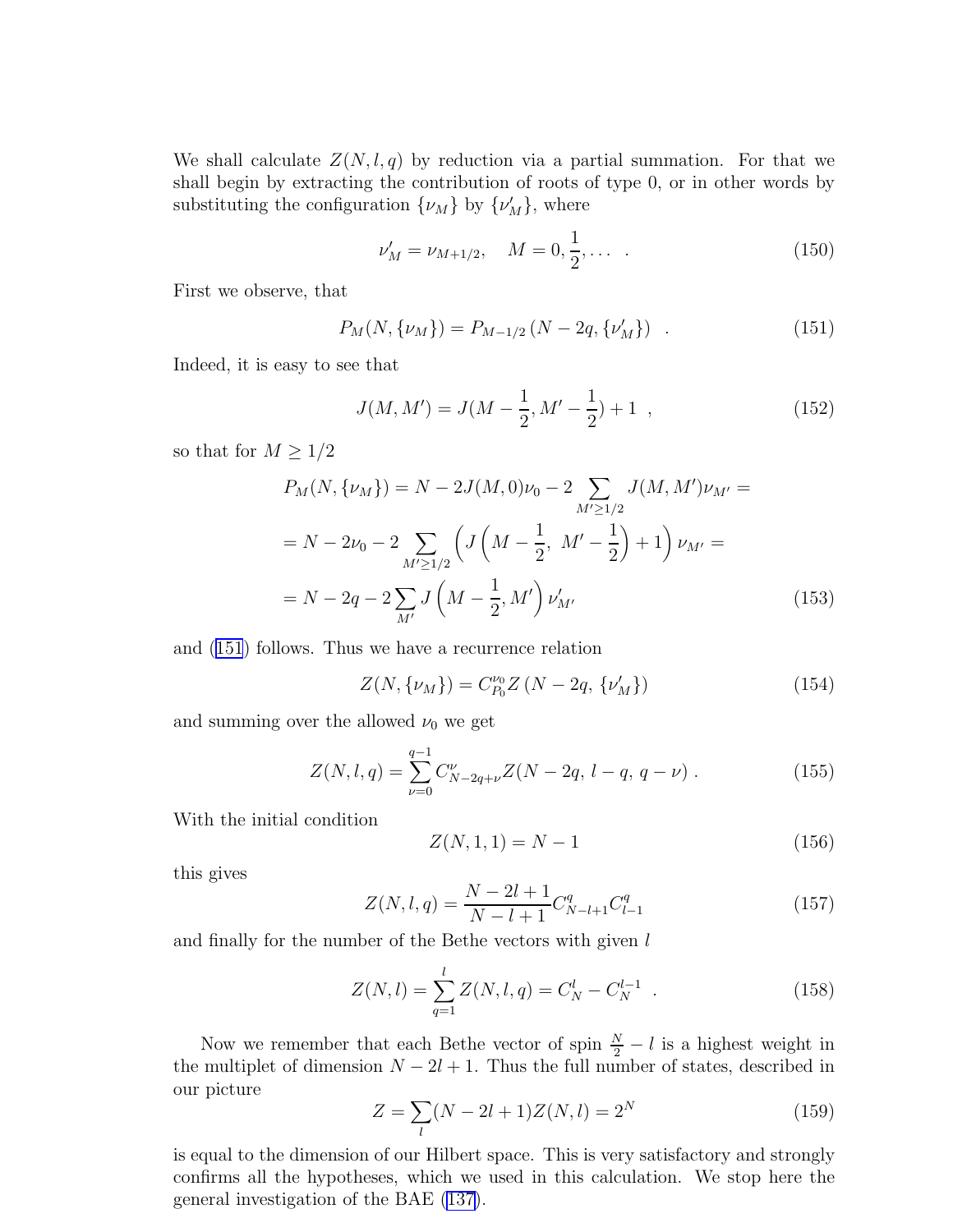We shall calculate  $Z(N, l, q)$  by reduction via a partial summation. For that we shall begin by extracting the contribution of roots of type 0, or in other words by substituting the configuration  $\{\nu_M\}$  by  $\{\nu'_M\}$ , where

$$
\nu'_M = \nu_{M+1/2}, \quad M = 0, \frac{1}{2}, \dots \tag{150}
$$

First we observe, that

$$
P_M(N, \{\nu_M\}) = P_{M-1/2} (N - 2q, \{\nu'_M\}) \quad . \tag{151}
$$

Indeed, it is easy to see that

$$
J(M, M') = J(M - \frac{1}{2}, M' - \frac{1}{2}) + 1 \t\t(152)
$$

so that for  $M \geq 1/2$ 

$$
P_M(N, \{\nu_M\}) = N - 2J(M, 0)\nu_0 - 2 \sum_{M' \ge 1/2} J(M, M')\nu_{M'} =
$$
  
=  $N - 2\nu_0 - 2 \sum_{M' \ge 1/2} \left( J\left(M - \frac{1}{2}, M' - \frac{1}{2}\right) + 1 \right) \nu_{M'} =$   
=  $N - 2q - 2 \sum_{M'} J\left(M - \frac{1}{2}, M'\right) \nu'_{M'}$  (153)

and (151) follows. Thus we have a recurrence relation

$$
Z(N, \{\nu_M\}) = C_{P_0}^{\nu_0} Z (N - 2q, \{\nu'_M\})
$$
\n(154)

and summing over the allowed  $\nu_0$  we get

$$
Z(N, l, q) = \sum_{\nu=0}^{q-1} C_{N-2q+\nu}^{\nu} Z(N - 2q, l - q, q - \nu) \tag{155}
$$

With the initial condition

$$
Z(N, 1, 1) = N - 1 \tag{156}
$$

this gives

$$
Z(N,l,q) = \frac{N-2l+1}{N-l+1} C_{N-l+1}^q C_{l-1}^q
$$
\n(157)

and finally for the number of the Bethe vectors with given  $l$ 

$$
Z(N,l) = \sum_{q=1}^{l} Z(N,l,q) = C_N^l - C_N^{l-1} . \qquad (158)
$$

Now we remember that each Bethe vector of spin  $\frac{N}{2} - l$  is a highest weight in the multiplet of dimension  $N - 2l + 1$ . Thus the full number of states, described in our picture

$$
Z = \sum_{l} (N - 2l + 1)Z(N, l) = 2N
$$
 (159)

is equal to the dimension of our Hilbert space. This is very satisfactory and strongly confirms all the hypotheses, which we used in this calculation. We stop here the general investigation of the BAE [\(137\)](#page-19-0).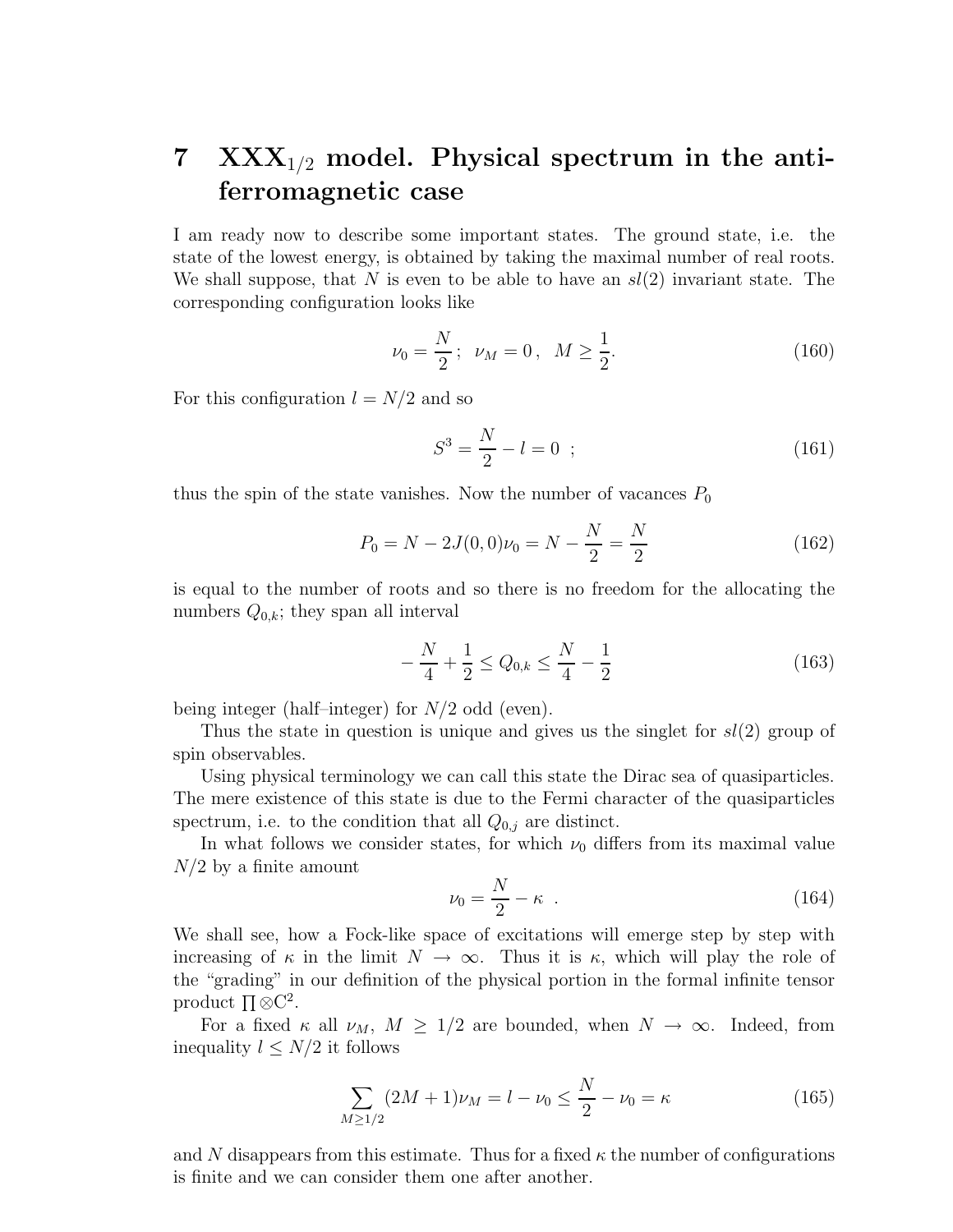# <span id="page-22-0"></span>7  $\text{XXX}_{1/2}$  model. Physical spectrum in the antiferromagnetic case

I am ready now to describe some important states. The ground state, i.e. the state of the lowest energy, is obtained by taking the maximal number of real roots. We shall suppose, that N is even to be able to have an  $sl(2)$  invariant state. The corresponding configuration looks like

$$
\nu_0 = \frac{N}{2}; \quad \nu_M = 0, \quad M \ge \frac{1}{2}.\tag{160}
$$

For this configuration  $l = N/2$  and so

$$
S^3 = \frac{N}{2} - l = 0 \tag{161}
$$

thus the spin of the state vanishes. Now the number of vacances  $P_0$ 

$$
P_0 = N - 2J(0,0)\nu_0 = N - \frac{N}{2} = \frac{N}{2}
$$
\n(162)

is equal to the number of roots and so there is no freedom for the allocating the numbers  $Q_{0,k}$ ; they span all interval

$$
-\frac{N}{4} + \frac{1}{2} \le Q_{0,k} \le \frac{N}{4} - \frac{1}{2}
$$
\n(163)

being integer (half–integer) for  $N/2$  odd (even).

Thus the state in question is unique and gives us the singlet for  $sl(2)$  group of spin observables.

Using physical terminology we can call this state the Dirac sea of quasiparticles. The mere existence of this state is due to the Fermi character of the quasiparticles spectrum, i.e. to the condition that all  $Q_{0,j}$  are distinct.

In what follows we consider states, for which  $\nu_0$  differs from its maximal value  $N/2$  by a finite amount

$$
\nu_0 = \frac{N}{2} - \kappa \tag{164}
$$

We shall see, how a Fock-like space of excitations will emerge step by step with increasing of  $\kappa$  in the limit  $N \to \infty$ . Thus it is  $\kappa$ , which will play the role of the "grading" in our definition of the physical portion in the formal infinite tensor product  $\Pi \otimes C^2$ .

For a fixed  $\kappa$  all  $\nu_M$ ,  $M \geq 1/2$  are bounded, when  $N \to \infty$ . Indeed, from inequality  $l \leq N/2$  it follows

$$
\sum_{M \ge 1/2} (2M + 1)\nu_M = l - \nu_0 \le \frac{N}{2} - \nu_0 = \kappa \tag{165}
$$

and N disappears from this estimate. Thus for a fixed  $\kappa$  the number of configurations is finite and we can consider them one after another.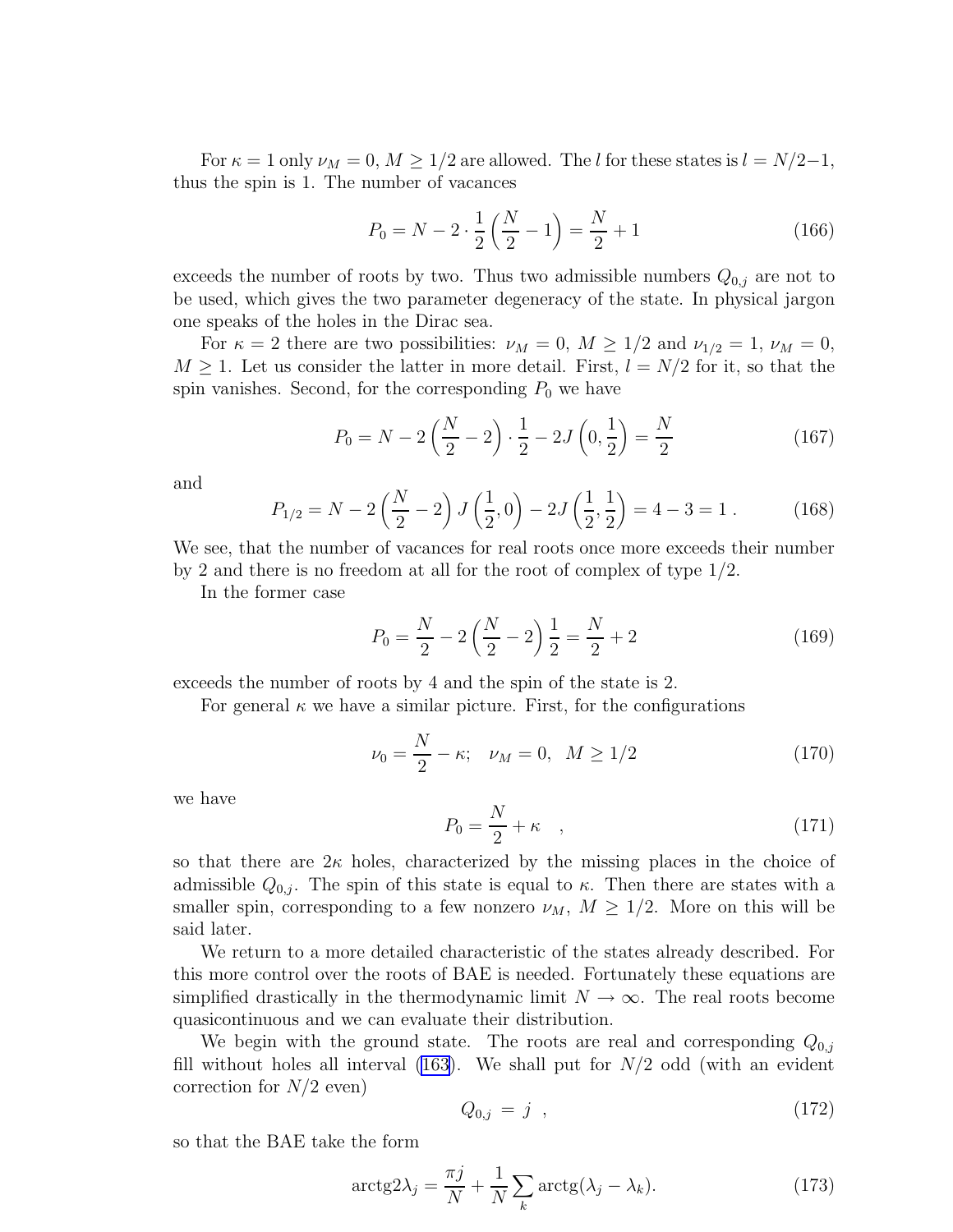<span id="page-23-0"></span>For  $\kappa = 1$  only  $\nu_M = 0, M \geq 1/2$  are allowed. The l for these states is  $l = N/2-1$ , thus the spin is 1. The number of vacances

$$
P_0 = N - 2 \cdot \frac{1}{2} \left( \frac{N}{2} - 1 \right) = \frac{N}{2} + 1 \tag{166}
$$

exceeds the number of roots by two. Thus two admissible numbers  $Q_{0,i}$  are not to be used, which gives the two parameter degeneracy of the state. In physical jargon one speaks of the holes in the Dirac sea.

For  $\kappa = 2$  there are two possibilities:  $\nu_M = 0$ ,  $M \ge 1/2$  and  $\nu_{1/2} = 1$ ,  $\nu_M = 0$ ,  $M \geq 1$ . Let us consider the latter in more detail. First,  $l = N/2$  for it, so that the spin vanishes. Second, for the corresponding  $P_0$  we have

$$
P_0 = N - 2\left(\frac{N}{2} - 2\right) \cdot \frac{1}{2} - 2J\left(0, \frac{1}{2}\right) = \frac{N}{2} \tag{167}
$$

and

$$
P_{1/2} = N - 2\left(\frac{N}{2} - 2\right)J\left(\frac{1}{2}, 0\right) - 2J\left(\frac{1}{2}, \frac{1}{2}\right) = 4 - 3 = 1.
$$
 (168)

We see, that the number of vacances for real roots once more exceeds their number by 2 and there is no freedom at all for the root of complex of type 1/2.

In the former case

$$
P_0 = \frac{N}{2} - 2\left(\frac{N}{2} - 2\right)\frac{1}{2} = \frac{N}{2} + 2\tag{169}
$$

exceeds the number of roots by 4 and the spin of the state is 2.

For general  $\kappa$  we have a similar picture. First, for the configurations

$$
\nu_0 = \frac{N}{2} - \kappa; \quad \nu_M = 0, \ \ M \ge 1/2 \tag{170}
$$

we have

$$
P_0 = \frac{N}{2} + \kappa \quad , \tag{171}
$$

so that there are  $2\kappa$  holes, characterized by the missing places in the choice of admissible  $Q_{0,j}$ . The spin of this state is equal to  $\kappa$ . Then there are states with a smaller spin, corresponding to a few nonzero  $\nu_M$ ,  $M \geq 1/2$ . More on this will be said later.

We return to a more detailed characteristic of the states already described. For this more control over the roots of BAE is needed. Fortunately these equations are simplified drastically in the thermodynamic limit  $N \to \infty$ . The real roots become quasicontinuous and we can evaluate their distribution.

We begin with the ground state. The roots are real and corresponding  $Q_{0,i}$ fill without holes all interval [\(163\)](#page-22-0). We shall put for  $N/2$  odd (with an evident correction for  $N/2$  even)

$$
Q_{0,j} = j \t\t(172)
$$

so that the BAE take the form

$$
\operatorname{arctg2}\lambda_j = \frac{\pi j}{N} + \frac{1}{N} \sum_{k} \operatorname{arctg}(\lambda_j - \lambda_k). \tag{173}
$$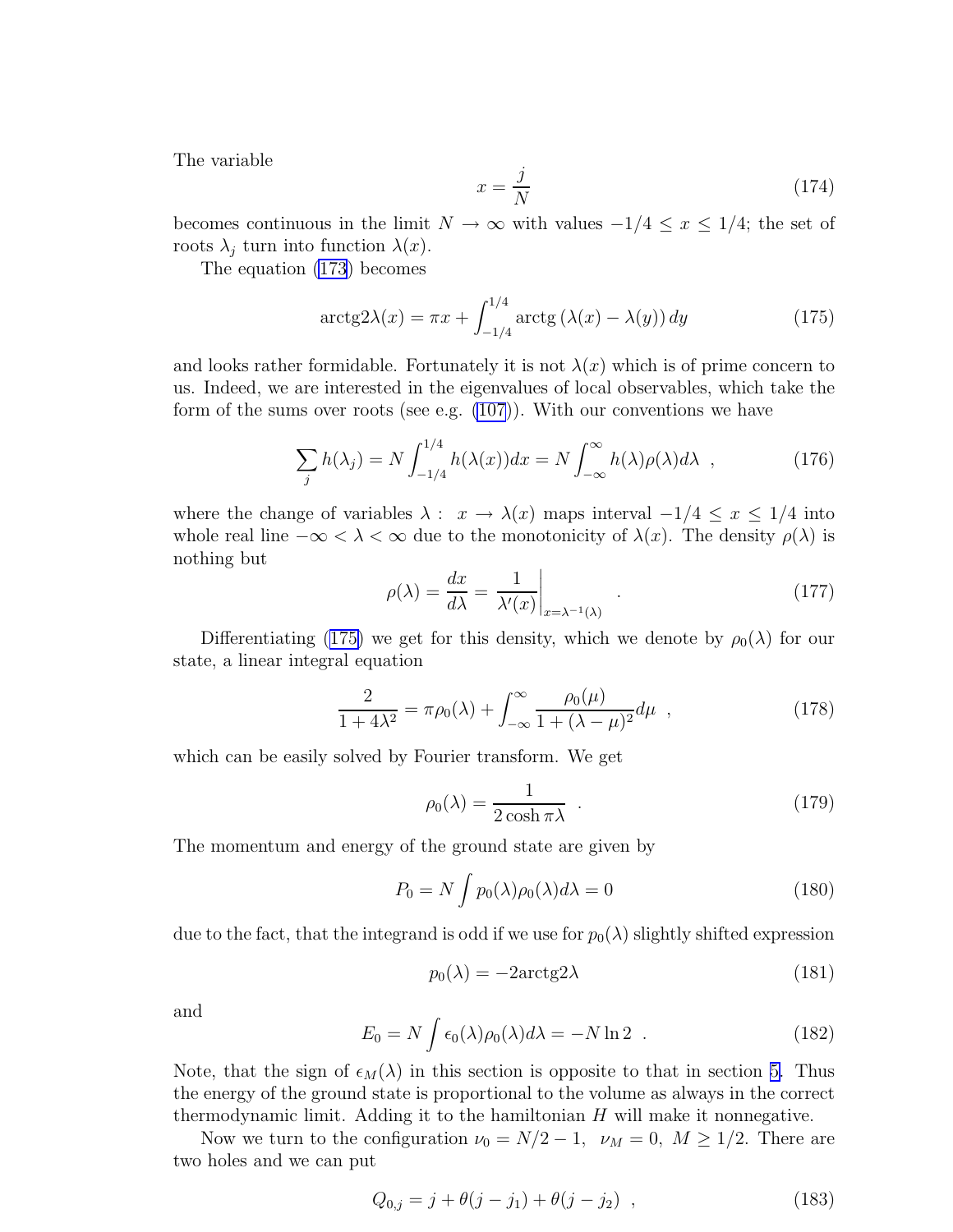The variable

$$
x = \frac{j}{N} \tag{174}
$$

becomes continuous in the limit  $N \to \infty$  with values  $-1/4 \leq x \leq 1/4$ ; the set of roots  $\lambda_j$  turn into function  $\lambda(x)$ .

The equation [\(173\)](#page-23-0) becomes

$$
\arctg 2\lambda(x) = \pi x + \int_{-1/4}^{1/4} \arctg \left( \lambda(x) - \lambda(y) \right) dy \tag{175}
$$

and looks rather formidable. Fortunately it is not  $\lambda(x)$  which is of prime concern to us. Indeed, we are interested in the eigenvalues of local observables, which take the form of the sums over roots (see e.g.  $(107)$ ). With our conventions we have

$$
\sum_{j} h(\lambda_j) = N \int_{-1/4}^{1/4} h(\lambda(x)) dx = N \int_{-\infty}^{\infty} h(\lambda) \rho(\lambda) d\lambda , \qquad (176)
$$

where the change of variables  $\lambda : x \to \lambda(x)$  maps interval  $-1/4 \leq x \leq 1/4$  into whole real line  $-\infty < \lambda < \infty$  due to the monotonicity of  $\lambda(x)$ . The density  $\rho(\lambda)$  is nothing but

$$
\rho(\lambda) = \frac{dx}{d\lambda} = \frac{1}{\lambda'(x)}\bigg|_{x = \lambda^{-1}(\lambda)}.
$$
\n(177)

Differentiating (175) we get for this density, which we denote by  $\rho_0(\lambda)$  for our state, a linear integral equation

$$
\frac{2}{1+4\lambda^2} = \pi \rho_0(\lambda) + \int_{-\infty}^{\infty} \frac{\rho_0(\mu)}{1+(\lambda-\mu)^2} d\mu \quad , \tag{178}
$$

which can be easily solved by Fourier transform. We get

$$
\rho_0(\lambda) = \frac{1}{2\cosh \pi \lambda} \quad . \tag{179}
$$

The momentum and energy of the ground state are given by

$$
P_0 = N \int p_0(\lambda) \rho_0(\lambda) d\lambda = 0
$$
\n(180)

due to the fact, that the integrand is odd if we use for  $p_0(\lambda)$  slightly shifted expression

$$
p_0(\lambda) = -2\arctg 2\lambda\tag{181}
$$

and

$$
E_0 = N \int \epsilon_0(\lambda) \rho_0(\lambda) d\lambda = -N \ln 2 \quad . \tag{182}
$$

Note, that the sign of  $\epsilon_M(\lambda)$  in this section is opposite to that in section [5.](#page-16-0) Thus the energy of the ground state is proportional to the volume as always in the correct thermodynamic limit. Adding it to the hamiltonian  $H$  will make it nonnegative.

Now we turn to the configuration  $\nu_0 = N/2 - 1$ ,  $\nu_M = 0$ ,  $M \ge 1/2$ . There are two holes and we can put

$$
Q_{0,j} = j + \theta(j - j_1) + \theta(j - j_2) \quad , \tag{183}
$$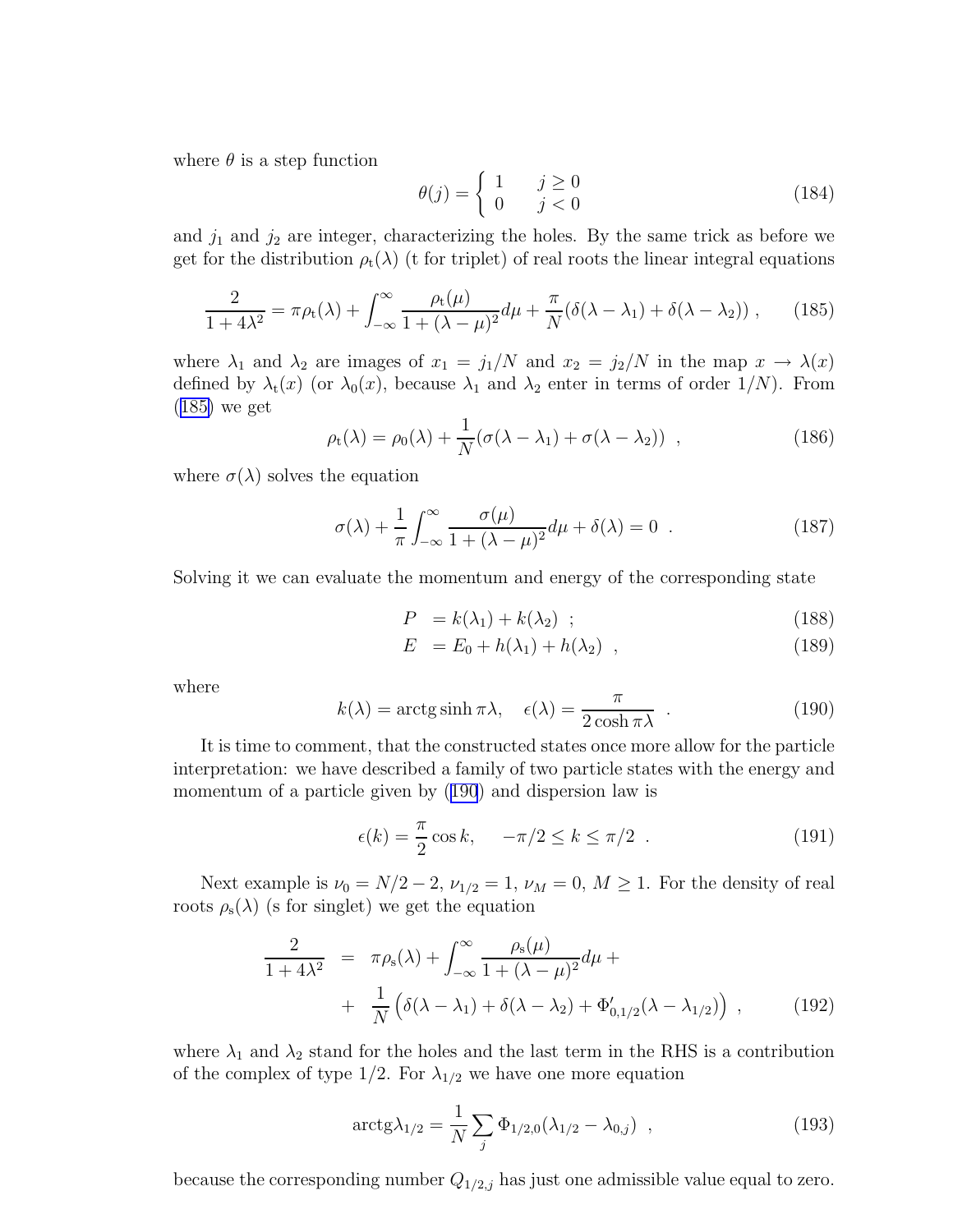<span id="page-25-0"></span>where  $\theta$  is a step function

$$
\theta(j) = \begin{cases} 1 & j \ge 0 \\ 0 & j < 0 \end{cases}
$$
 (184)

and  $j_1$  and  $j_2$  are integer, characterizing the holes. By the same trick as before we get for the distribution  $\rho_t(\lambda)$  (t for triplet) of real roots the linear integral equations

$$
\frac{2}{1+4\lambda^2} = \pi \rho_t(\lambda) + \int_{-\infty}^{\infty} \frac{\rho_t(\mu)}{1+(\lambda-\mu)^2} d\mu + \frac{\pi}{N} (\delta(\lambda-\lambda_1) + \delta(\lambda-\lambda_2)), \qquad (185)
$$

where  $\lambda_1$  and  $\lambda_2$  are images of  $x_1 = j_1/N$  and  $x_2 = j_2/N$  in the map  $x \to \lambda(x)$ defined by  $\lambda_t(x)$  (or  $\lambda_0(x)$ , because  $\lambda_1$  and  $\lambda_2$  enter in terms of order  $1/N$ ). From (185) we get

$$
\rho_t(\lambda) = \rho_0(\lambda) + \frac{1}{N} (\sigma(\lambda - \lambda_1) + \sigma(\lambda - \lambda_2)) \quad , \tag{186}
$$

where  $\sigma(\lambda)$  solves the equation

$$
\sigma(\lambda) + \frac{1}{\pi} \int_{-\infty}^{\infty} \frac{\sigma(\mu)}{1 + (\lambda - \mu)^2} d\mu + \delta(\lambda) = 0 \quad . \tag{187}
$$

Solving it we can evaluate the momentum and energy of the corresponding state

$$
P = k(\lambda_1) + k(\lambda_2) \quad ; \tag{188}
$$

$$
E = E_0 + h(\lambda_1) + h(\lambda_2) \quad , \tag{189}
$$

where

$$
k(\lambda) = \arctg \sinh \pi \lambda, \quad \epsilon(\lambda) = \frac{\pi}{2 \cosh \pi \lambda} \tag{190}
$$

It is time to comment, that the constructed states once more allow for the particle interpretation: we have described a family of two particle states with the energy and momentum of a particle given by (190) and dispersion law is

$$
\epsilon(k) = \frac{\pi}{2}\cos k, \quad -\pi/2 \le k \le \pi/2 \quad . \tag{191}
$$

Next example is  $\nu_0 = N/2 - 2$ ,  $\nu_{1/2} = 1$ ,  $\nu_M = 0$ ,  $M \ge 1$ . For the density of real roots  $\rho_s(\lambda)$  (s for singlet) we get the equation

$$
\frac{2}{1+4\lambda^2} = \pi \rho_s(\lambda) + \int_{-\infty}^{\infty} \frac{\rho_s(\mu)}{1+(\lambda-\mu)^2} d\mu + \n+ \frac{1}{N} \left( \delta(\lambda - \lambda_1) + \delta(\lambda - \lambda_2) + \Phi'_{0,1/2}(\lambda - \lambda_{1/2}) \right) ,
$$
\n(192)

where  $\lambda_1$  and  $\lambda_2$  stand for the holes and the last term in the RHS is a contribution of the complex of type  $1/2$ . For  $\lambda_{1/2}$  we have one more equation

$$
\arctg\lambda_{1/2} = \frac{1}{N} \sum_{j} \Phi_{1/2,0}(\lambda_{1/2} - \lambda_{0,j}) \quad , \tag{193}
$$

because the corresponding number  $Q_{1/2,j}$  has just one admissible value equal to zero.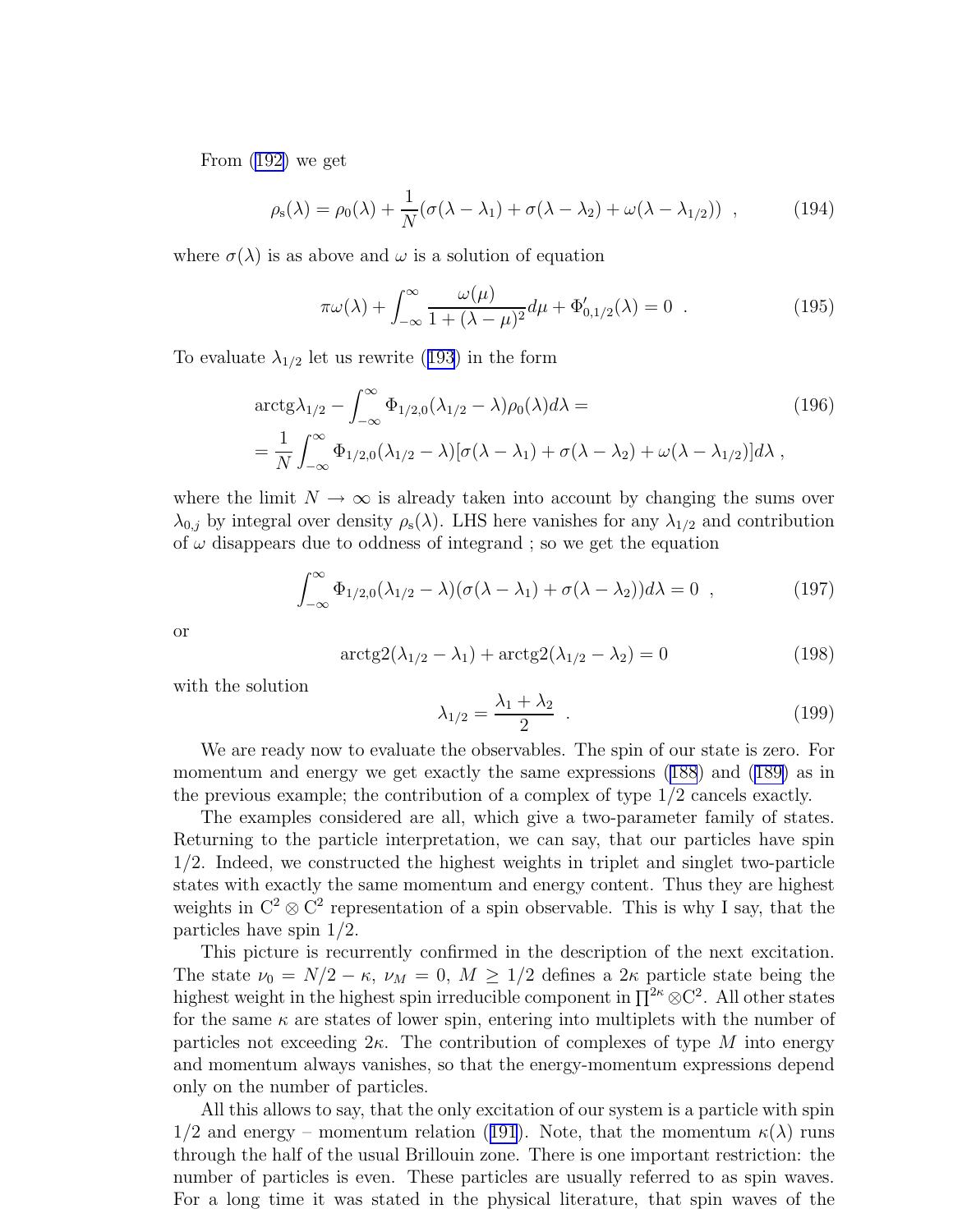From [\(192\)](#page-25-0) we get

$$
\rho_{\rm s}(\lambda) = \rho_0(\lambda) + \frac{1}{N} (\sigma(\lambda - \lambda_1) + \sigma(\lambda - \lambda_2) + \omega(\lambda - \lambda_{1/2})) \quad , \tag{194}
$$

where  $\sigma(\lambda)$  is as above and  $\omega$  is a solution of equation

$$
\pi \omega(\lambda) + \int_{-\infty}^{\infty} \frac{\omega(\mu)}{1 + (\lambda - \mu)^2} d\mu + \Phi'_{0,1/2}(\lambda) = 0 \quad . \tag{195}
$$

Toevaluate  $\lambda_{1/2}$  let us rewrite ([193](#page-25-0)) in the form

$$
\begin{split} &\arctg\lambda_{1/2} - \int_{-\infty}^{\infty} \Phi_{1/2,0}(\lambda_{1/2} - \lambda)\rho_0(\lambda)d\lambda = \\ &= \frac{1}{N} \int_{-\infty}^{\infty} \Phi_{1/2,0}(\lambda_{1/2} - \lambda)[\sigma(\lambda - \lambda_1) + \sigma(\lambda - \lambda_2) + \omega(\lambda - \lambda_{1/2})]d\lambda \;, \end{split} \tag{196}
$$

where the limit  $N \to \infty$  is already taken into account by changing the sums over  $\lambda_{0,j}$  by integral over density  $\rho_s(\lambda)$ . LHS here vanishes for any  $\lambda_{1/2}$  and contribution of  $\omega$  disappears due to oddness of integrand; so we get the equation

$$
\int_{-\infty}^{\infty} \Phi_{1/2,0}(\lambda_{1/2} - \lambda)(\sigma(\lambda - \lambda_1) + \sigma(\lambda - \lambda_2))d\lambda = 0 , \qquad (197)
$$

or

$$
\arctg( \lambda_{1/2} - \lambda_1) + \arctg( \lambda_{1/2} - \lambda_2) = 0 \tag{198}
$$

with the solution

$$
\lambda_{1/2} = \frac{\lambda_1 + \lambda_2}{2} \tag{199}
$$

We are ready now to evaluate the observables. The spin of our state is zero. For momentum and energy we get exactly the same expressions([188](#page-25-0)) and [\(189\)](#page-25-0) as in the previous example; the contribution of a complex of type 1/2 cancels exactly.

The examples considered are all, which give a two-parameter family of states. Returning to the particle interpretation, we can say, that our particles have spin 1/2. Indeed, we constructed the highest weights in triplet and singlet two-particle states with exactly the same momentum and energy content. Thus they are highest weights in  $\mathbb{C}^2 \otimes \mathbb{C}^2$  representation of a spin observable. This is why I say, that the particles have spin 1/2.

This picture is recurrently confirmed in the description of the next excitation. The state  $\nu_0 = N/2 - \kappa$ ,  $\nu_M = 0$ ,  $M \ge 1/2$  defines a  $2\kappa$  particle state being the highest weight in the highest spin irreducible component in  $\prod^{2\kappa} \otimes C^2$ . All other states for the same  $\kappa$  are states of lower spin, entering into multiplets with the number of particles not exceeding  $2\kappa$ . The contribution of complexes of type M into energy and momentum always vanishes, so that the energy-momentum expressions depend only on the number of particles.

All this allows to say, that the only excitation of our system is a particle with spin  $1/2$ and energy – momentum relation ([191](#page-25-0)). Note, that the momentum  $\kappa(\lambda)$  runs through the half of the usual Brillouin zone. There is one important restriction: the number of particles is even. These particles are usually referred to as spin waves. For a long time it was stated in the physical literature, that spin waves of the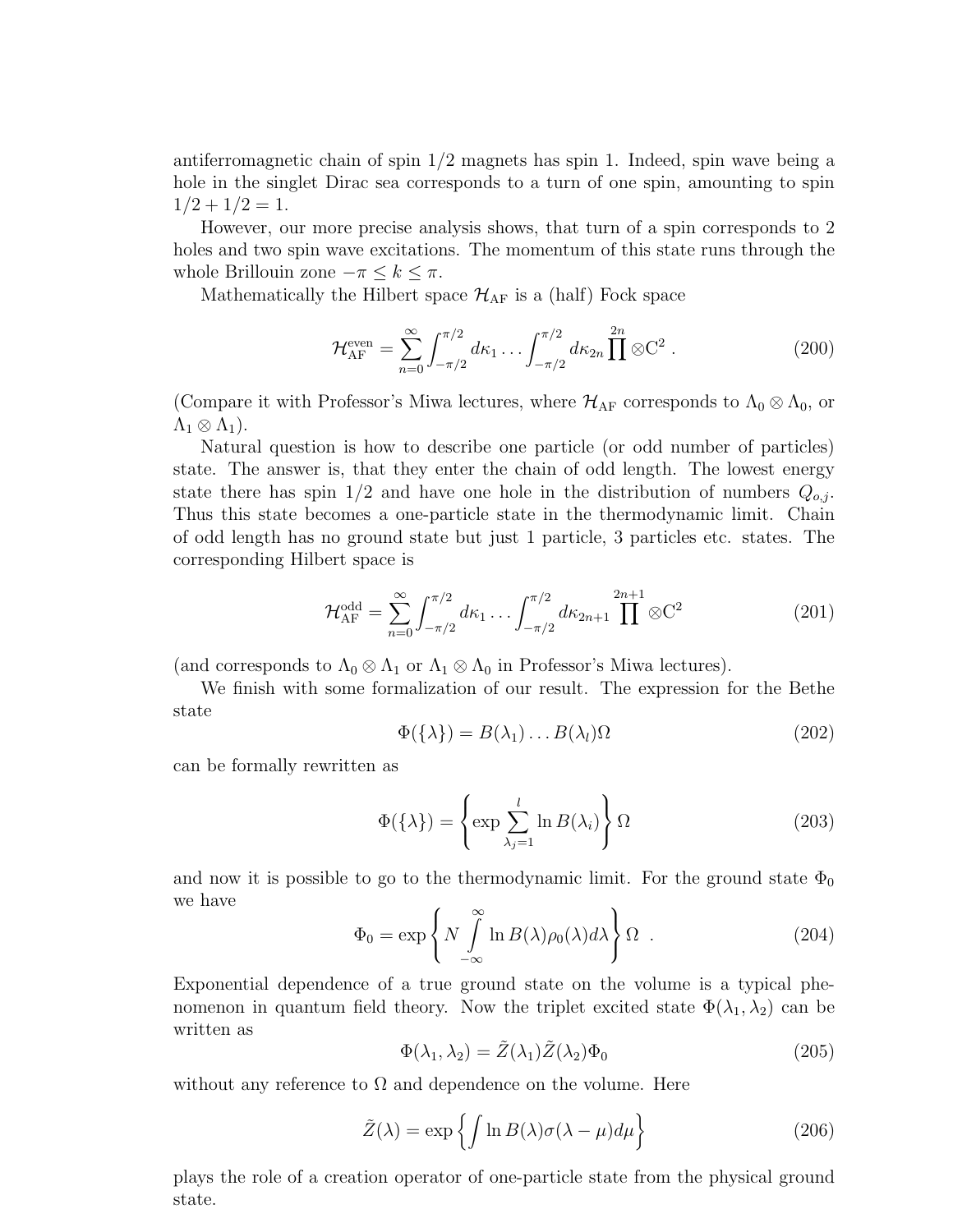antiferromagnetic chain of spin  $1/2$  magnets has spin 1. Indeed, spin wave being a hole in the singlet Dirac sea corresponds to a turn of one spin, amounting to spin  $1/2 + 1/2 = 1.$ 

However, our more precise analysis shows, that turn of a spin corresponds to 2 holes and two spin wave excitations. The momentum of this state runs through the whole Brillouin zone  $-\pi \leq k \leq \pi$ .

Mathematically the Hilbert space  $\mathcal{H}_{AF}$  is a (half) Fock space

$$
\mathcal{H}_{\rm AF}^{\rm even} = \sum_{n=0}^{\infty} \int_{-\pi/2}^{\pi/2} d\kappa_1 \dots \int_{-\pi/2}^{\pi/2} d\kappa_{2n} \prod_{n=0}^{2n} \otimes C^2 \,. \tag{200}
$$

(Compare it with Professor's Miwa lectures, where  $\mathcal{H}_{AF}$  corresponds to  $\Lambda_0 \otimes \Lambda_0$ , or  $\Lambda_1 \otimes \Lambda_1$ ).

Natural question is how to describe one particle (or odd number of particles) state. The answer is, that they enter the chain of odd length. The lowest energy state there has spin  $1/2$  and have one hole in the distribution of numbers  $Q_{o,i}$ . Thus this state becomes a one-particle state in the thermodynamic limit. Chain of odd length has no ground state but just 1 particle, 3 particles etc. states. The corresponding Hilbert space is

$$
\mathcal{H}_{\rm AF}^{\rm odd} = \sum_{n=0}^{\infty} \int_{-\pi/2}^{\pi/2} d\kappa_1 \dots \int_{-\pi/2}^{\pi/2} d\kappa_{2n+1} \prod_{n=0}^{2n+1} \otimes C^2 \tag{201}
$$

(and corresponds to  $\Lambda_0 \otimes \Lambda_1$  or  $\Lambda_1 \otimes \Lambda_0$  in Professor's Miwa lectures).

We finish with some formalization of our result. The expression for the Bethe state

$$
\Phi(\{\lambda\}) = B(\lambda_1) \dots B(\lambda_l) \Omega \tag{202}
$$

can be formally rewritten as

$$
\Phi(\{\lambda\}) = \left\{ \exp \sum_{\lambda_j=1}^{l} \ln B(\lambda_i) \right\} \Omega \tag{203}
$$

and now it is possible to go to the thermodynamic limit. For the ground state  $\Phi_0$ we have

$$
\Phi_0 = \exp\left\{ N \int_{-\infty}^{\infty} \ln B(\lambda) \rho_0(\lambda) d\lambda \right\} \Omega . \tag{204}
$$

Exponential dependence of a true ground state on the volume is a typical phenomenon in quantum field theory. Now the triplet excited state  $\Phi(\lambda_1, \lambda_2)$  can be written as

$$
\Phi(\lambda_1, \lambda_2) = \tilde{Z}(\lambda_1)\tilde{Z}(\lambda_2)\Phi_0
$$
\n(205)

without any reference to  $\Omega$  and dependence on the volume. Here

$$
\tilde{Z}(\lambda) = \exp\left\{ \int \ln B(\lambda)\sigma(\lambda - \mu)d\mu \right\}
$$
\n(206)

plays the role of a creation operator of one-particle state from the physical ground state.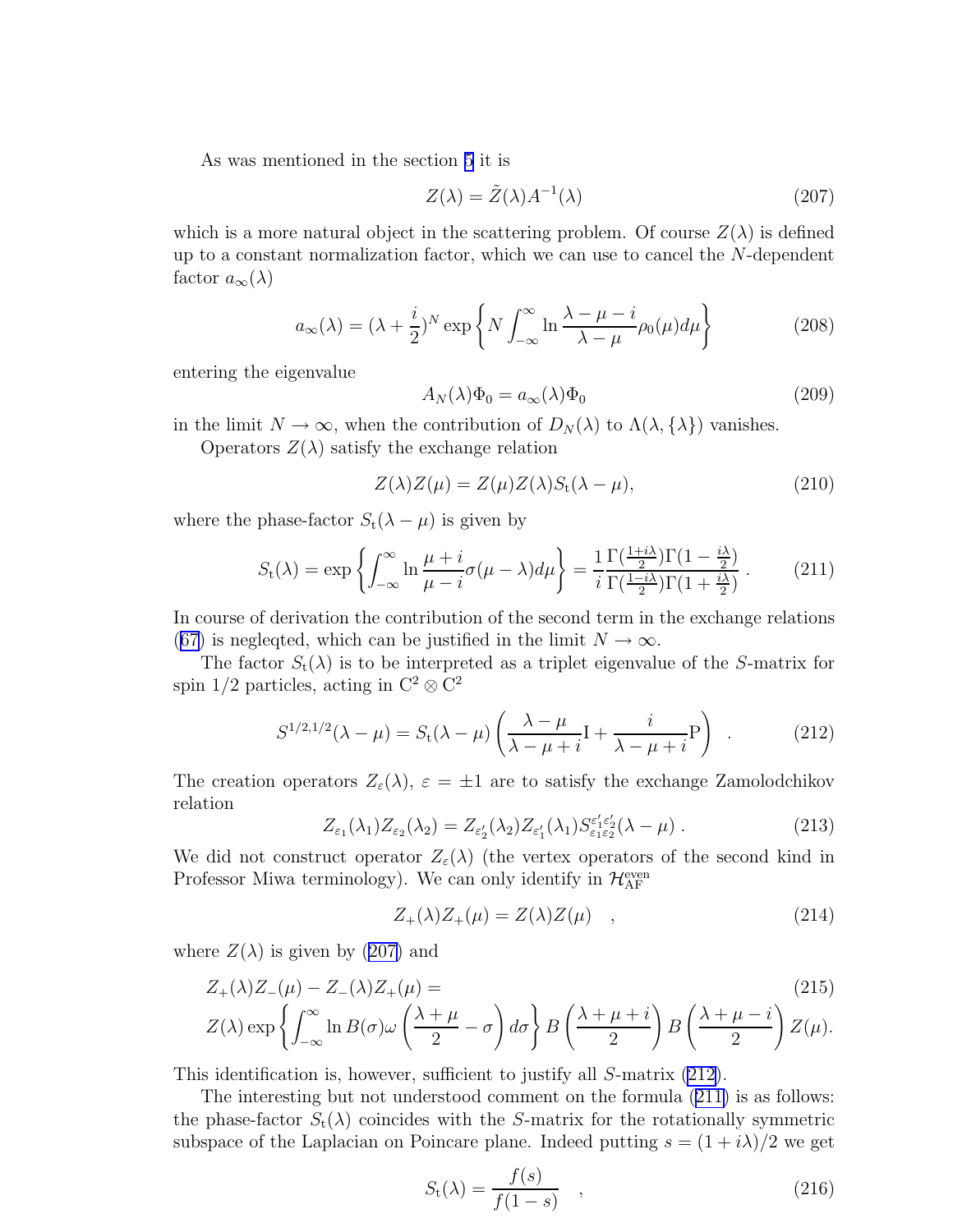<span id="page-28-0"></span>As was mentioned in the section [5](#page-16-0) it is

$$
Z(\lambda) = \tilde{Z}(\lambda)A^{-1}(\lambda)
$$
\n(207)

which is a more natural object in the scattering problem. Of course  $Z(\lambda)$  is defined up to a constant normalization factor, which we can use to cancel the N-dependent factor  $a_{\infty}(\lambda)$ 

$$
a_{\infty}(\lambda) = (\lambda + \frac{i}{2})^N \exp\left\{ N \int_{-\infty}^{\infty} \ln \frac{\lambda - \mu - i}{\lambda - \mu} \rho_0(\mu) d\mu \right\}
$$
(208)

entering the eigenvalue

$$
A_N(\lambda)\Phi_0 = a_\infty(\lambda)\Phi_0 \tag{209}
$$

in the limit  $N \to \infty$ , when the contribution of  $D_N(\lambda)$  to  $\Lambda(\lambda, {\lambda})$  vanishes.

Operators  $Z(\lambda)$  satisfy the exchange relation

$$
Z(\lambda)Z(\mu) = Z(\mu)Z(\lambda)S_t(\lambda - \mu),
$$
\n(210)

where the phase-factor  $S_t(\lambda - \mu)$  is given by

$$
S_{t}(\lambda) = \exp\left\{ \int_{-\infty}^{\infty} \ln \frac{\mu + i}{\mu - i} \sigma(\mu - \lambda) d\mu \right\} = \frac{1}{i} \frac{\Gamma(\frac{1+i\lambda}{2}) \Gamma(1 - \frac{i\lambda}{2})}{\Gamma(\frac{1-i\lambda}{2}) \Gamma(1 + \frac{i\lambda}{2})} \,. \tag{211}
$$

In course of derivation the contribution of the second term in the exchange relations ([67\)](#page-10-0) is neglegted, which can be justified in the limit  $N \to \infty$ .

The factor  $S_t(\lambda)$  is to be interpreted as a triplet eigenvalue of the S-matrix for spin 1/2 particles, acting in  $\mathbb{C}^2 \otimes \mathbb{C}^2$ 

$$
S^{1/2,1/2}(\lambda - \mu) = S_t(\lambda - \mu) \left( \frac{\lambda - \mu}{\lambda - \mu + i} \mathbf{I} + \frac{i}{\lambda - \mu + i} \mathbf{P} \right) \tag{212}
$$

The creation operators  $Z_{\varepsilon}(\lambda), \varepsilon = \pm 1$  are to satisfy the exchange Zamolodchikov relation

$$
Z_{\varepsilon_1}(\lambda_1)Z_{\varepsilon_2}(\lambda_2) = Z_{\varepsilon_2'}(\lambda_2)Z_{\varepsilon_1'}(\lambda_1)S_{\varepsilon_1\varepsilon_2'}^{\varepsilon_1'\varepsilon_2'}(\lambda-\mu) \ . \tag{213}
$$

We did not construct operator  $Z_{\varepsilon}(\lambda)$  (the vertex operators of the second kind in Professor Miwa terminology). We can only identify in  $\mathcal{H}_{\rm AF}^{\rm even}$ 

$$
Z_{+}(\lambda)Z_{+}(\mu) = Z(\lambda)Z(\mu) \quad , \tag{214}
$$

where  $Z(\lambda)$  is given by (207) and

$$
Z_{+}(\lambda)Z_{-}(\mu) - Z_{-}(\lambda)Z_{+}(\mu) =
$$
\n
$$
Z(\lambda) \exp\left\{ \int_{-\infty}^{\infty} \ln B(\sigma) \omega \left( \frac{\lambda + \mu}{2} - \sigma \right) d\sigma \right\} B\left( \frac{\lambda + \mu + i}{2} \right) B\left( \frac{\lambda + \mu - i}{2} \right) Z(\mu).
$$
\n(215)

This identification is, however, sufficient to justify all S-matrix (212).

The interesting but not understood comment on the formula (211) is as follows: the phase-factor  $S_t(\lambda)$  coincides with the S-matrix for the rotationally symmetric subspace of the Laplacian on Poincare plane. Indeed putting  $s = (1 + i\lambda)/2$  we get

$$
S_{t}(\lambda) = \frac{f(s)}{f(1-s)} \quad , \tag{216}
$$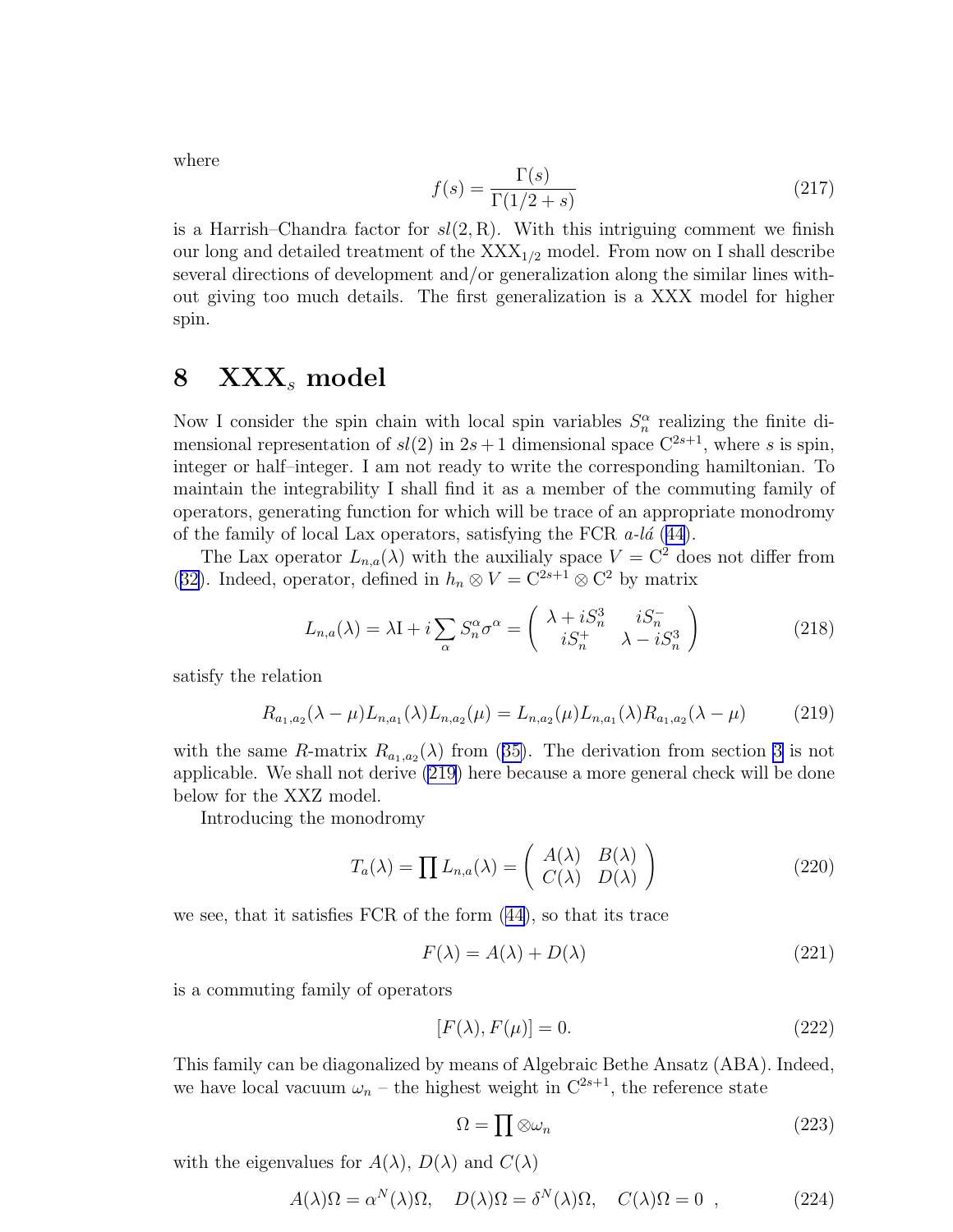<span id="page-29-0"></span>where

$$
f(s) = \frac{\Gamma(s)}{\Gamma(1/2 + s)}\tag{217}
$$

is a Harrish–Chandra factor for  $sl(2, R)$ . With this intriguing comment we finish our long and detailed treatment of the  $XXX_{1/2}$  model. From now on I shall describe several directions of development and/or generalization along the similar lines without giving too much details. The first generalization is a XXX model for higher spin.

### $8$   $\text{XXX}_s$  model

Now I consider the spin chain with local spin variables  $S_n^{\alpha}$  realizing the finite dimensional representation of  $sl(2)$  in  $2s+1$  dimensional space  $C^{2s+1}$ , where s is spin, integer or half–integer. I am not ready to write the corresponding hamiltonian. To maintain the integrability I shall find it as a member of the commuting family of operators, generating function for which will be trace of an appropriate monodromy of the family of local Lax operators, satisfying the FCR  $a$ -la [\(44\)](#page-8-0).

The Lax operator  $L_{n,a}(\lambda)$  with the auxilialy space  $V = \mathbb{C}^2$  does not differ from ([32\)](#page-6-0). Indeed, operator, defined in  $h_n \otimes V = C^{2s+1} \otimes C^2$  by matrix

$$
L_{n,a}(\lambda) = \lambda \mathbf{I} + i \sum_{\alpha} S_n^{\alpha} \sigma^{\alpha} = \begin{pmatrix} \lambda + i S_n^3 & i S_n^- \\ i S_n^+ & \lambda - i S_n^3 \end{pmatrix}
$$
 (218)

satisfy the relation

$$
R_{a_1,a_2}(\lambda - \mu) L_{n,a_1}(\lambda) L_{n,a_2}(\mu) = L_{n,a_2}(\mu) L_{n,a_1}(\lambda) R_{a_1,a_2}(\lambda - \mu) \tag{219}
$$

withthe same R-matrix  $R_{a_1,a_2}(\lambda)$  from ([35\)](#page-7-0). The derivation from section [3](#page-5-0) is not applicable. We shall not derive (219) here because a more general check will be done below for the XXZ model.

Introducing the monodromy

$$
T_a(\lambda) = \prod L_{n,a}(\lambda) = \begin{pmatrix} A(\lambda) & B(\lambda) \\ C(\lambda) & D(\lambda) \end{pmatrix}
$$
 (220)

we see, that it satisfies FCR of the form([44\)](#page-8-0), so that its trace

$$
F(\lambda) = A(\lambda) + D(\lambda) \tag{221}
$$

is a commuting family of operators

$$
[F(\lambda), F(\mu)] = 0. \tag{222}
$$

This family can be diagonalized by means of Algebraic Bethe Ansatz (ABA). Indeed, we have local vacuum  $\omega_n$  – the highest weight in  $C^{2s+1}$ , the reference state

$$
\Omega = \prod \otimes \omega_n \tag{223}
$$

with the eigenvalues for  $A(\lambda)$ ,  $D(\lambda)$  and  $C(\lambda)$ 

$$
A(\lambda)\Omega = \alpha^N(\lambda)\Omega, \quad D(\lambda)\Omega = \delta^N(\lambda)\Omega, \quad C(\lambda)\Omega = 0 \quad , \tag{224}
$$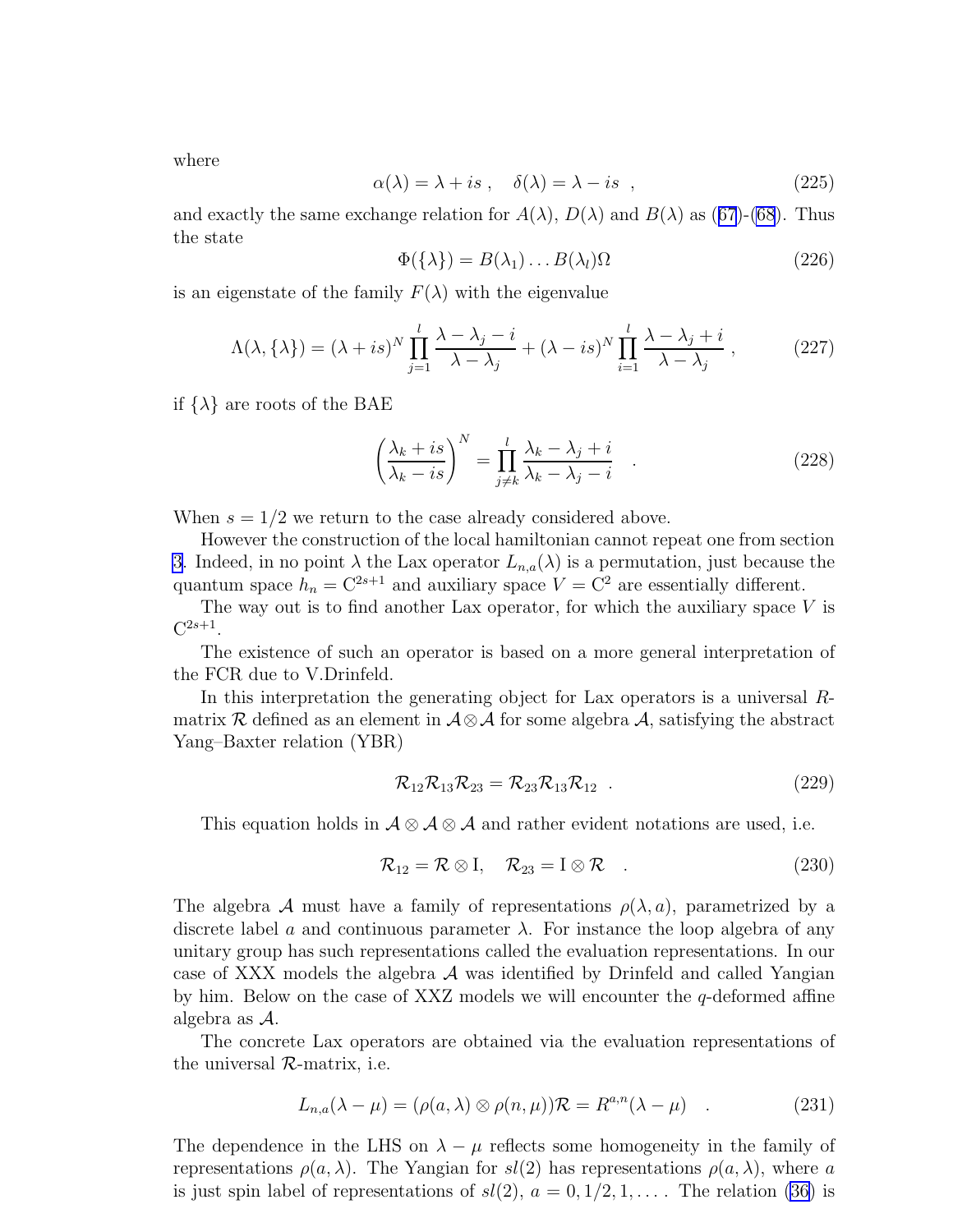<span id="page-30-0"></span>where

$$
\alpha(\lambda) = \lambda + is , \quad \delta(\lambda) = \lambda - is , \qquad (225)
$$

andexactly the same exchange relation for  $A(\lambda)$ ,  $D(\lambda)$  and  $B(\lambda)$  as ([67](#page-10-0))-[\(68](#page-10-0)). Thus the state

$$
\Phi(\{\lambda\}) = B(\lambda_1) \dots B(\lambda_l) \Omega \tag{226}
$$

is an eigenstate of the family  $F(\lambda)$  with the eigenvalue

$$
\Lambda(\lambda, \{\lambda\}) = (\lambda + is)^N \prod_{j=1}^l \frac{\lambda - \lambda_j - i}{\lambda - \lambda_j} + (\lambda - is)^N \prod_{i=1}^l \frac{\lambda - \lambda_j + i}{\lambda - \lambda_j},
$$
\n(227)

if  $\{\lambda\}$  are roots of the BAE

$$
\left(\frac{\lambda_k + is}{\lambda_k - is}\right)^N = \prod_{j \neq k}^l \frac{\lambda_k - \lambda_j + i}{\lambda_k - \lambda_j - i} \quad . \tag{228}
$$

When  $s = 1/2$  we return to the case already considered above.

However the construction of the local hamiltonian cannot repeat one from section [3](#page-5-0). Indeed, in no point  $\lambda$  the Lax operator  $L_{n,a}(\lambda)$  is a permutation, just because the quantum space  $h_n = C^{2s+1}$  and auxiliary space  $V = C^2$  are essentially different.

The way out is to find another Lax operator, for which the auxiliary space  $V$  is  $\mathrm{C}^{2s+1}.$ 

The existence of such an operator is based on a more general interpretation of the FCR due to V.Drinfeld.

In this interpretation the generating object for Lax operators is a universal Rmatrix R defined as an element in  $\mathcal{A} \otimes \mathcal{A}$  for some algebra  $\mathcal{A}$ , satisfying the abstract Yang–Baxter relation (YBR)

$$
\mathcal{R}_{12}\mathcal{R}_{13}\mathcal{R}_{23} = \mathcal{R}_{23}\mathcal{R}_{13}\mathcal{R}_{12} \tag{229}
$$

This equation holds in  $\mathcal{A} \otimes \mathcal{A} \otimes \mathcal{A}$  and rather evident notations are used, i.e.

$$
\mathcal{R}_{12} = \mathcal{R} \otimes I, \quad \mathcal{R}_{23} = I \otimes \mathcal{R} \quad . \tag{230}
$$

The algebra A must have a family of representations  $\rho(\lambda, a)$ , parametrized by a discrete label a and continuous parameter  $\lambda$ . For instance the loop algebra of any unitary group has such representations called the evaluation representations. In our case of XXX models the algebra  $A$  was identified by Drinfeld and called Yangian by him. Below on the case of XXZ models we will encounter the  $q$ -deformed affine algebra as A.

The concrete Lax operators are obtained via the evaluation representations of the universal  $\mathcal{R}$ -matrix, i.e.

$$
L_{n,a}(\lambda - \mu) = (\rho(a, \lambda) \otimes \rho(n, \mu))\mathcal{R} = R^{a,n}(\lambda - \mu) \quad . \tag{231}
$$

The dependence in the LHS on  $\lambda - \mu$  reflects some homogeneity in the family of representations  $\rho(a, \lambda)$ . The Yangian for  $sl(2)$  has representations  $\rho(a, \lambda)$ , where a is just spin label of representations of  $sl(2)$ ,  $a = 0, 1/2, 1, \ldots$ . The relation [\(36\)](#page-7-0) is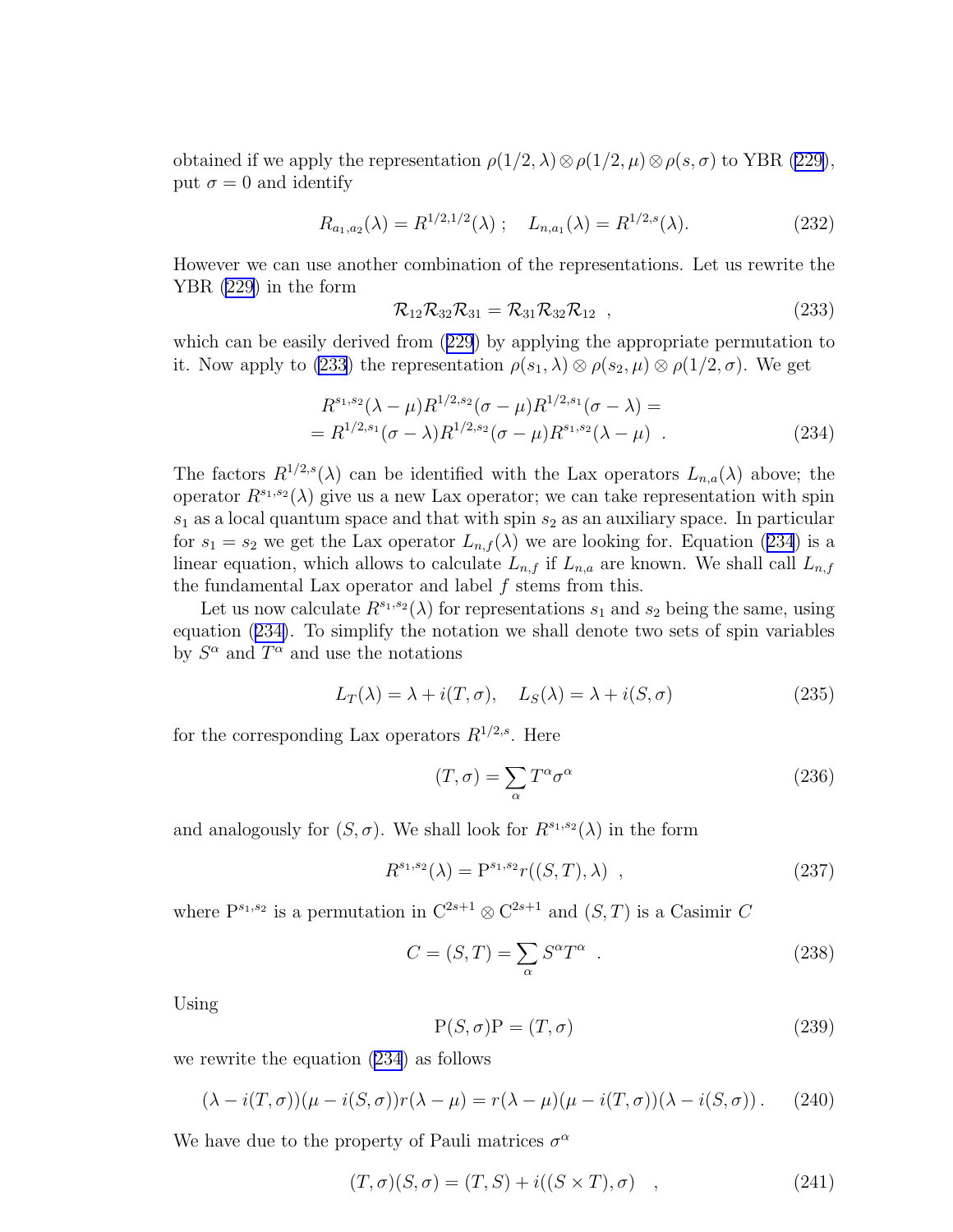<span id="page-31-0"></span>obtained if we apply the representation  $\rho(1/2, \lambda) \otimes \rho(1/2, \mu) \otimes \rho(s, \sigma)$  to YBR [\(229\)](#page-30-0), put  $\sigma = 0$  and identify

$$
R_{a_1,a_2}(\lambda) = R^{1/2,1/2}(\lambda) ; L_{n,a_1}(\lambda) = R^{1/2,s}(\lambda).
$$
 (232)

However we can use another combination of the representations. Let us rewrite the YBR [\(229](#page-30-0)) in the form

$$
\mathcal{R}_{12}\mathcal{R}_{32}\mathcal{R}_{31} = \mathcal{R}_{31}\mathcal{R}_{32}\mathcal{R}_{12} , \qquad (233)
$$

which can be easily derived from([229](#page-30-0)) by applying the appropriate permutation to it. Now apply to (233) the representation  $\rho(s_1, \lambda) \otimes \rho(s_2, \mu) \otimes \rho(1/2, \sigma)$ . We get

$$
R^{s_1, s_2}(\lambda - \mu) R^{1/2, s_2}(\sigma - \mu) R^{1/2, s_1}(\sigma - \lambda) =
$$
  
=  $R^{1/2, s_1}(\sigma - \lambda) R^{1/2, s_2}(\sigma - \mu) R^{s_1, s_2}(\lambda - \mu)$ . (234)

The factors  $R^{1/2,s}(\lambda)$  can be identified with the Lax operators  $L_{n,a}(\lambda)$  above; the operator  $R^{s_1,s_2}(\lambda)$  give us a new Lax operator; we can take representation with spin  $s_1$  as a local quantum space and that with spin  $s_2$  as an auxiliary space. In particular for  $s_1 = s_2$  we get the Lax operator  $L_{n,f}(\lambda)$  we are looking for. Equation (234) is a linear equation, which allows to calculate  $L_{n,f}$  if  $L_{n,a}$  are known. We shall call  $L_{n,f}$ the fundamental Lax operator and label  $f$  stems from this.

Let us now calculate  $R^{s_1,s_2}(\lambda)$  for representations  $s_1$  and  $s_2$  being the same, using equation (234). To simplify the notation we shall denote two sets of spin variables by  $S^{\alpha}$  and  $T^{\alpha}$  and use the notations

$$
L_T(\lambda) = \lambda + i(T, \sigma), \quad L_S(\lambda) = \lambda + i(S, \sigma)
$$
\n(235)

for the corresponding Lax operators  $R^{1/2,s}$ . Here

$$
(T, \sigma) = \sum_{\alpha} T^{\alpha} \sigma^{\alpha} \tag{236}
$$

and analogously for  $(S, \sigma)$ . We shall look for  $R^{s_1, s_2}(\lambda)$  in the form

$$
R^{s_1, s_2}(\lambda) = P^{s_1, s_2} r((S, T), \lambda) , \qquad (237)
$$

where  $P^{s_1,s_2}$  is a permutation in  $C^{2s+1} \otimes C^{2s+1}$  and  $(S,T)$  is a Casimir C

$$
C = (S, T) = \sum_{\alpha} S^{\alpha} T^{\alpha} . \qquad (238)
$$

Using

$$
P(S, \sigma)P = (T, \sigma) \tag{239}
$$

we rewrite the equation (234) as follows

$$
(\lambda - i(T, \sigma))(\mu - i(S, \sigma))r(\lambda - \mu) = r(\lambda - \mu)(\mu - i(T, \sigma))(\lambda - i(S, \sigma)).
$$
 (240)

We have due to the property of Pauli matrices  $\sigma^{\alpha}$ 

$$
(T, \sigma)(S, \sigma) = (T, S) + i((S \times T), \sigma) \quad , \tag{241}
$$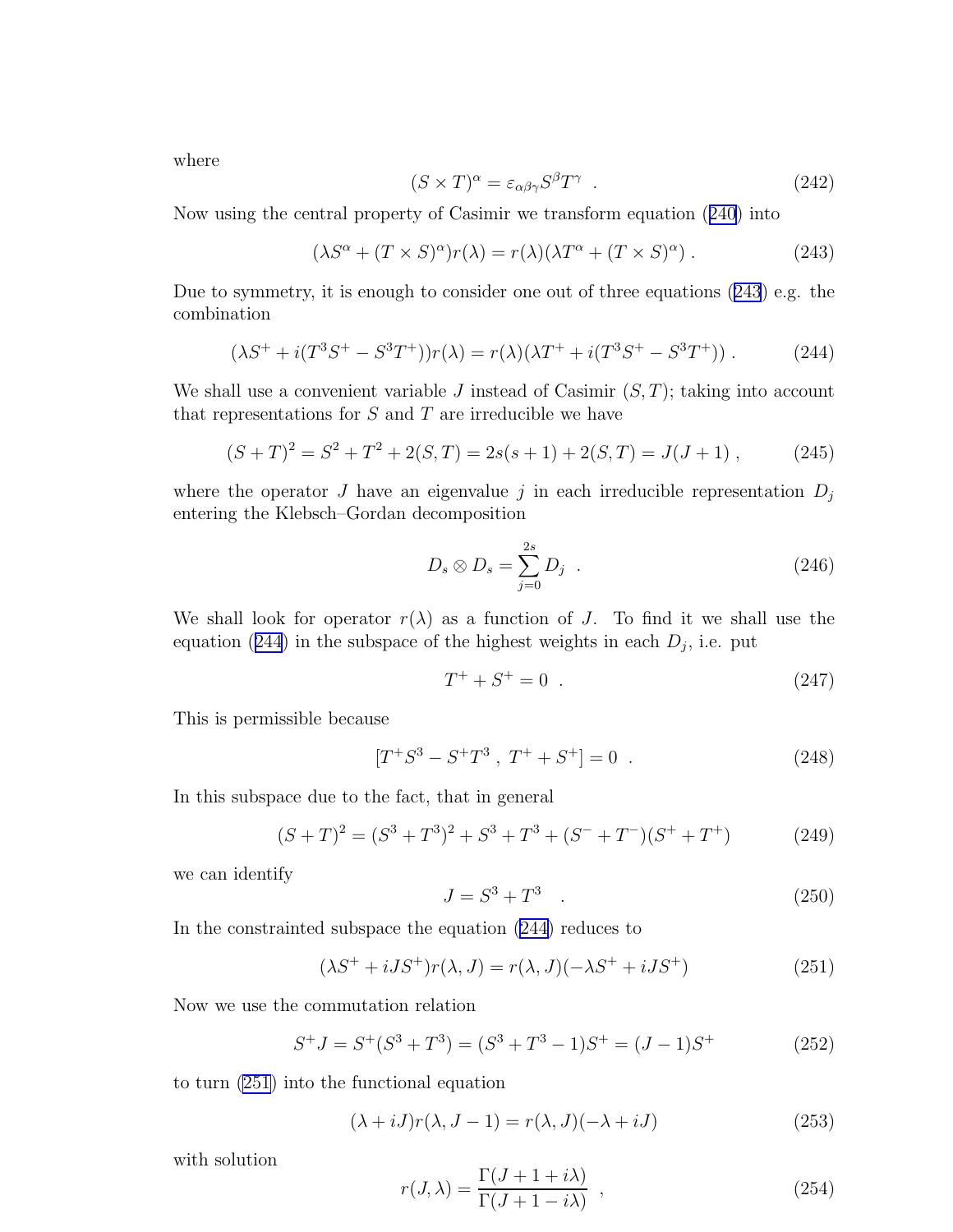<span id="page-32-0"></span>where

$$
(S \times T)^{\alpha} = \varepsilon_{\alpha\beta\gamma} S^{\beta} T^{\gamma} . \tag{242}
$$

Now using the central property of Casimir we transform equation([240](#page-31-0)) into

$$
(\lambda S^{\alpha} + (T \times S)^{\alpha})r(\lambda) = r(\lambda)(\lambda T^{\alpha} + (T \times S)^{\alpha}).
$$
\n(243)

Due to symmetry, it is enough to consider one out of three equations (243) e.g. the combination

$$
(\lambda S^{+} + i(T^{3}S^{+} - S^{3}T^{+}))r(\lambda) = r(\lambda)(\lambda T^{+} + i(T^{3}S^{+} - S^{3}T^{+}))
$$
\n(244)

We shall use a convenient variable  $J$  instead of Casimir  $(S, T)$ ; taking into account that representations for  $S$  and  $T$  are irreducible we have

$$
(S+T)2 = S2 + T2 + 2(S,T) = 2s(s+1) + 2(S,T) = J(J+1),
$$
 (245)

where the operator J have an eigenvalue j in each irreducible representation  $D_j$ entering the Klebsch–Gordan decomposition

$$
D_s \otimes D_s = \sum_{j=0}^{2s} D_j \quad . \tag{246}
$$

We shall look for operator  $r(\lambda)$  as a function of J. To find it we shall use the equation (244) in the subspace of the highest weights in each  $D_j$ , i.e. put

$$
T^+ + S^+ = 0 \tag{247}
$$

This is permissible because

$$
[T^+S^3 - S^+T^3 , T^+ + S^+] = 0 . \qquad (248)
$$

In this subspace due to the fact, that in general

$$
(S+T)2 = (S3 + T3)2 + S3 + T3 + (S- + T-)(S+ + T+)
$$
 (249)

we can identify

$$
J = S^3 + T^3 \tag{250}
$$

In the constrainted subspace the equation (244) reduces to

$$
(\lambda S^+ + iJS^+)r(\lambda, J) = r(\lambda, J)(-\lambda S^+ + iJS^+) \tag{251}
$$

Now we use the commutation relation

$$
S^{+}J = S^{+}(S^{3} + T^{3}) = (S^{3} + T^{3} - 1)S^{+} = (J - 1)S^{+}
$$
 (252)

to turn (251) into the functional equation

$$
(\lambda + iJ)r(\lambda, J - 1) = r(\lambda, J)(-\lambda + iJ)
$$
\n(253)

with solution

$$
r(J,\lambda) = \frac{\Gamma(J+1+i\lambda)}{\Gamma(J+1-i\lambda)} \tag{254}
$$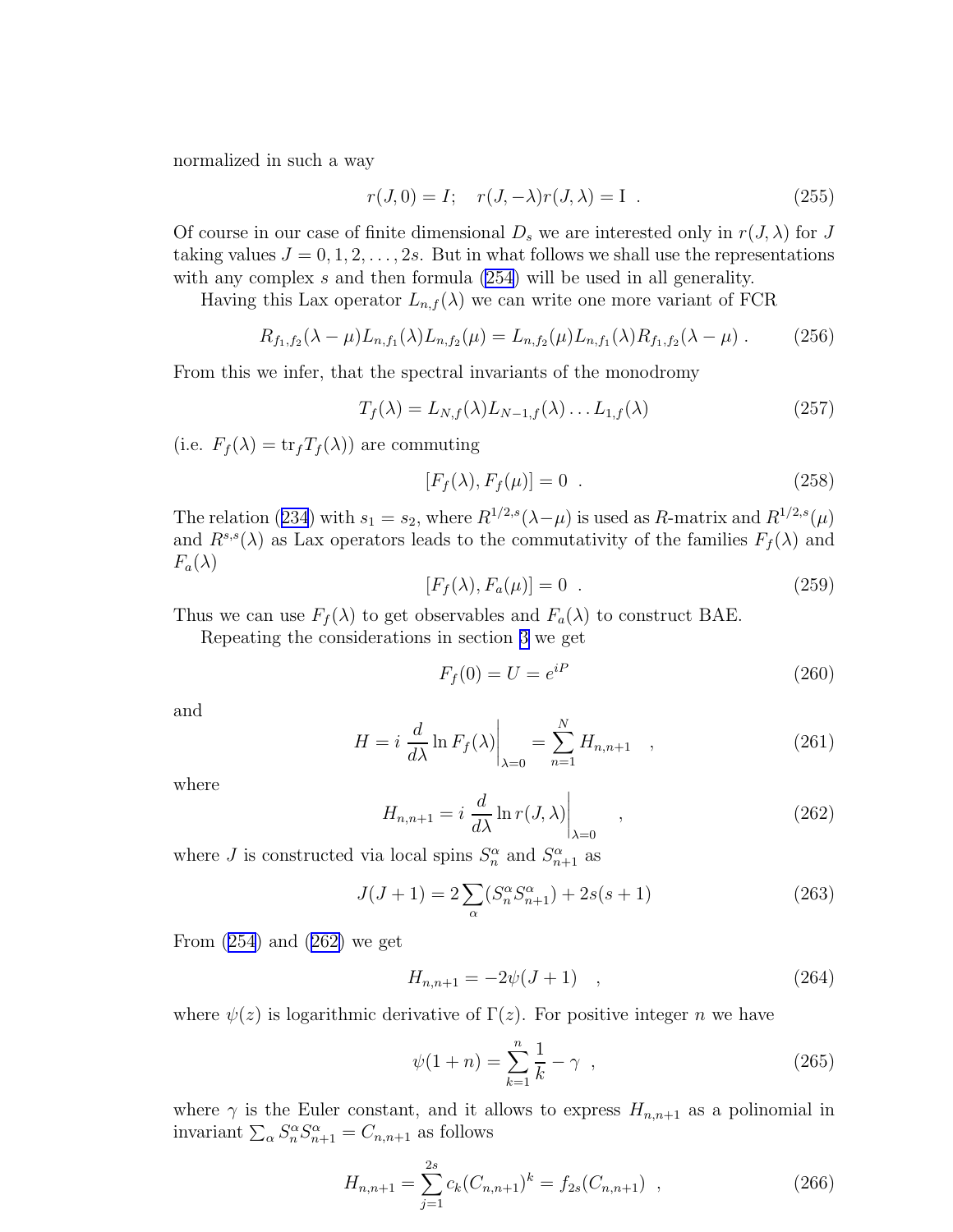<span id="page-33-0"></span>normalized in such a way

$$
r(J,0) = I; \quad r(J,-\lambda)r(J,\lambda) = I . \tag{255}
$$

Of course in our case of finite dimensional  $D_s$  we are interested only in  $r(J, \lambda)$  for J taking values  $J = 0, 1, 2, \ldots, 2s$ . But in what follows we shall use the representations with any complex s and then formula  $(254)$  will be used in all generality.

Having this Lax operator  $L_{n,f}(\lambda)$  we can write one more variant of FCR

$$
R_{f_1,f_2}(\lambda - \mu) L_{n,f_1}(\lambda) L_{n,f_2}(\mu) = L_{n,f_2}(\mu) L_{n,f_1}(\lambda) R_{f_1,f_2}(\lambda - \mu) . \tag{256}
$$

From this we infer, that the spectral invariants of the monodromy

$$
T_f(\lambda) = L_{N,f}(\lambda) L_{N-1,f}(\lambda) \dots L_{1,f}(\lambda)
$$
\n(257)

(i.e.  $F_f(\lambda) = \text{tr}_f T_f(\lambda)$ ) are commuting

$$
[F_f(\lambda), F_f(\mu)] = 0 \tag{258}
$$

Therelation ([234](#page-31-0)) with  $s_1 = s_2$ , where  $R^{1/2,s}(\lambda - \mu)$  is used as R-matrix and  $R^{1/2,s}(\mu)$ and  $R^{s,s}(\lambda)$  as Lax operators leads to the commutativity of the families  $F_f(\lambda)$  and  $F_a(\lambda)$ 

$$
[F_f(\lambda), F_a(\mu)] = 0 \t\t(259)
$$

Thus we can use  $F_f(\lambda)$  to get observables and  $F_a(\lambda)$  to construct BAE.

Repeating the considerations in section [3](#page-5-0) we get

$$
F_f(0) = U = e^{iP} \tag{260}
$$

and

$$
H = i \left. \frac{d}{d\lambda} \ln F_f(\lambda) \right|_{\lambda=0} = \sum_{n=1}^{N} H_{n,n+1} \quad , \tag{261}
$$

where

$$
H_{n,n+1} = i \left. \frac{d}{d\lambda} \ln r(J,\lambda) \right|_{\lambda=0} , \qquad (262)
$$

where *J* is constructed via local spins  $S_n^{\alpha}$  and  $S_{n+1}^{\alpha}$  as

$$
J(J+1) = 2\sum_{\alpha} (S_n^{\alpha} S_{n+1}^{\alpha}) + 2s(s+1)
$$
 (263)

From $(254)$  $(254)$  $(254)$  and  $(262)$  we get

$$
H_{n,n+1} = -2\psi(J+1) \quad , \tag{264}
$$

where  $\psi(z)$  is logarithmic derivative of  $\Gamma(z)$ . For positive integer n we have

$$
\psi(1+n) = \sum_{k=1}^{n} \frac{1}{k} - \gamma \quad , \tag{265}
$$

where  $\gamma$  is the Euler constant, and it allows to express  $H_{n,n+1}$  as a polinomial in invariant  $\sum_{\alpha} S_n^{\alpha} S_{n+1}^{\alpha} = C_{n,n+1}$  as follows

$$
H_{n,n+1} = \sum_{j=1}^{2s} c_k (C_{n,n+1})^k = f_{2s} (C_{n,n+1}) \quad , \tag{266}
$$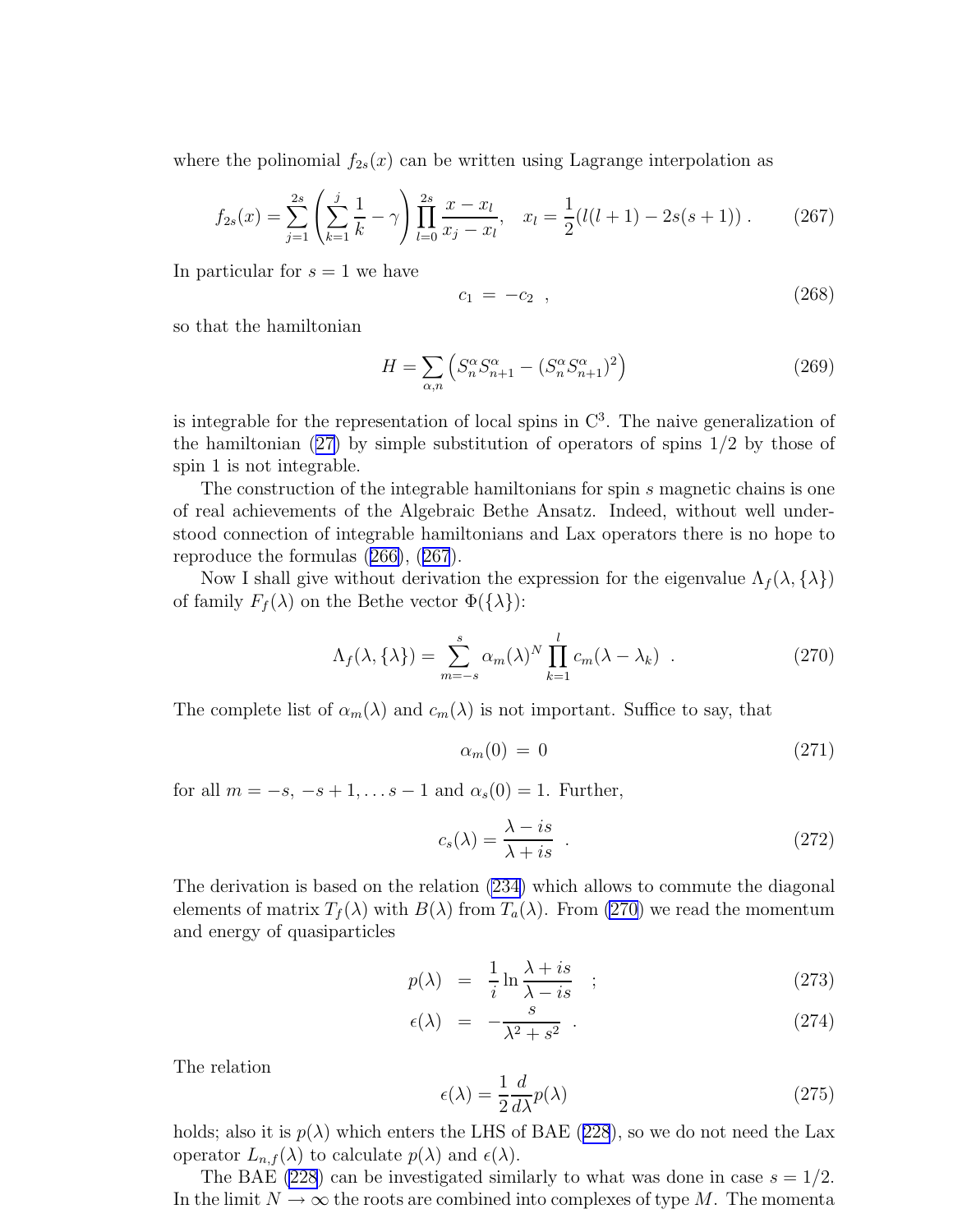where the polinomial  $f_{2s}(x)$  can be written using Lagrange interpolation as

$$
f_{2s}(x) = \sum_{j=1}^{2s} \left( \sum_{k=1}^{j} \frac{1}{k} - \gamma \right) \prod_{l=0}^{2s} \frac{x - x_l}{x_j - x_l}, \quad x_l = \frac{1}{2} (l(l+1) - 2s(s+1)). \tag{267}
$$

In particular for  $s = 1$  we have

$$
c_1 = -c_2 \t\t(268)
$$

so that the hamiltonian

$$
H = \sum_{\alpha,n} \left( S_n^{\alpha} S_{n+1}^{\alpha} - (S_n^{\alpha} S_{n+1}^{\alpha})^2 \right)
$$
 (269)

is integrable for the representation of local spins in  $\mathbb{C}^3$ . The naive generalization of thehamiltonian  $(27)$  $(27)$  by simple substitution of operators of spins  $1/2$  by those of spin 1 is not integrable.

The construction of the integrable hamiltonians for spin s magnetic chains is one of real achievements of the Algebraic Bethe Ansatz. Indeed, without well understood connection of integrable hamiltonians and Lax operators there is no hope to reproduce the formulas([266\)](#page-33-0), (267).

Now I shall give without derivation the expression for the eigenvalue  $\Lambda_f(\lambda, {\lambda})$ of family  $F_f(\lambda)$  on the Bethe vector  $\Phi({\lambda})$ :

$$
\Lambda_f(\lambda, \{\lambda\}) = \sum_{m=-s}^s \alpha_m(\lambda)^N \prod_{k=1}^l c_m(\lambda - \lambda_k) \quad . \tag{270}
$$

The complete list of  $\alpha_m(\lambda)$  and  $c_m(\lambda)$  is not important. Suffice to say, that

$$
\alpha_m(0) = 0 \tag{271}
$$

for all  $m = -s, -s + 1, \ldots s - 1$  and  $\alpha_s(0) = 1$ . Further,

$$
c_s(\lambda) = \frac{\lambda - is}{\lambda + is} \quad . \tag{272}
$$

The derivation is based on the relation [\(234](#page-31-0)) which allows to commute the diagonal elements of matrix  $T_f(\lambda)$  with  $B(\lambda)$  from  $T_a(\lambda)$ . From (270) we read the momentum and energy of quasiparticles

$$
p(\lambda) = \frac{1}{i} \ln \frac{\lambda + is}{\lambda - is} \quad ; \tag{273}
$$

$$
\epsilon(\lambda) = -\frac{s}{\lambda^2 + s^2} \tag{274}
$$

The relation

$$
\epsilon(\lambda) = \frac{1}{2} \frac{d}{d\lambda} p(\lambda)
$$
\n(275)

holds;also it is  $p(\lambda)$  which enters the LHS of BAE ([228](#page-30-0)), so we do not need the Lax operator  $L_{n,f}(\lambda)$  to calculate  $p(\lambda)$  and  $\epsilon(\lambda)$ .

The BAE [\(228](#page-30-0)) can be investigated similarly to what was done in case  $s = 1/2$ . In the limit  $N \to \infty$  the roots are combined into complexes of type M. The momenta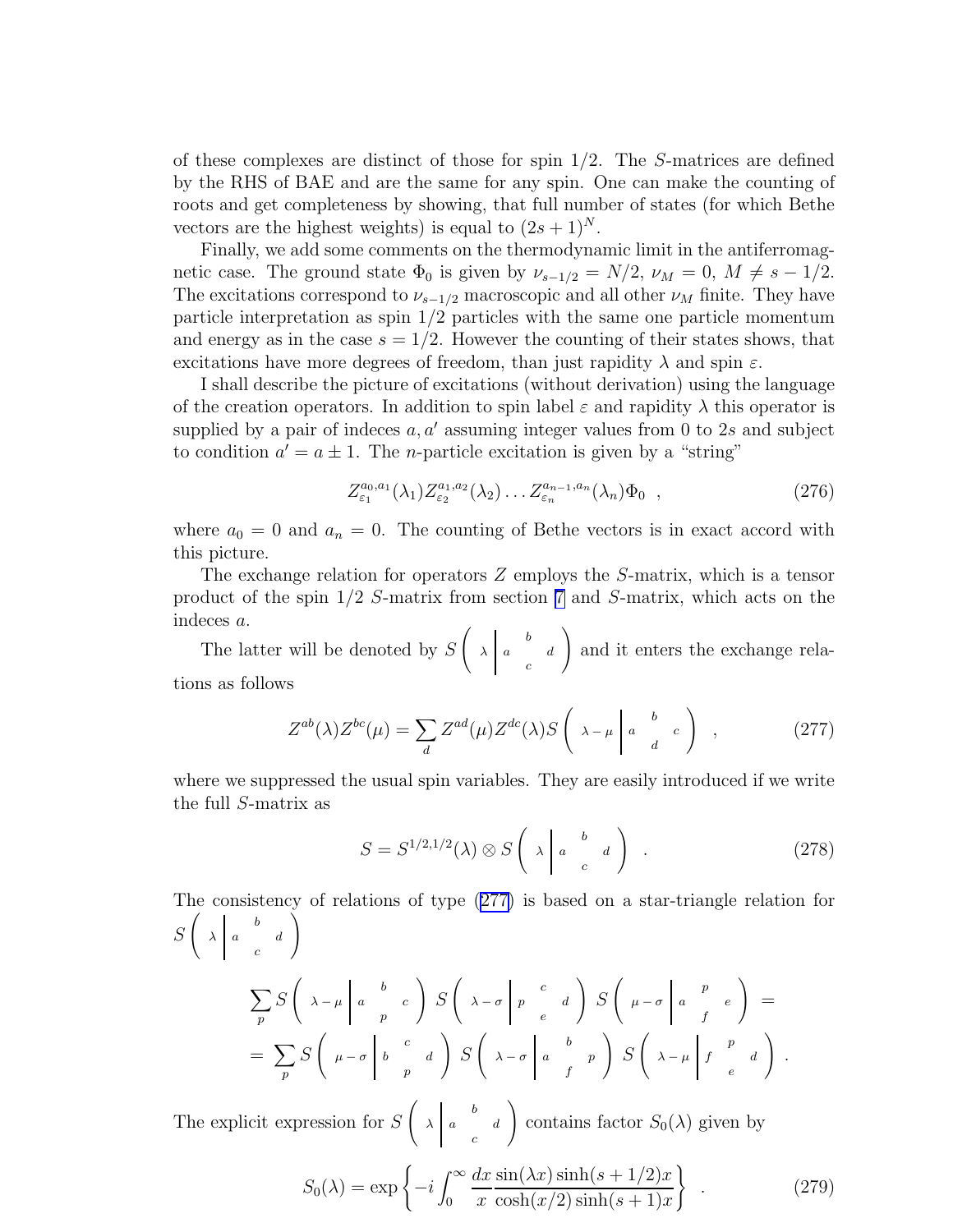<span id="page-35-0"></span>of these complexes are distinct of those for spin 1/2. The S-matrices are defined by the RHS of BAE and are the same for any spin. One can make the counting of roots and get completeness by showing, that full number of states (for which Bethe vectors are the highest weights) is equal to  $(2s+1)^N$ .

Finally, we add some comments on the thermodynamic limit in the antiferromagnetic case. The ground state  $\Phi_0$  is given by  $\nu_{s-1/2} = N/2$ ,  $\nu_M = 0$ ,  $M \neq s - 1/2$ . The excitations correspond to  $\nu_{s-1/2}$  macroscopic and all other  $\nu_M$  finite. They have particle interpretation as spin  $1/2$  particles with the same one particle momentum and energy as in the case  $s = 1/2$ . However the counting of their states shows, that excitations have more degrees of freedom, than just rapidity  $\lambda$  and spin  $\varepsilon$ .

I shall describe the picture of excitations (without derivation) using the language of the creation operators. In addition to spin label  $\varepsilon$  and rapidity  $\lambda$  this operator is supplied by a pair of indeces  $a, a'$  assuming integer values from 0 to 2s and subject to condition  $a' = a \pm 1$ . The *n*-particle excitation is given by a "string"

$$
Z_{\varepsilon_1}^{a_0, a_1}(\lambda_1) Z_{\varepsilon_2}^{a_1, a_2}(\lambda_2) \dots Z_{\varepsilon_n}^{a_{n-1}, a_n}(\lambda_n) \Phi_0 , \qquad (276)
$$

where  $a_0 = 0$  and  $a_n = 0$ . The counting of Bethe vectors is in exact accord with this picture.

The exchange relation for operators Z employs the S-matrix, which is a tensor product of the spin 1/2 S-matrix from section [7](#page-22-0) and S-matrix, which acts on the indeces a.

The latter will be denoted by S  $\begin{array}{ccc} \begin{array}{ccc} \end{array} & \begin{array}{ccc} \end{array} & \end{array}$  $\lambda$  a d c  $\setminus$ and it enters the exchange relations as follows

$$
Z^{ab}(\lambda)Z^{bc}(\mu) = \sum_{d} Z^{ad}(\mu)Z^{dc}(\lambda)S\left(\begin{array}{cc} \lambda - \mu \mid a \quad b \\ d \quad d \end{array}c\right) , \qquad (277)
$$

where we suppressed the usual spin variables. They are easily introduced if we write the full S-matrix as

$$
S = S^{1/2,1/2}(\lambda) \otimes S\left(\begin{array}{cc} \lambda & b & d \\ a & c & d \end{array}\right) . \tag{278}
$$

The consistency of relations of type (277) is based on a star-triangle relation for S  $\begin{pmatrix} 1 & b \end{pmatrix}$  $\lambda$  a d c  $\tilde{ }$ 

$$
\sum_{p} S\left(\begin{array}{cc} \lambda - \mu \mid a & b \\ p & \end{array}\right) S\left(\begin{array}{cc} \lambda - \sigma \mid p & c \\ a & \rho \end{array}\right) S\left(\begin{array}{cc} \mu - \sigma \mid a & p \\ p & \epsilon \end{array}\right) =
$$
  
= 
$$
\sum_{p} S\left(\begin{array}{cc} \mu - \sigma \mid b & c \\ p & \rho \end{array}\right) S\left(\begin{array}{cc} \lambda - \sigma \mid a & b \\ \lambda - \sigma \mid a & p \end{array}\right) S\left(\begin{array}{cc} \lambda - \mu \mid f & a \\ \lambda - \mu \mid f & e \end{array}\right).
$$

The explicit expression for S  $\begin{pmatrix} 1 & b \end{pmatrix}$  $\lambda$  a d c ! contains factor  $S_0(\lambda)$  given by

$$
S_0(\lambda) = \exp\left\{-i \int_0^\infty \frac{dx}{x} \frac{\sin(\lambda x) \sinh(s + 1/2)x}{\cosh(x/2) \sinh(s + 1)x}\right\} \tag{279}
$$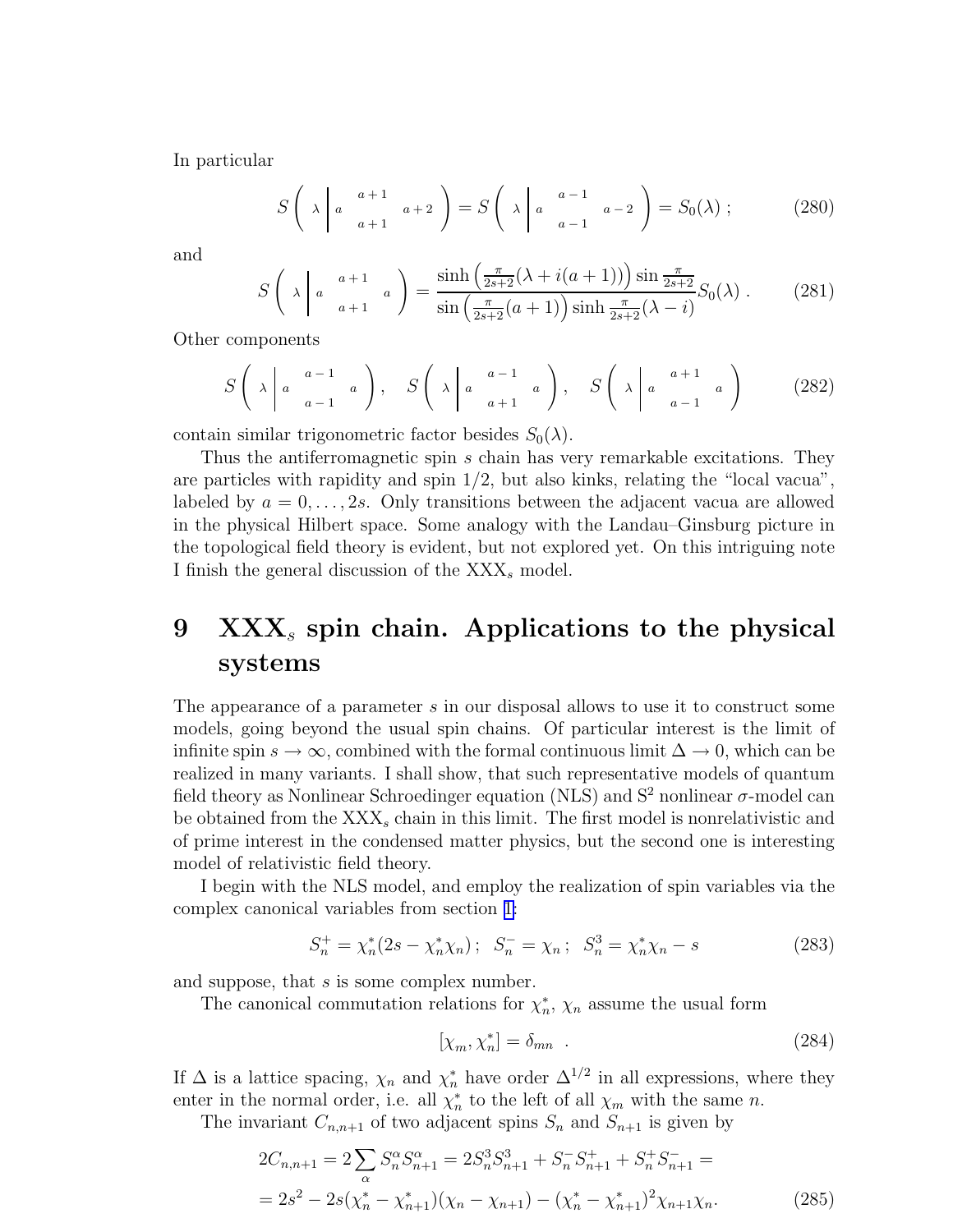<span id="page-36-0"></span>In particular

$$
S\left(\lambda\middle| a \quad \begin{array}{c} a+1 \\ a+1 \end{array} a+2\right) = S\left(\lambda\middle| a \quad \begin{array}{c} a-1 \\ a-1 \end{array} a-2\right) = S_0(\lambda) ;\tag{280}
$$

and

$$
S\left(\lambda \middle| a^{-a+1}_{a+1} a \right) = \frac{\sinh\left(\frac{\pi}{2s+2}(\lambda + i(a+1))\right) \sin\frac{\pi}{2s+2}}{\sin\left(\frac{\pi}{2s+2}(a+1)\right) \sinh\frac{\pi}{2s+2}(\lambda - i)} S_0(\lambda) . \tag{281}
$$

Other components

$$
S\left(\lambda \middle| a \middle| \begin{array}{c} a-1 \\ a-1 \end{array} \right), \quad S\left(\lambda \middle| a \middle| \begin{array}{c} a-1 \\ a+1 \end{array} \right), \quad S\left(\lambda \middle| a \middle| \begin{array}{c} a+1 \\ a-1 \end{array} \right) \tag{282}
$$

contain similar trigonometric factor besides  $S_0(\lambda)$ .

Thus the antiferromagnetic spin s chain has very remarkable excitations. They are particles with rapidity and spin  $1/2$ , but also kinks, relating the "local vacua", labeled by  $a = 0, \ldots, 2s$ . Only transitions between the adjacent vacua are allowed in the physical Hilbert space. Some analogy with the Landau–Ginsburg picture in the topological field theory is evident, but not explored yet. On this intriguing note I finish the general discussion of the  $XXX<sub>s</sub>$  model.

# 9  $\overline{XXX}_s$  spin chain. Applications to the physical systems

The appearance of a parameter s in our disposal allows to use it to construct some models, going beyond the usual spin chains. Of particular interest is the limit of infinite spin  $s \to \infty$ , combined with the formal continuous limit  $\Delta \to 0$ , which can be realized in many variants. I shall show, that such representative models of quantum field theory as Nonlinear Schroedinger equation (NLS) and  $S^2$  nonlinear  $\sigma$ -model can be obtained from the  $XXX<sub>s</sub>$  chain in this limit. The first model is nonrelativistic and of prime interest in the condensed matter physics, but the second one is interesting model of relativistic field theory.

I begin with the NLS model, and employ the realization of spin variables via the complex canonical variables from section [1:](#page-1-0)

$$
S_n^+ = \chi_n^*(2s - \chi_n^* \chi_n); \quad S_n^- = \chi_n; \quad S_n^3 = \chi_n^* \chi_n - s \tag{283}
$$

and suppose, that s is some complex number.

The canonical commutation relations for  $\chi_n^*$ ,  $\chi_n$  assume the usual form

$$
[\chi_m, \chi_n^*] = \delta_{mn} \quad . \tag{284}
$$

If  $\Delta$  is a lattice spacing,  $\chi_n$  and  $\chi_n^*$  have order  $\Delta^{1/2}$  in all expressions, where they enter in the normal order, i.e. all  $\chi_n^*$  to the left of all  $\chi_m$  with the same n.

The invariant  $C_{n,n+1}$  of two adjacent spins  $S_n$  and  $S_{n+1}$  is given by

$$
2C_{n,n+1} = 2\sum_{\alpha} S_n^{\alpha} S_{n+1}^{\alpha} = 2S_n^3 S_{n+1}^3 + S_n^- S_{n+1}^+ + S_n^+ S_{n+1}^- =
$$
  
= 
$$
2s^2 - 2s(\chi_n^* - \chi_{n+1}^*)(\chi_n - \chi_{n+1}) - (\chi_n^* - \chi_{n+1}^*)^2 \chi_{n+1} \chi_n.
$$
 (285)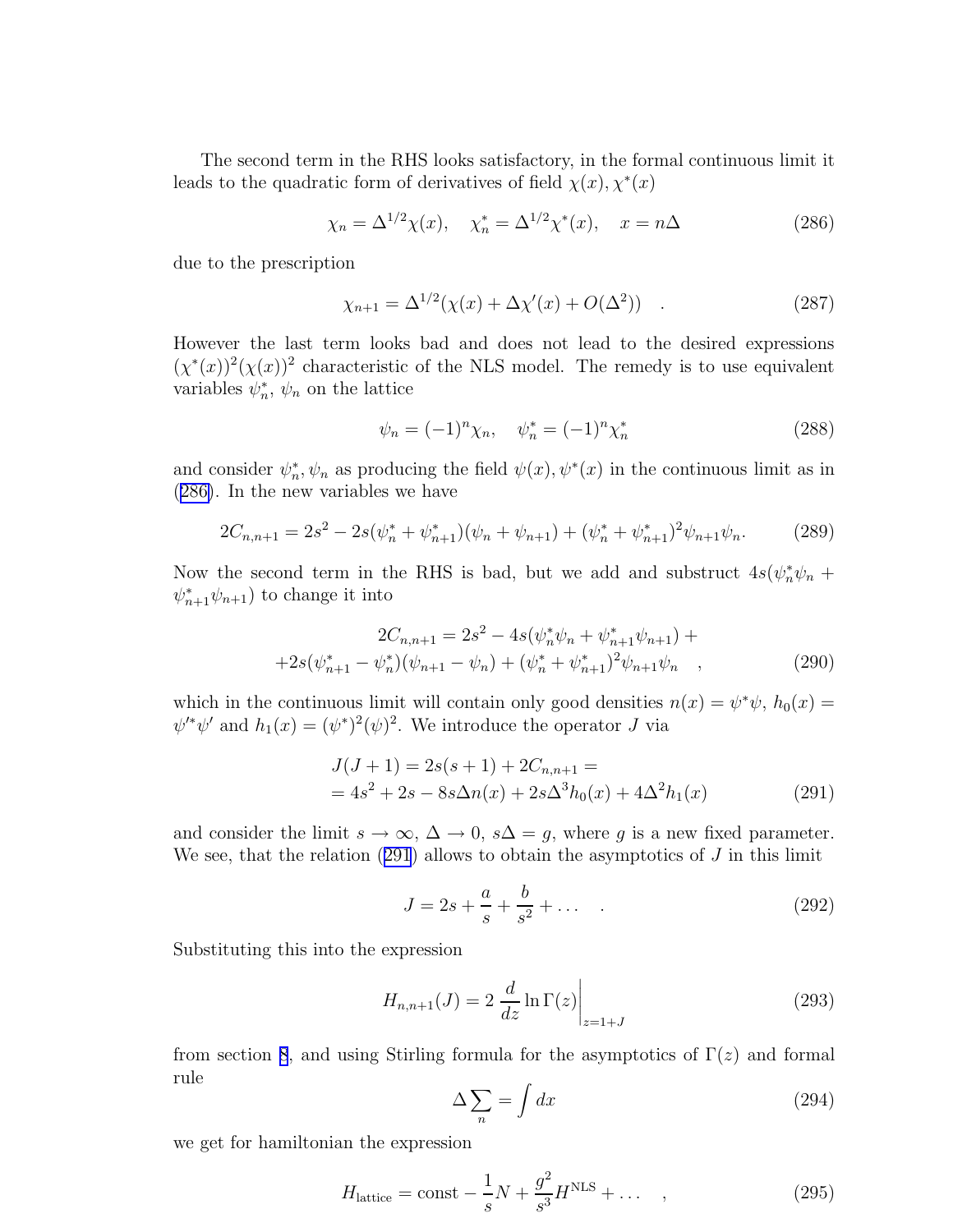The second term in the RHS looks satisfactory, in the formal continuous limit it leads to the quadratic form of derivatives of field  $\chi(x), \chi^*(x)$ 

$$
\chi_n = \Delta^{1/2} \chi(x), \quad \chi_n^* = \Delta^{1/2} \chi^*(x), \quad x = n\Delta
$$
\n(286)

due to the prescription

$$
\chi_{n+1} = \Delta^{1/2}(\chi(x) + \Delta\chi'(x) + O(\Delta^2)) \quad . \tag{287}
$$

However the last term looks bad and does not lead to the desired expressions  $(\chi^*(x))^2(\chi(x))^2$  characteristic of the NLS model. The remedy is to use equivalent variables  $\psi_n^*, \psi_n$  on the lattice

$$
\psi_n = (-1)^n \chi_n, \quad \psi_n^* = (-1)^n \chi_n^* \tag{288}
$$

and consider  $\psi_n^*, \psi_n$  as producing the field  $\psi(x), \psi^*(x)$  in the continuous limit as in (286). In the new variables we have

$$
2C_{n,n+1} = 2s^2 - 2s(\psi_n^* + \psi_{n+1}^*)(\psi_n + \psi_{n+1}) + (\psi_n^* + \psi_{n+1}^*)^2\psi_{n+1}\psi_n.
$$
 (289)

Now the second term in the RHS is bad, but we add and substruct  $4s(\psi_n^*\psi_n +$  $\psi_{n+1}^* \psi_{n+1}$  to change it into

$$
2C_{n,n+1} = 2s^2 - 4s(\psi_n^* \psi_n + \psi_{n+1}^* \psi_{n+1}) +
$$
  
+2s(\psi\_{n+1}^\* - \psi\_n^\*)(\psi\_{n+1} - \psi\_n) + (\psi\_n^\* + \psi\_{n+1}^\*)^2 \psi\_{n+1} \psi\_n , (290)

which in the continuous limit will contain only good densities  $n(x) = \psi^* \psi$ ,  $h_0(x) =$  $\psi^{\prime*}\psi^{\prime}$  and  $h_1(x) = (\psi^*)^2(\psi)^2$ . We introduce the operator J via

$$
J(J+1) = 2s(s+1) + 2C_{n,n+1} =
$$
  
=  $4s^2 + 2s - 8s\Delta n(x) + 2s\Delta^3 h_0(x) + 4\Delta^2 h_1(x)$  (291)

and consider the limit  $s \to \infty$ ,  $\Delta \to 0$ ,  $s\Delta = g$ , where g is a new fixed parameter. We see, that the relation  $(291)$  allows to obtain the asymptotics of  $J$  in this limit

$$
J = 2s + \frac{a}{s} + \frac{b}{s^2} + \dots
$$
 (292)

Substituting this into the expression

$$
H_{n,n+1}(J) = 2 \left. \frac{d}{dz} \ln \Gamma(z) \right|_{z=1+J} \tag{293}
$$

from section [8](#page-29-0), and using Stirling formula for the asymptotics of  $\Gamma(z)$  and formal rule

$$
\Delta \sum_{n} = \int dx \tag{294}
$$

we get for hamiltonian the expression

$$
Hlattice = \text{const} - \frac{1}{s}N + \frac{g^2}{s^3}HNLS + \dots \quad , \tag{295}
$$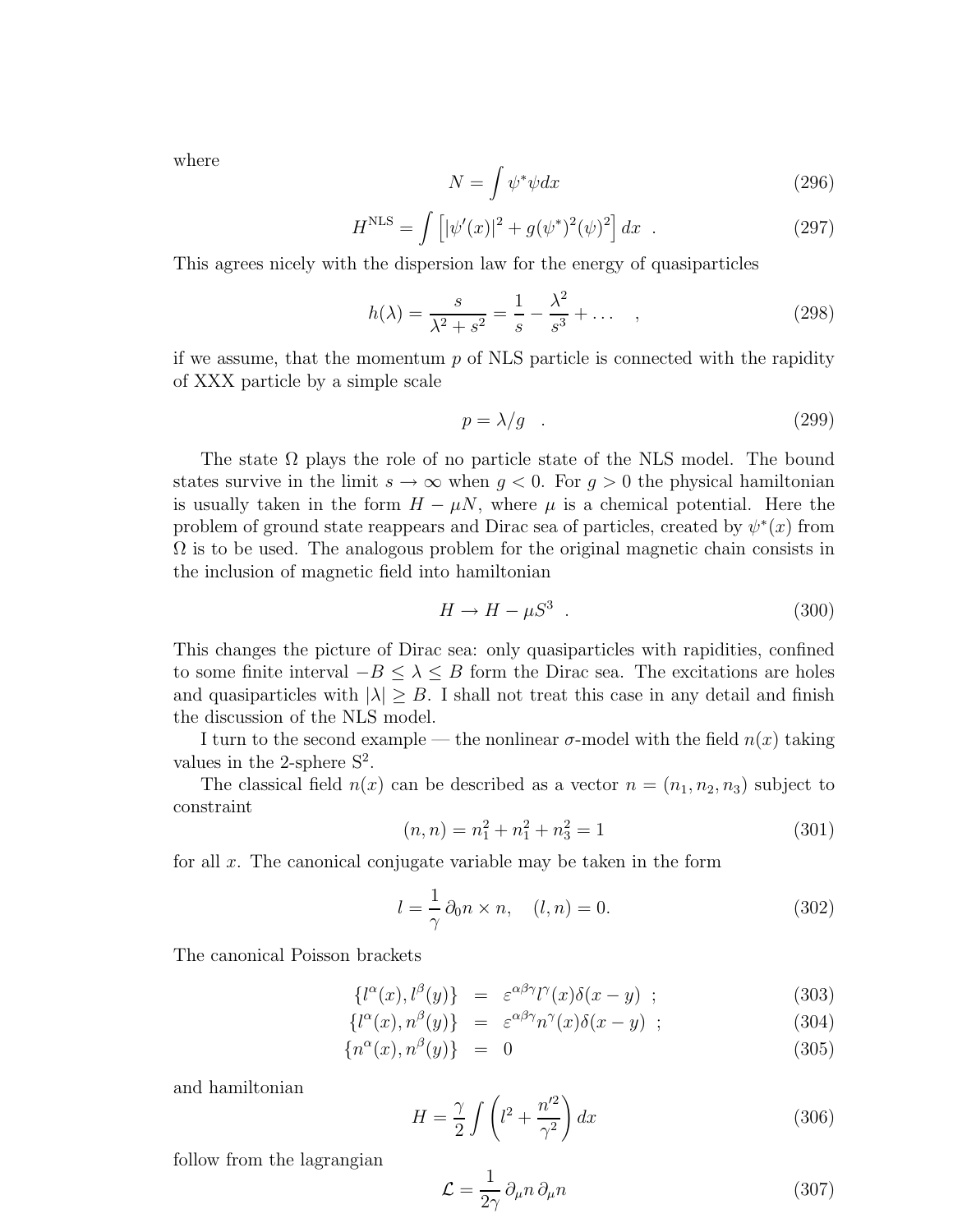<span id="page-38-0"></span>where

$$
N = \int \psi^* \psi dx \tag{296}
$$

$$
HNLS = \int [|\psi'(x)|^2 + g(\psi^*)^2(\psi)^2] dx .
$$
 (297)

This agrees nicely with the dispersion law for the energy of quasiparticles

$$
h(\lambda) = \frac{s}{\lambda^2 + s^2} = \frac{1}{s} - \frac{\lambda^2}{s^3} + \dots \quad , \tag{298}
$$

if we assume, that the momentum  $p$  of NLS particle is connected with the rapidity of XXX particle by a simple scale

$$
p = \lambda/g \quad . \tag{299}
$$

The state  $\Omega$  plays the role of no particle state of the NLS model. The bound states survive in the limit  $s \to \infty$  when  $g < 0$ . For  $g > 0$  the physical hamiltonian is usually taken in the form  $H - \mu N$ , where  $\mu$  is a chemical potential. Here the problem of ground state reappears and Dirac sea of particles, created by  $\psi^*(x)$  from  $\Omega$  is to be used. The analogous problem for the original magnetic chain consists in the inclusion of magnetic field into hamiltonian

$$
H \to H - \mu S^3 \tag{300}
$$

This changes the picture of Dirac sea: only quasiparticles with rapidities, confined to some finite interval  $-B \leq \lambda \leq B$  form the Dirac sea. The excitations are holes and quasiparticles with  $|\lambda| \geq B$ . I shall not treat this case in any detail and finish the discussion of the NLS model.

I turn to the second example — the nonlinear  $\sigma$ -model with the field  $n(x)$  taking values in the 2-sphere  $S^2$ .

The classical field  $n(x)$  can be described as a vector  $n = (n_1, n_2, n_3)$  subject to constraint

$$
(n, n) = n_1^2 + n_1^2 + n_3^2 = 1
$$
\n(301)

for all  $x$ . The canonical conjugate variable may be taken in the form

$$
l = \frac{1}{\gamma} \partial_0 n \times n, \quad (l, n) = 0. \tag{302}
$$

The canonical Poisson brackets

$$
\{l^{\alpha}(x), l^{\beta}(y)\} = \varepsilon^{\alpha\beta\gamma} l^{\gamma}(x)\delta(x-y) ; \qquad (303)
$$

$$
\{l^{\alpha}(x), n^{\beta}(y)\} = \varepsilon^{\alpha\beta\gamma} n^{\gamma}(x)\delta(x-y) ; \qquad (304)
$$

$$
\{n^{\alpha}(x), n^{\beta}(y)\} = 0 \tag{305}
$$

and hamiltonian

$$
H = \frac{\gamma}{2} \int \left( l^2 + \frac{n'^2}{\gamma^2} \right) dx \tag{306}
$$

follow from the lagrangian

$$
\mathcal{L} = \frac{1}{2\gamma} \partial_{\mu} n \partial_{\mu} n \tag{307}
$$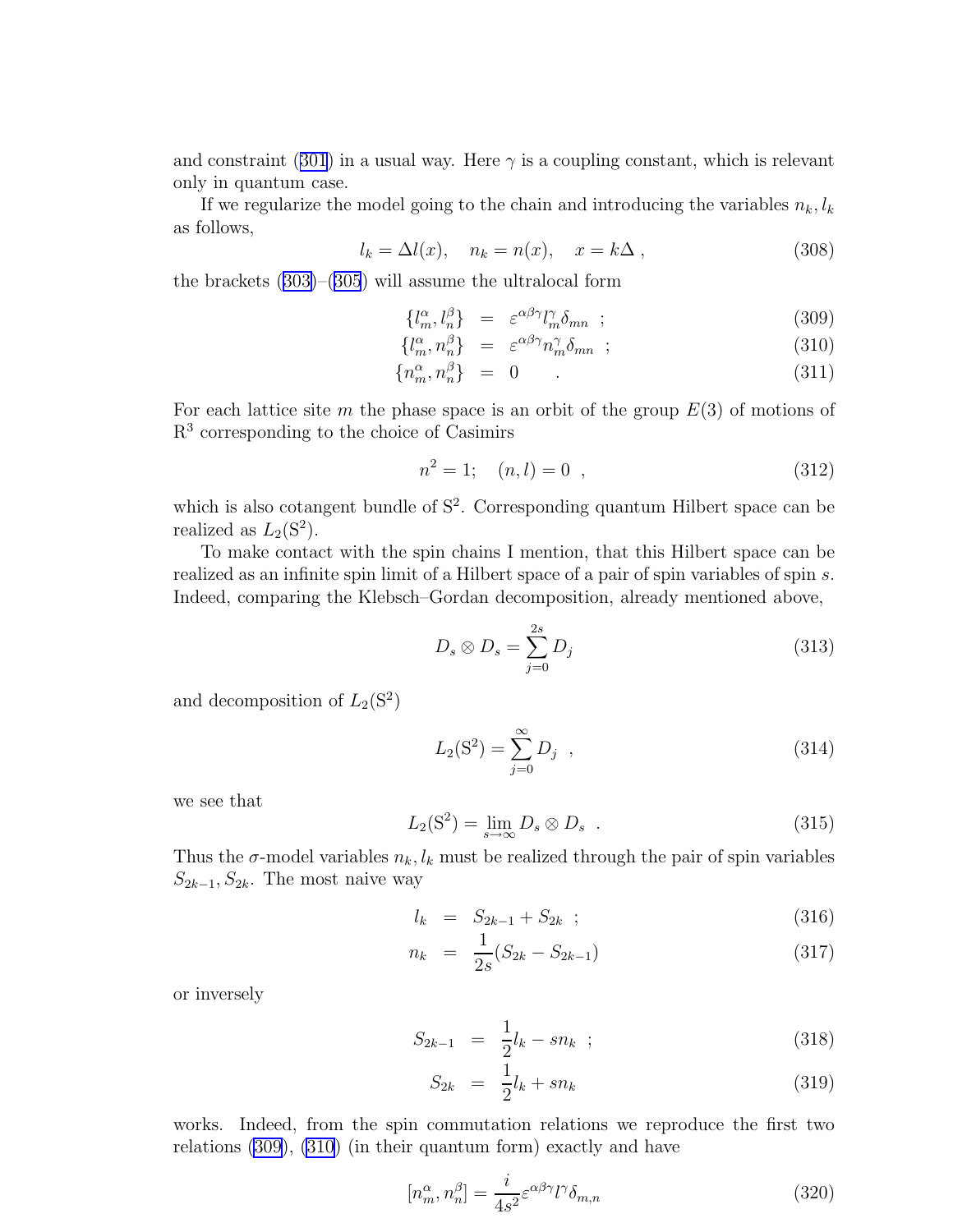<span id="page-39-0"></span>andconstraint ([301](#page-38-0)) in a usual way. Here  $\gamma$  is a coupling constant, which is relevant only in quantum case.

If we regularize the model going to the chain and introducing the variables  $n_k, l_k$ as follows,

$$
l_k = \Delta l(x), \quad n_k = n(x), \quad x = k\Delta , \tag{308}
$$

the brackets [\(303\)](#page-38-0)–([305](#page-38-0)) will assume the ultralocal form

$$
\{l_m^{\alpha}, l_n^{\beta}\} = \varepsilon^{\alpha\beta\gamma} l_m^{\gamma} \delta_{mn} ; \qquad (309)
$$

$$
\{l_m^{\alpha}, n_n^{\beta}\} = \varepsilon^{\alpha\beta\gamma} n_m^{\gamma} \delta_{mn} ; \qquad (310)
$$

$$
\{n_m^{\alpha}, n_n^{\beta}\} = 0 \tag{311}
$$

For each lattice site m the phase space is an orbit of the group  $E(3)$  of motions of R 3 corresponding to the choice of Casimirs

$$
n^2 = 1; \quad (n, l) = 0 \quad , \tag{312}
$$

which is also cotangent bundle of  $S^2$ . Corresponding quantum Hilbert space can be realized as  $L_2(S^2)$ .

To make contact with the spin chains I mention, that this Hilbert space can be realized as an infinite spin limit of a Hilbert space of a pair of spin variables of spin s. Indeed, comparing the Klebsch–Gordan decomposition, already mentioned above,

$$
D_s \otimes D_s = \sum_{j=0}^{2s} D_j \tag{313}
$$

and decomposition of  $L_2(S^2)$ 

$$
L_2(S^2) = \sum_{j=0}^{\infty} D_j \quad , \tag{314}
$$

we see that

$$
L_2(S^2) = \lim_{s \to \infty} D_s \otimes D_s . \tag{315}
$$

Thus the  $\sigma$ -model variables  $n_k, l_k$  must be realized through the pair of spin variables  $S_{2k-1}, S_{2k}$ . The most naive way

$$
l_k = S_{2k-1} + S_{2k} \t ; \t\t(316)
$$

$$
n_k = \frac{1}{2s}(S_{2k} - S_{2k-1})
$$
\n(317)

or inversely

$$
S_{2k-1} = \frac{1}{2}l_k - sn_k \quad ; \tag{318}
$$

$$
S_{2k} = \frac{1}{2}l_k + sn_k \tag{319}
$$

works. Indeed, from the spin commutation relations we reproduce the first two relations (309), (310) (in their quantum form) exactly and have

$$
[n_m^{\alpha}, n_n^{\beta}] = \frac{i}{4s^2} \varepsilon^{\alpha\beta\gamma} l^{\gamma} \delta_{m,n}
$$
 (320)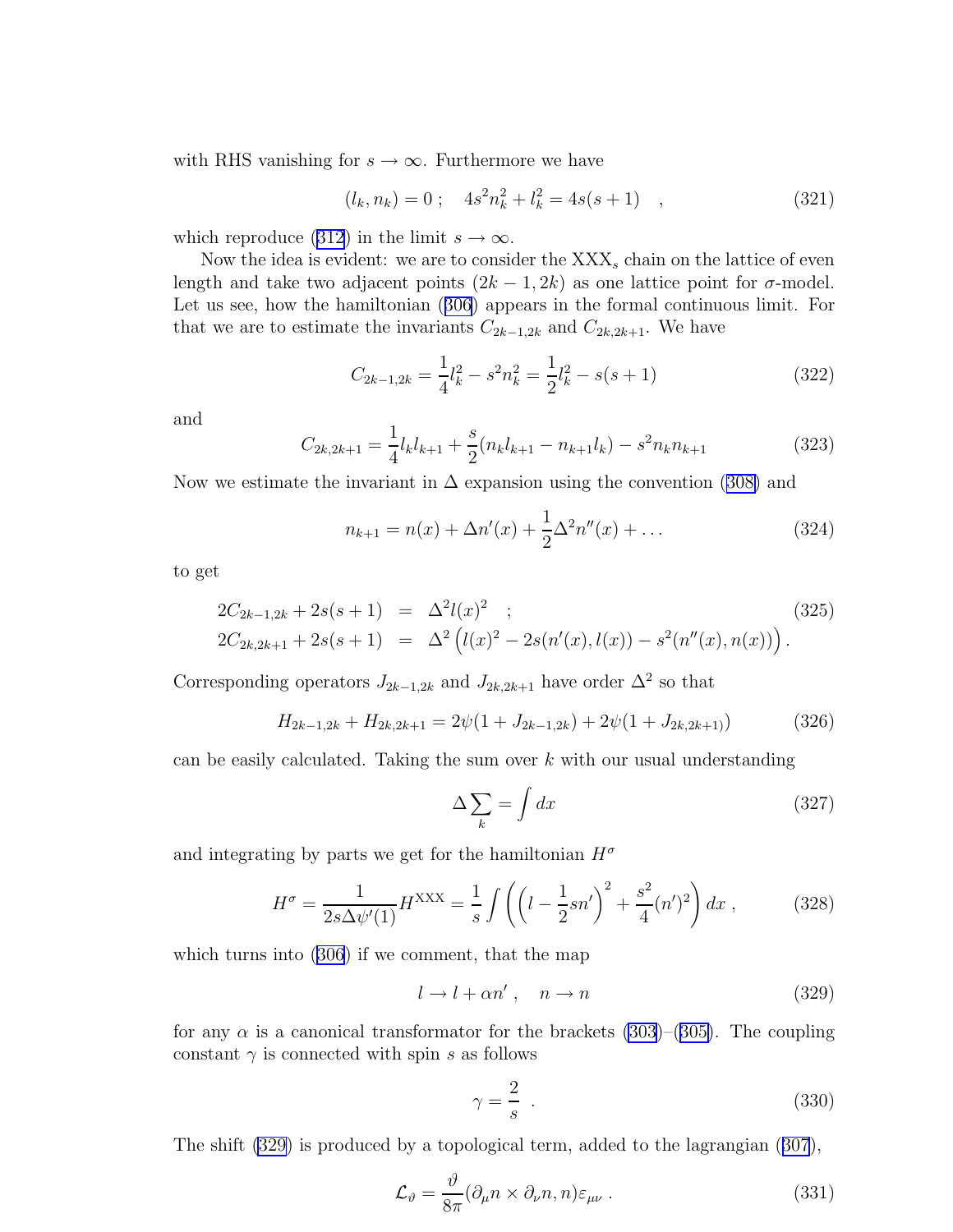with RHS vanishing for  $s \to \infty$ . Furthermore we have

$$
(l_k, n_k) = 0 \; ; \quad 4s^2 n_k^2 + l_k^2 = 4s(s+1) \quad , \tag{321}
$$

whichreproduce ([312](#page-39-0)) in the limit  $s \to \infty$ .

Now the idea is evident: we are to consider the  $XXX<sub>s</sub>$  chain on the lattice of even length and take two adjacent points  $(2k - 1, 2k)$  as one lattice point for  $\sigma$ -model. Let us see, how the hamiltonian([306](#page-38-0)) appears in the formal continuous limit. For that we are to estimate the invariants  $C_{2k-1,2k}$  and  $C_{2k,2k+1}$ . We have

$$
C_{2k-1,2k} = \frac{1}{4}l_k^2 - s^2 n_k^2 = \frac{1}{2}l_k^2 - s(s+1)
$$
\n(322)

and

$$
C_{2k,2k+1} = \frac{1}{4}l_k l_{k+1} + \frac{s}{2}(n_k l_{k+1} - n_{k+1} l_k) - s^2 n_k n_{k+1}
$$
\n(323)

Nowwe estimate the invariant in  $\Delta$  expansion using the convention ([308\)](#page-39-0) and

$$
n_{k+1} = n(x) + \Delta n'(x) + \frac{1}{2}\Delta^2 n''(x) + \dots
$$
 (324)

to get

$$
2C_{2k-1,2k} + 2s(s+1) = \Delta^2 l(x)^2 ;
$$
\n
$$
2C_{2k,2k+1} + 2s(s+1) = \Delta^2 \left( l(x)^2 - 2s(n'(x),l(x)) - s^2(n''(x),n(x)) \right).
$$
\n(325)

Corresponding operators  $J_{2k-1,2k}$  and  $J_{2k,2k+1}$  have order  $\Delta^2$  so that

$$
H_{2k-1,2k} + H_{2k,2k+1} = 2\psi(1 + J_{2k-1,2k}) + 2\psi(1 + J_{2k,2k+1})
$$
\n(326)

can be easily calculated. Taking the sum over  $k$  with our usual understanding

$$
\Delta \sum_{k} = \int dx \tag{327}
$$

and integrating by parts we get for the hamiltonian  $H^{\sigma}$ 

$$
H^{\sigma} = \frac{1}{2s\Delta\psi'(1)}H^{\text{XXX}} = \frac{1}{s} \int \left( \left( l - \frac{1}{2}sn' \right)^2 + \frac{s^2}{4}(n')^2 \right) dx , \qquad (328)
$$

which turns into([306](#page-38-0)) if we comment, that the map

$$
l \to l + \alpha n', \quad n \to n \tag{329}
$$

for any  $\alpha$  is a canonical transformator for the brackets [\(303\)](#page-38-0)–([305\)](#page-38-0). The coupling constant  $\gamma$  is connected with spin s as follows

$$
\gamma = \frac{2}{s} \tag{330}
$$

The shift (329) is produced by a topological term, added to the lagrangian([307](#page-38-0)),

$$
\mathcal{L}_{\vartheta} = \frac{\vartheta}{8\pi} (\partial_{\mu} n \times \partial_{\nu} n, n) \varepsilon_{\mu\nu} . \tag{331}
$$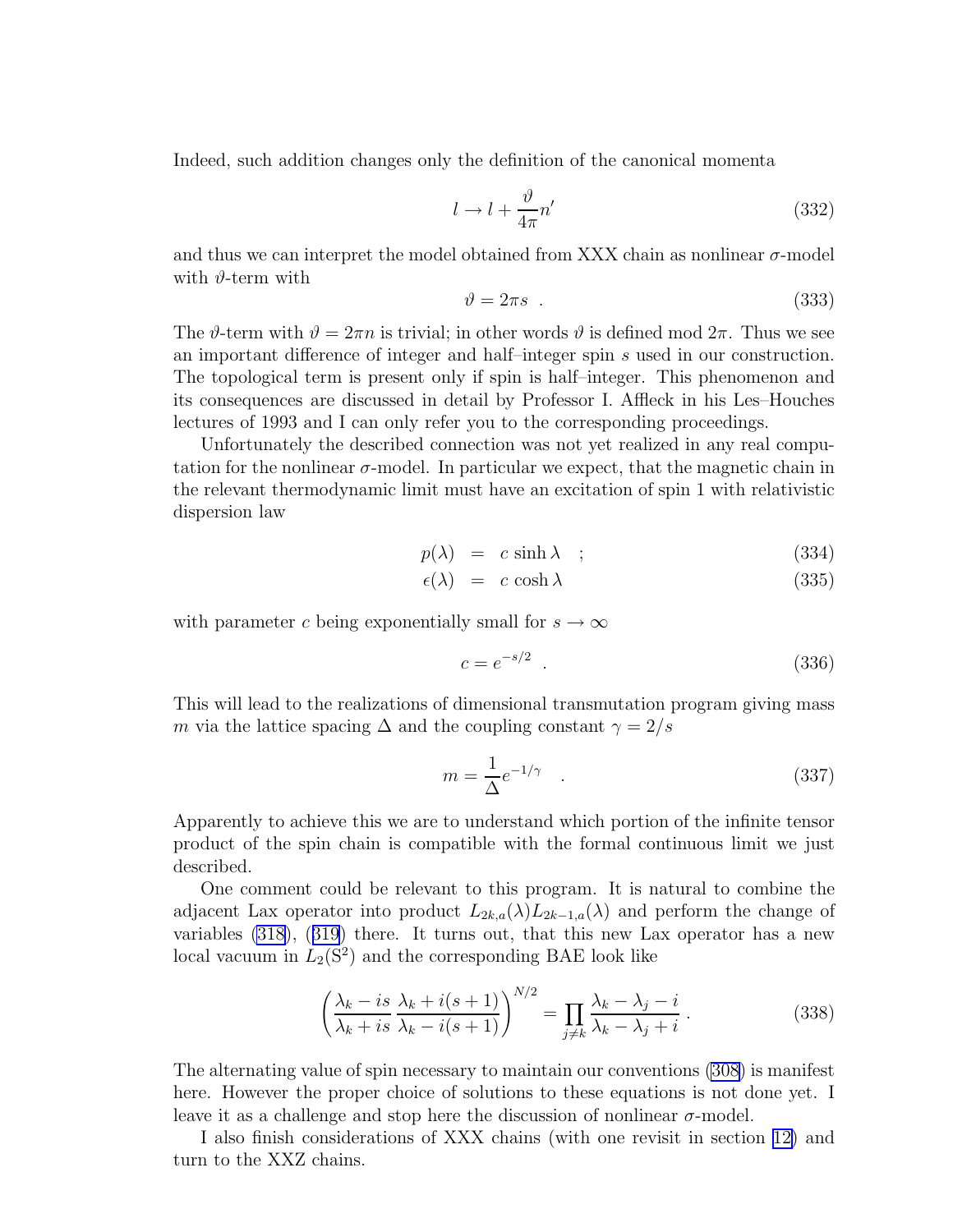<span id="page-41-0"></span>Indeed, such addition changes only the definition of the canonical momenta

$$
l \to l + \frac{\vartheta}{4\pi} n'
$$
\n(332)

and thus we can interpret the model obtained from XXX chain as nonlinear  $\sigma$ -model with  $\vartheta$ -term with

$$
\vartheta = 2\pi s \tag{333}
$$

The  $\vartheta$ -term with  $\vartheta = 2\pi n$  is trivial; in other words  $\vartheta$  is defined mod  $2\pi$ . Thus we see an important difference of integer and half–integer spin s used in our construction. The topological term is present only if spin is half–integer. This phenomenon and its consequences are discussed in detail by Professor I. Affleck in his Les–Houches lectures of 1993 and I can only refer you to the corresponding proceedings.

Unfortunately the described connection was not yet realized in any real computation for the nonlinear  $\sigma$ -model. In particular we expect, that the magnetic chain in the relevant thermodynamic limit must have an excitation of spin 1 with relativistic dispersion law

$$
p(\lambda) = c \sinh \lambda \quad ; \tag{334}
$$

$$
\epsilon(\lambda) = c \cosh \lambda \tag{335}
$$

with parameter c being exponentially small for  $s \to \infty$ 

$$
c = e^{-s/2} \tag{336}
$$

This will lead to the realizations of dimensional transmutation program giving mass m via the lattice spacing  $\Delta$  and the coupling constant  $\gamma = 2/s$ 

$$
m = \frac{1}{\Delta} e^{-1/\gamma} \quad . \tag{337}
$$

Apparently to achieve this we are to understand which portion of the infinite tensor product of the spin chain is compatible with the formal continuous limit we just described.

One comment could be relevant to this program. It is natural to combine the adjacent Lax operator into product  $L_{2k,a}(\lambda)L_{2k-1,a}(\lambda)$  and perform the change of variables [\(318](#page-39-0)),([319](#page-39-0)) there. It turns out, that this new Lax operator has a new local vacuum in  $L_2(S^2)$  and the corresponding BAE look like

$$
\left(\frac{\lambda_k - is}{\lambda_k + is} \frac{\lambda_k + i(s+1)}{\lambda_k - i(s+1)}\right)^{N/2} = \prod_{j \neq k} \frac{\lambda_k - \lambda_j - i}{\lambda_k - \lambda_j + i} \,. \tag{338}
$$

The alternating value of spin necessary to maintain our conventions [\(308](#page-39-0)) is manifest here. However the proper choice of solutions to these equations is not done yet. I leave it as a challenge and stop here the discussion of nonlinear  $\sigma$ -model.

I also finish considerations of XXX chains (with one revisit in section [12\)](#page-50-0) and turn to the XXZ chains.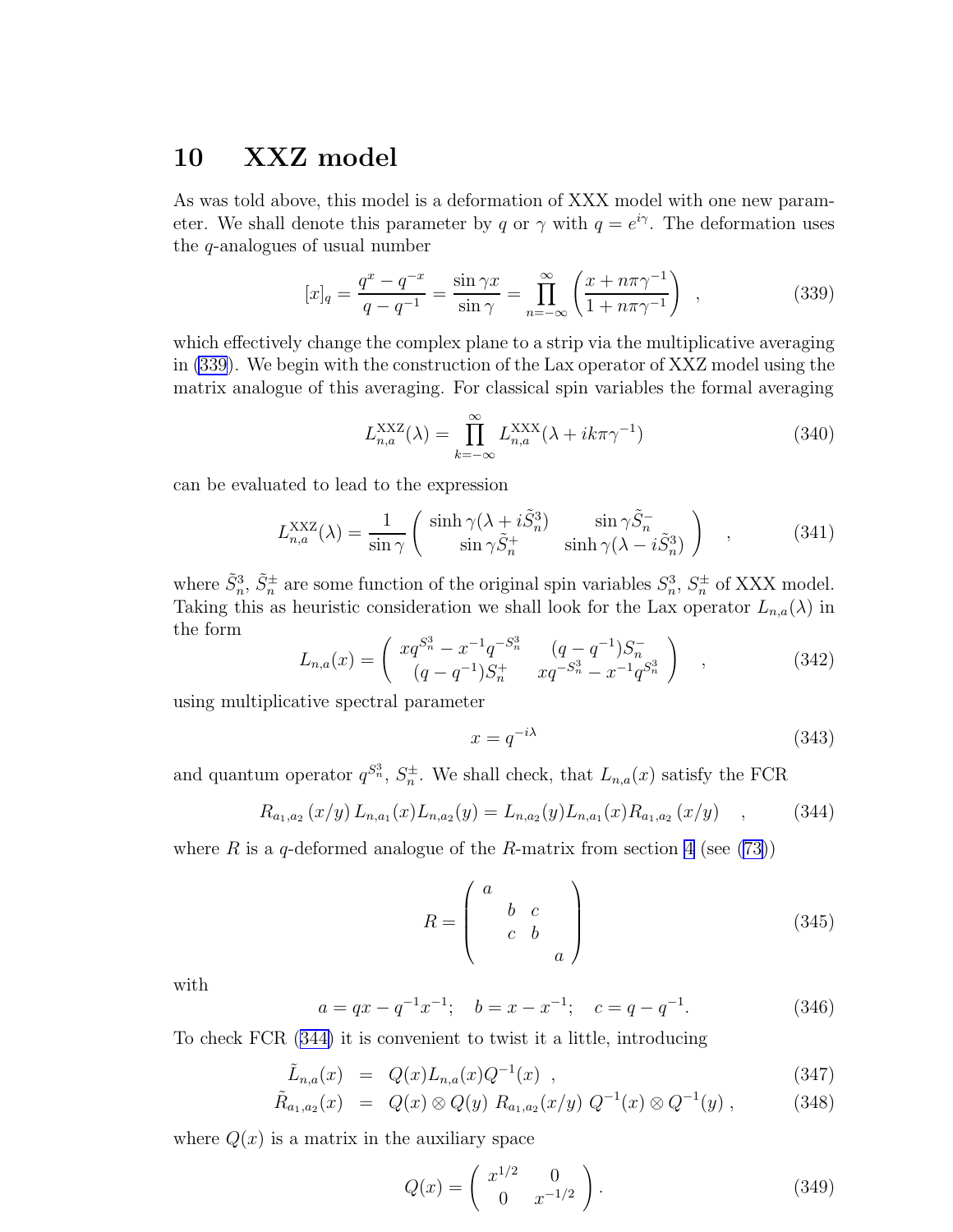### <span id="page-42-0"></span>10 XXZ model

As was told above, this model is a deformation of XXX model with one new parameter. We shall denote this parameter by q or  $\gamma$  with  $q = e^{i\gamma}$ . The deformation uses the q-analogues of usual number

$$
[x]_q = \frac{q^x - q^{-x}}{q - q^{-1}} = \frac{\sin \gamma x}{\sin \gamma} = \prod_{n = -\infty}^{\infty} \left( \frac{x + n\pi \gamma^{-1}}{1 + n\pi \gamma^{-1}} \right) ,
$$
 (339)

which effectively change the complex plane to a strip via the multiplicative averaging in (339). We begin with the construction of the Lax operator of XXZ model using the matrix analogue of this averaging. For classical spin variables the formal averaging

$$
L_{n,a}^{\text{XXZ}}(\lambda) = \prod_{k=-\infty}^{\infty} L_{n,a}^{\text{XXX}}(\lambda + ik\pi\gamma^{-1})
$$
\n(340)

can be evaluated to lead to the expression

$$
L_{n,a}^{\text{XXZ}}(\lambda) = \frac{1}{\sin \gamma} \begin{pmatrix} \sinh \gamma (\lambda + i \tilde{S}_n^3) & \sin \gamma \tilde{S}_n^- \\ \sin \gamma \tilde{S}_n^+ & \sinh \gamma (\lambda - i \tilde{S}_n^3) \end{pmatrix} , \qquad (341)
$$

where  $\tilde{S}_n^3$ ,  $\tilde{S}_n^{\pm}$  are some function of the original spin variables  $S_n^3$ ,  $S_n^{\pm}$  of XXX model. Taking this as heuristic consideration we shall look for the Lax operator  $L_{n,a}(\lambda)$  in the form

$$
L_{n,a}(x) = \begin{pmatrix} xq^{S_n^3} - x^{-1}q^{-S_n^3} & (q - q^{-1})S_n^- \\ (q - q^{-1})S_n^+ & xq^{-S_n^3} - x^{-1}q^{S_n^3} \end{pmatrix} , \qquad (342)
$$

using multiplicative spectral parameter

$$
x = q^{-i\lambda} \tag{343}
$$

and quantum operator  $q^{S_n^3}$ ,  $S_n^{\pm}$ . We shall check, that  $L_{n,a}(x)$  satisfy the FCR

$$
R_{a_1,a_2}(x/y) L_{n,a_1}(x) L_{n,a_2}(y) = L_{n,a_2}(y) L_{n,a_1}(x) R_{a_1,a_2}(x/y) \quad , \tag{344}
$$

where R is a q-deformed analogue of the R-matrix from section [4](#page-10-0)(see  $(73)$  $(73)$ )

$$
R = \begin{pmatrix} a & & \\ & b & c \\ & c & b \\ & & a \end{pmatrix} \tag{345}
$$

with

$$
a = qx - q^{-1}x^{-1}; \quad b = x - x^{-1}; \quad c = q - q^{-1}.
$$
 (346)

To check FCR (344) it is convenient to twist it a little, introducing

$$
\tilde{L}_{n,a}(x) = Q(x)L_{n,a}(x)Q^{-1}(x) , \qquad (347)
$$

$$
\tilde{R}_{a_1,a_2}(x) = Q(x) \otimes Q(y) R_{a_1,a_2}(x/y) Q^{-1}(x) \otimes Q^{-1}(y) , \qquad (348)
$$

where  $Q(x)$  is a matrix in the auxiliary space

$$
Q(x) = \begin{pmatrix} x^{1/2} & 0 \\ 0 & x^{-1/2} \end{pmatrix}.
$$
 (349)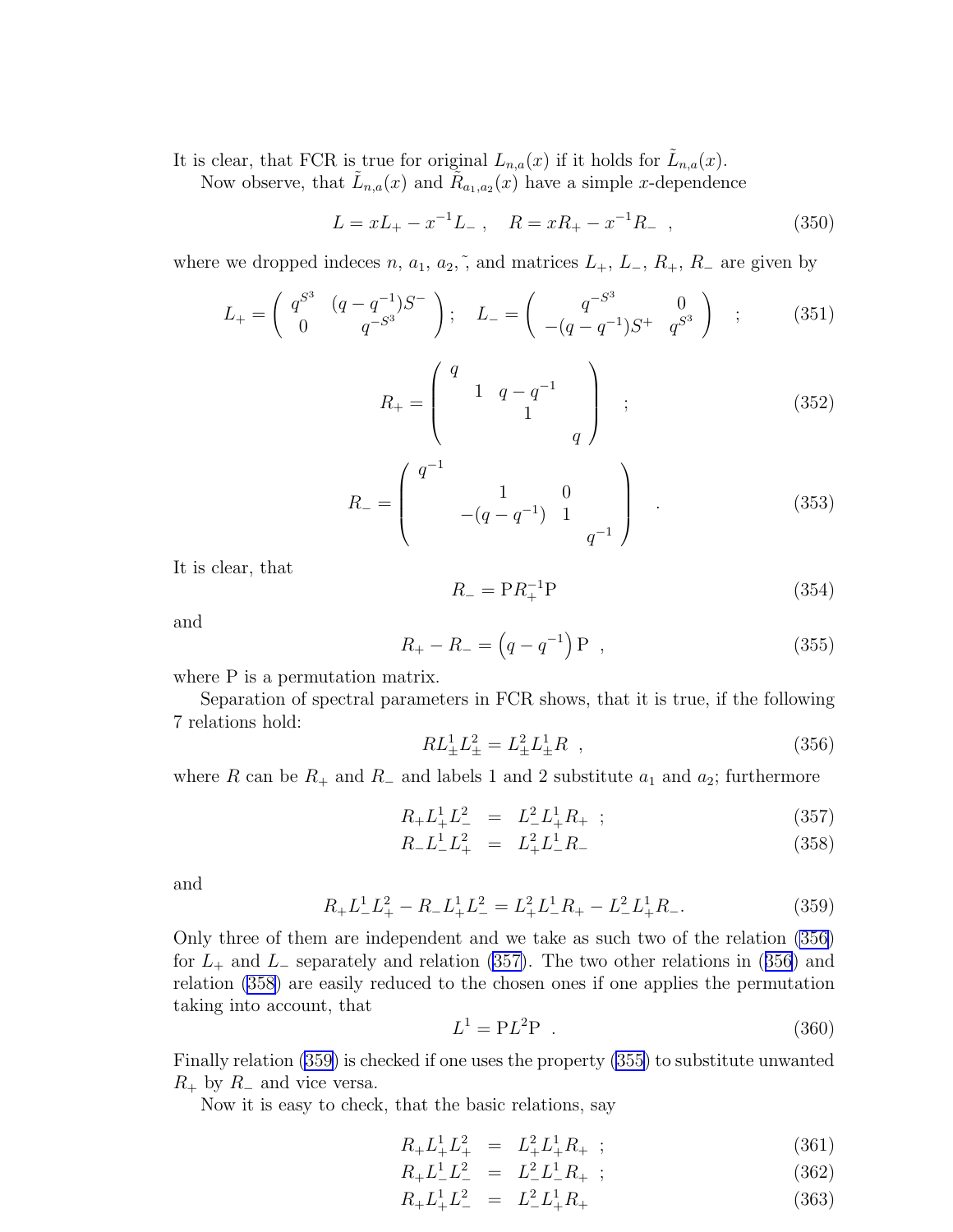<span id="page-43-0"></span>It is clear, that FCR is true for original  $L_{n,a}(x)$  if it holds for  $\tilde{L}_{n,a}(x)$ .

Now observe, that  $\tilde{L}_{n,a}(x)$  and  $\tilde{R}_{a_1,a_2}(x)$  have a simple x-dependence

$$
L = xL_{+} - x^{-1}L_{-} , \quad R = xR_{+} - x^{-1}R_{-} , \qquad (350)
$$

where we dropped indeces n,  $a_1$ ,  $a_2$ ,  $\tilde{a}$ , and matrices  $L_+$ ,  $L_-$ ,  $R_+$ ,  $R_-$  are given by

$$
L_{+} = \begin{pmatrix} q^{S^3} & (q - q^{-1})S^{-} \\ 0 & q^{-S^3} \end{pmatrix}; \quad L_{-} = \begin{pmatrix} q^{-S^3} & 0 \\ -(q - q^{-1})S^{+} & q^{S^3} \end{pmatrix} ; \quad (351)
$$

$$
R_{+} = \begin{pmatrix} q & & & \\ & 1 & q - q^{-1} & \\ & & 1 & \\ & & & q \end{pmatrix} ; \qquad (352)
$$

$$
R_{-} = \begin{pmatrix} q^{-1} & 1 & 0 \\ 1 & -\left(q - q^{-1}\right) & 1 \\ q^{-1} & q^{-1} \end{pmatrix} . \tag{353}
$$

It is clear, that

$$
R_{-} = \mathbf{P}R_{+}^{-1}\mathbf{P} \tag{354}
$$

and

$$
R_{+} - R_{-} = (q - q^{-1}) P , \qquad (355)
$$

where P is a permutation matrix.

Separation of spectral parameters in FCR shows, that it is true, if the following 7 relations hold:

$$
RL_{\pm}^{1}L_{\pm}^{2} = L_{\pm}^{2}L_{\pm}^{1}R \t , \t (356)
$$

where R can be  $R_+$  and  $R_-$  and labels 1 and 2 substitute  $a_1$  and  $a_2$ ; furthermore

$$
R_{+}L_{+}^{1}L_{-}^{2} = L_{-}^{2}L_{+}^{1}R_{+} ; \qquad (357)
$$

$$
R_- L_-^1 L_+^2 = L_+^2 L_-^1 R_- \tag{358}
$$

and

$$
R_{+}L_{-}^{1}L_{+}^{2} - R_{-}L_{+}^{1}L_{-}^{2} = L_{+}^{2}L_{-}^{1}R_{+} - L_{-}^{2}L_{+}^{1}R_{-}.
$$
\n(359)

Only three of them are independent and we take as such two of the relation (356) for  $L_+$  and  $L_-$  separately and relation (357). The two other relations in (356) and relation (358) are easily reduced to the chosen ones if one applies the permutation taking into account, that

$$
L^1 = PL^2P \t\t(360)
$$

Finally relation (359) is checked if one uses the property (355) to substitute unwanted  $R_+$  by  $R_-$  and vice versa.

Now it is easy to check, that the basic relations, say

$$
R_{+}L_{+}^{1}L_{+}^{2} = L_{+}^{2}L_{+}^{1}R_{+} ; \qquad (361)
$$

- $R_+ L_-^1 L_-^2 = L_-^2 L_-^1 R_+ ;$  (362)
- $R_+ L_+^1 L_-^2 = L_-^2 L_+^1$  $(363)$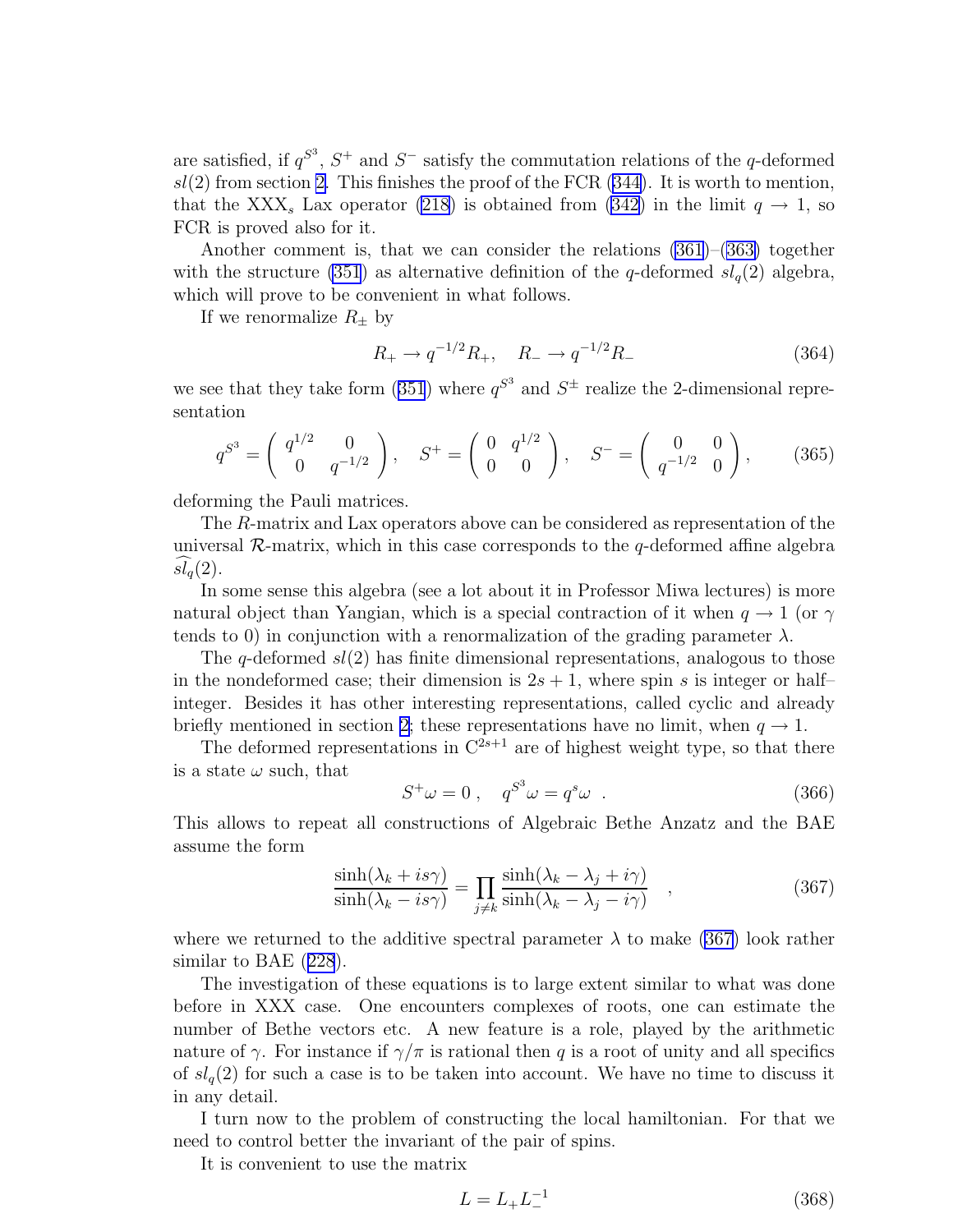are satisfied, if  $q^{S^3}$ ,  $S^+$  and  $S^-$  satisfy the commutation relations of the q-deformed  $sl(2)$  from section [2.](#page-2-0)This finishes the proof of the FCR ([344\)](#page-42-0). It is worth to mention, that the XXX<sub>s</sub> Lax operator [\(218\)](#page-29-0) is obtained from [\(342\)](#page-42-0) in the limit  $q \to 1$ , so FCR is proved also for it.

Another comment is, that we can consider the relations [\(361](#page-43-0))–[\(363\)](#page-43-0) together with the structure [\(351](#page-43-0)) as alternative definition of the q-deformed  $sl_q(2)$  algebra, which will prove to be convenient in what follows.

If we renormalize  $R_{\pm}$  by

$$
R_{+} \to q^{-1/2} R_{+}, \quad R_{-} \to q^{-1/2} R_{-}
$$
\n(364)

wesee that they take form ([351](#page-43-0)) where  $q^{S^3}$  and  $S^{\pm}$  realize the 2-dimensional representation

$$
q^{S^3} = \begin{pmatrix} q^{1/2} & 0 \\ 0 & q^{-1/2} \end{pmatrix}, \quad S^+ = \begin{pmatrix} 0 & q^{1/2} \\ 0 & 0 \end{pmatrix}, \quad S^- = \begin{pmatrix} 0 & 0 \\ q^{-1/2} & 0 \end{pmatrix}, \quad (365)
$$

deforming the Pauli matrices.

The R-matrix and Lax operators above can be considered as representation of the universal  $\mathcal{R}$ -matrix, which in this case corresponds to the q-deformed affine algebra  $sl<sub>q</sub>(2)$ .

In some sense this algebra (see a lot about it in Professor Miwa lectures) is more natural object than Yangian, which is a special contraction of it when  $q \to 1$  (or  $\gamma$ tends to 0) in conjunction with a renormalization of the grading parameter  $\lambda$ .

The q-deformed  $sl(2)$  has finite dimensional representations, analogous to those in the nondeformed case; their dimension is  $2s + 1$ , where spin s is integer or half– integer. Besides it has other interesting representations, called cyclic and already briefly mentioned in section [2;](#page-2-0) these representations have no limit, when  $q \to 1$ .

The deformed representations in  $C^{2s+1}$  are of highest weight type, so that there is a state  $\omega$  such, that

$$
S^+\omega = 0 \;, \quad q^{S^3}\omega = q^s\omega \; . \tag{366}
$$

This allows to repeat all constructions of Algebraic Bethe Anzatz and the BAE assume the form

$$
\frac{\sinh(\lambda_k + is\gamma)}{\sinh(\lambda_k - is\gamma)} = \prod_{j \neq k} \frac{\sinh(\lambda_k - \lambda_j + i\gamma)}{\sinh(\lambda_k - \lambda_j - i\gamma)} ,
$$
\n(367)

where we returned to the additive spectral parameter  $\lambda$  to make (367) look rather similar to BAE([228](#page-30-0)).

The investigation of these equations is to large extent similar to what was done before in XXX case. One encounters complexes of roots, one can estimate the number of Bethe vectors etc. A new feature is a role, played by the arithmetic nature of  $\gamma$ . For instance if  $\gamma/\pi$  is rational then q is a root of unity and all specifics of  $sl_q(2)$  for such a case is to be taken into account. We have no time to discuss it in any detail.

I turn now to the problem of constructing the local hamiltonian. For that we need to control better the invariant of the pair of spins.

It is convenient to use the matrix

$$
L = L_{+}L_{-}^{-1}
$$
 (368)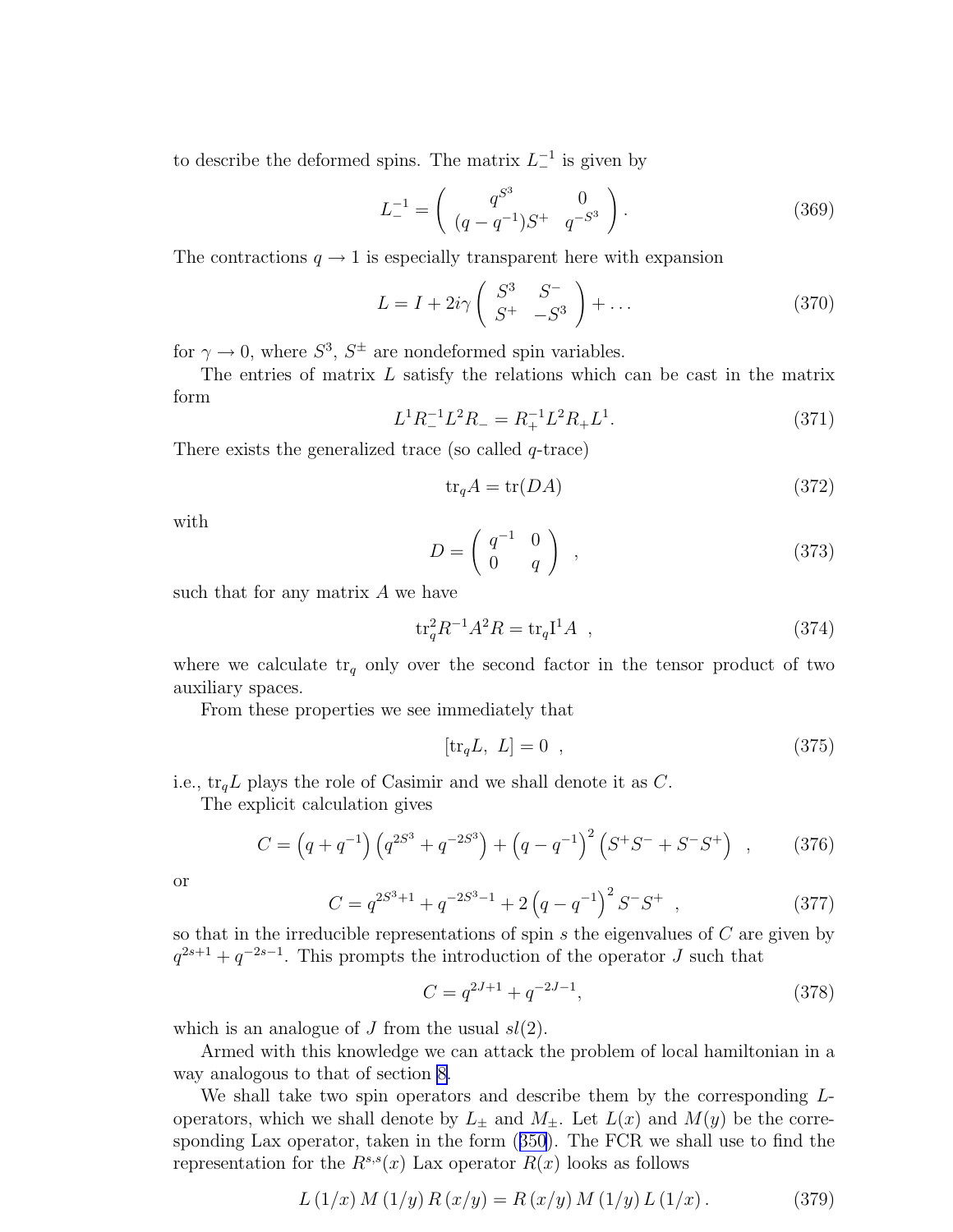<span id="page-45-0"></span>to describe the deformed spins. The matrix  $L_{-}^{-1}$  is given by

$$
L_{-}^{-1} = \begin{pmatrix} q^{S^3} & 0\\ (q - q^{-1})S^+ & q^{-S^3} \end{pmatrix}.
$$
 (369)

The contractions  $q \to 1$  is especially transparent here with expansion

$$
L = I + 2i\gamma \left( \begin{array}{cc} S^3 & S^- \\ S^+ & -S^3 \end{array} \right) + \dots \tag{370}
$$

for  $\gamma \to 0$ , where  $S^3$ ,  $S^{\pm}$  are nondeformed spin variables.

The entries of matrix L satisfy the relations which can be cast in the matrix form

$$
L^{1}R_{-}^{-1}L^{2}R_{-}=R_{+}^{-1}L^{2}R_{+}L^{1}.
$$
\n(371)

There exists the generalized trace (so called  $q$ -trace)

$$
\text{tr}_q A = \text{tr}(DA) \tag{372}
$$

with

$$
D = \left(\begin{array}{cc} q^{-1} & 0\\ 0 & q \end{array}\right) , \qquad (373)
$$

such that for any matrix  $A$  we have

$$
\text{tr}_q^2 R^{-1} A^2 R = \text{tr}_q \mathbf{I}^1 A \quad , \tag{374}
$$

where we calculate  $tr_q$  only over the second factor in the tensor product of two auxiliary spaces.

From these properties we see immediately that

$$
[\text{tr}_q L, L] = 0 \t\t(375)
$$

i.e.,  $\text{tr}_q L$  plays the role of Casimir and we shall denote it as C.

The explicit calculation gives

$$
C = (q + q^{-1}) (q^{2S^3} + q^{-2S^3}) + (q - q^{-1})^2 (S^+S^- + S^-S^+) , \qquad (376)
$$

or

$$
C = q^{2S^3 + 1} + q^{-2S^3 - 1} + 2\left(q - q^{-1}\right)^2 S^{-} S^{+} , \qquad (377)
$$

so that in the irreducible representations of spin  $s$  the eigenvalues of  $C$  are given by  $q^{2s+1} + q^{-2s-1}$ . This prompts the introduction of the operator J such that

$$
C = q^{2J+1} + q^{-2J-1},\tag{378}
$$

which is an analogue of  $J$  from the usual  $sl(2)$ .

Armed with this knowledge we can attack the problem of local hamiltonian in a way analogous to that of section [8](#page-29-0).

We shall take two spin operators and describe them by the corresponding Loperators, which we shall denote by  $L_{\pm}$  and  $M_{\pm}$ . Let  $L(x)$  and  $M(y)$  be the corresponding Lax operator, taken in the form([350](#page-43-0)). The FCR we shall use to find the representation for the  $R^{s,s}(x)$  Lax operator  $R(x)$  looks as follows

$$
L(1/x) M(1/y) R(x/y) = R(x/y) M(1/y) L(1/x).
$$
 (379)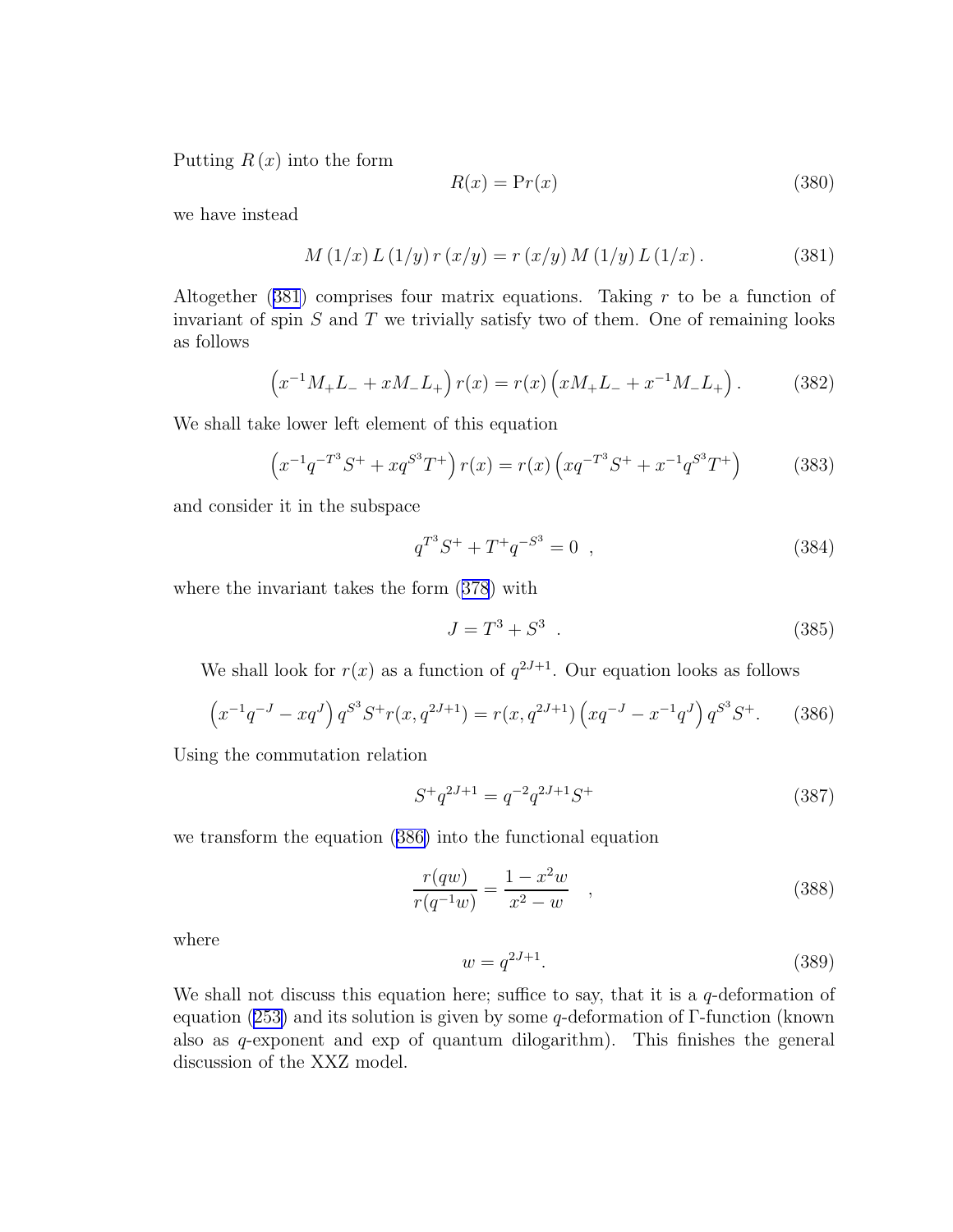<span id="page-46-0"></span>Putting  $R(x)$  into the form

$$
R(x) = \Pr(x) \tag{380}
$$

we have instead

$$
M(1/x) L(1/y) r(x/y) = r(x/y) M(1/y) L(1/x).
$$
 (381)

Altogether  $(381)$  comprises four matrix equations. Taking r to be a function of invariant of spin  $S$  and  $T$  we trivially satisfy two of them. One of remaining looks as follows

$$
(x^{-1}M_{+}L_{-} + xM_{-}L_{+})r(x) = r(x)\left(xM_{+}L_{-} + x^{-1}M_{-}L_{+}\right). \tag{382}
$$

We shall take lower left element of this equation

$$
\left(x^{-1}q^{-T^3}S^+ + xq^{S^3}T^+\right)r(x) = r(x)\left(xq^{-T^3}S^+ + x^{-1}q^{S^3}T^+\right) \tag{383}
$$

and consider it in the subspace

$$
q^{T^3}S^+ + T^+q^{-S^3} = 0 \quad , \tag{384}
$$

where the invariant takes the form([378](#page-45-0)) with

$$
J = T^3 + S^3 \t\t(385)
$$

We shall look for  $r(x)$  as a function of  $q^{2J+1}$ . Our equation looks as follows

$$
\left(x^{-1}q^{-J} - xq^{J}\right)q^{S^{3}}S^{+}r(x,q^{2J+1}) = r(x,q^{2J+1})\left(xq^{-J} - x^{-1}q^{J}\right)q^{S^{3}}S^{+}.
$$
 (386)

Using the commutation relation

$$
S^{+}q^{2J+1} = q^{-2}q^{2J+1}S^{+}
$$
\n(387)

we transform the equation (386) into the functional equation

$$
\frac{r(qw)}{r(q^{-1}w)} = \frac{1 - x^2w}{x^2 - w} \quad , \tag{388}
$$

where

$$
w = q^{2J+1}.\t\t(389)
$$

We shall not discuss this equation here; suffice to say, that it is a  $q$ -deformation of equation [\(253\)](#page-32-0) and its solution is given by some  $q$ -deformation of  $\Gamma$ -function (known also as q-exponent and exp of quantum dilogarithm). This finishes the general discussion of the XXZ model.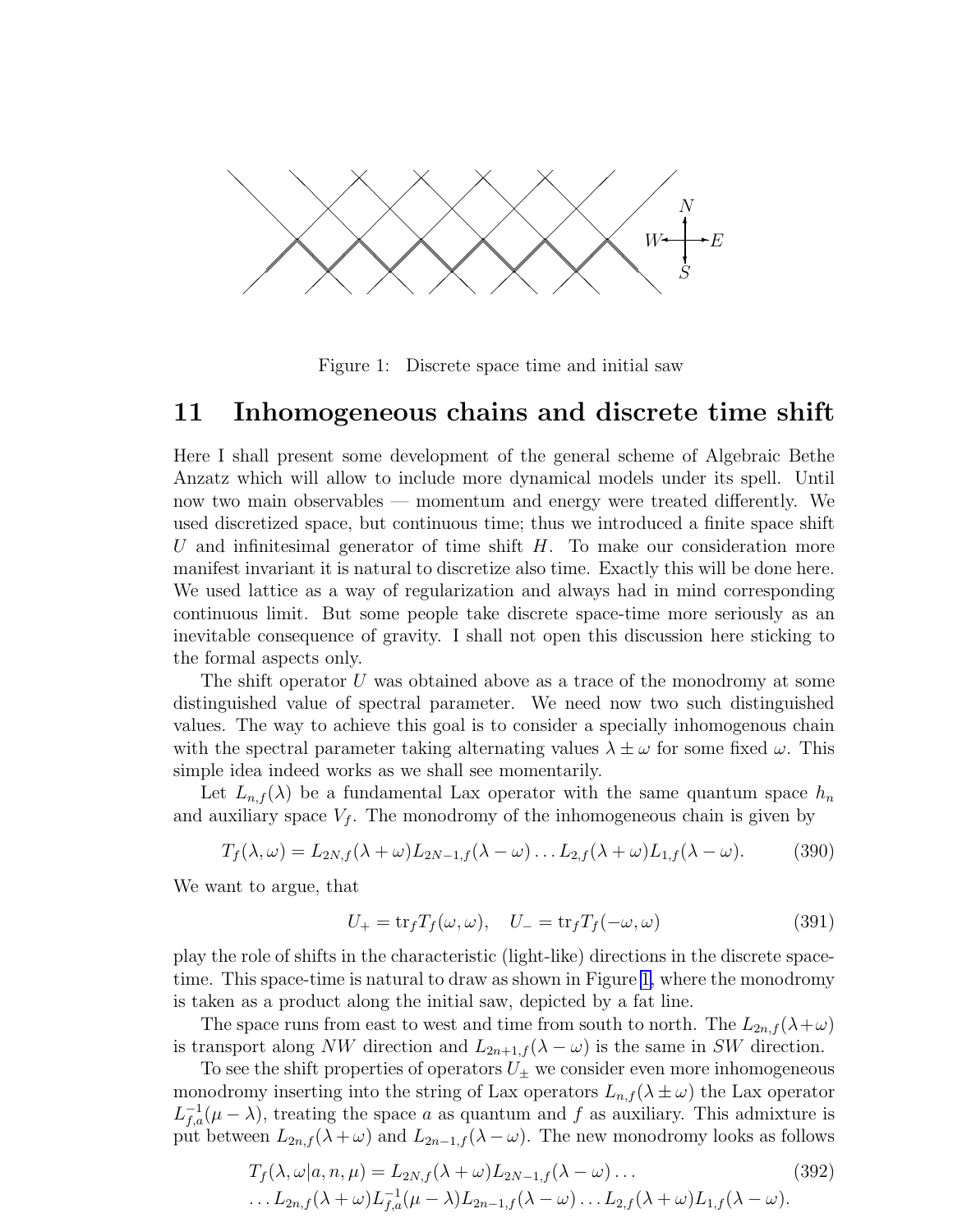<span id="page-47-0"></span>

Figure 1: Discrete space time and initial saw

#### 11 Inhomogeneous chains and discrete time shift

Here I shall present some development of the general scheme of Algebraic Bethe Anzatz which will allow to include more dynamical models under its spell. Until now two main observables — momentum and energy were treated differently. We used discretized space, but continuous time; thus we introduced a finite space shift U and infinitesimal generator of time shift  $H$ . To make our consideration more manifest invariant it is natural to discretize also time. Exactly this will be done here. We used lattice as a way of regularization and always had in mind corresponding continuous limit. But some people take discrete space-time more seriously as an inevitable consequence of gravity. I shall not open this discussion here sticking to the formal aspects only.

The shift operator U was obtained above as a trace of the monodromy at some distinguished value of spectral parameter. We need now two such distinguished values. The way to achieve this goal is to consider a specially inhomogenous chain with the spectral parameter taking alternating values  $\lambda \pm \omega$  for some fixed  $\omega$ . This simple idea indeed works as we shall see momentarily.

Let  $L_{n,f}(\lambda)$  be a fundamental Lax operator with the same quantum space  $h_n$ and auxiliary space  $V_f$ . The monodromy of the inhomogeneous chain is given by

$$
T_f(\lambda, \omega) = L_{2N,f}(\lambda + \omega) L_{2N-1,f}(\lambda - \omega) \dots L_{2,f}(\lambda + \omega) L_{1,f}(\lambda - \omega).
$$
 (390)

We want to argue, that

$$
U_{+} = \text{tr}_{f} T_{f}(\omega, \omega), \quad U_{-} = \text{tr}_{f} T_{f}(-\omega, \omega)
$$
\n(391)

play the role of shifts in the characteristic (light-like) directions in the discrete spacetime. This space-time is natural to draw as shown in Figure 1, where the monodromy is taken as a product along the initial saw, depicted by a fat line.

The space runs from east to west and time from south to north. The  $L_{2n,f}(\lambda+\omega)$ is transport along NW direction and  $L_{2n+1,f}(\lambda - \omega)$  is the same in SW direction.

To see the shift properties of operators  $U_{\pm}$  we consider even more inhomogeneous monodromy inserting into the string of Lax operators  $L_{n,f}(\lambda \pm \omega)$  the Lax operator  $L_{f,a}^{-1}(\mu - \lambda)$ , treating the space a as quantum and f as auxiliary. This admixture is put between  $L_{2n,f}(\lambda+\omega)$  and  $L_{2n-1,f}(\lambda-\omega)$ . The new monodromy looks as follows

$$
T_f(\lambda, \omega | a, n, \mu) = L_{2N,f}(\lambda + \omega) L_{2N-1,f}(\lambda - \omega) \dots
$$
\n
$$
\dots L_{2n,f}(\lambda + \omega) L_{f,a}^{-1}(\mu - \lambda) L_{2n-1,f}(\lambda - \omega) \dots L_{2,f}(\lambda + \omega) L_{1,f}(\lambda - \omega).
$$
\n(392)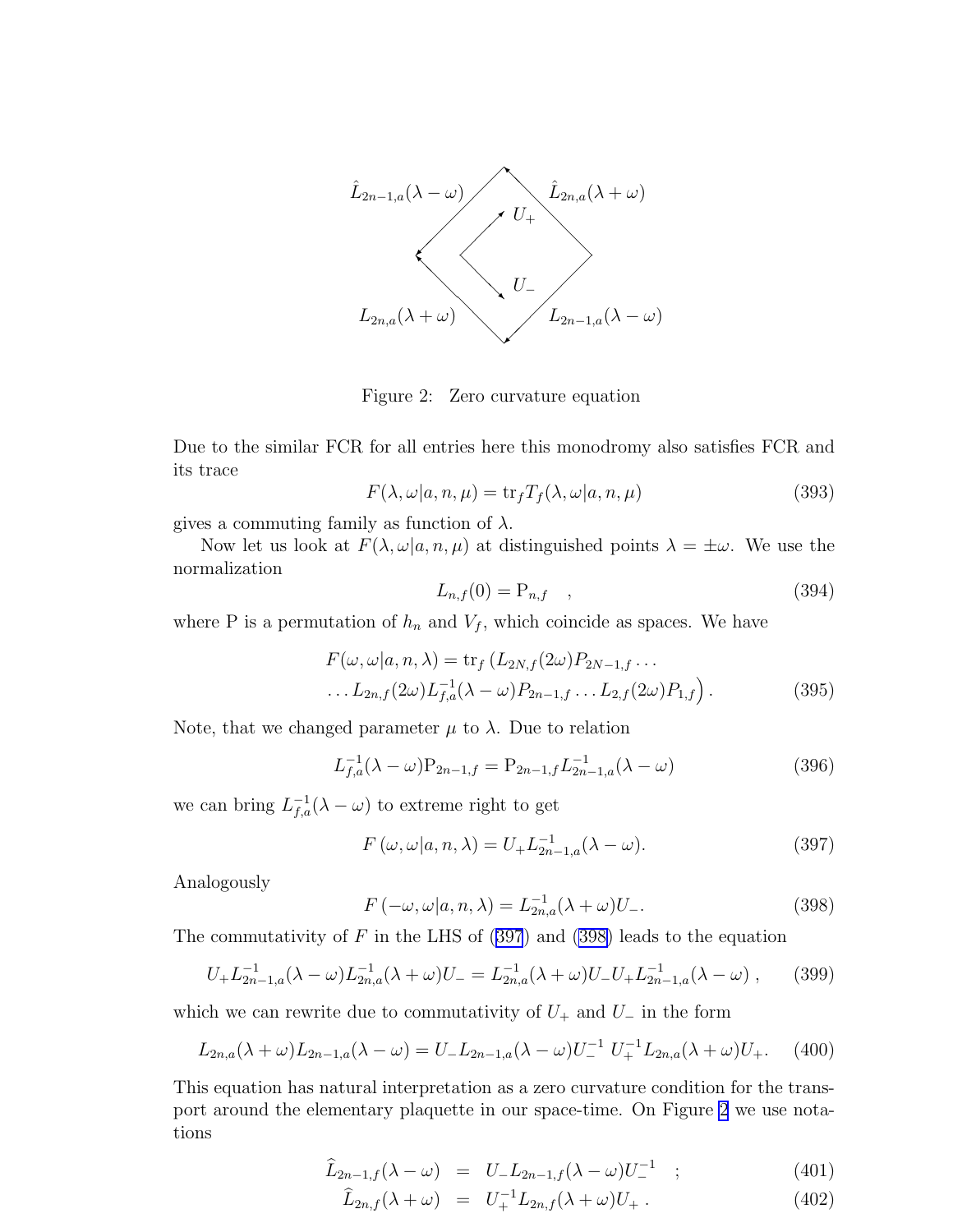

Figure 2: Zero curvature equation

Due to the similar FCR for all entries here this monodromy also satisfies FCR and its trace

$$
F(\lambda, \omega | a, n, \mu) = \text{tr}_f T_f(\lambda, \omega | a, n, \mu)
$$
\n(393)

gives a commuting family as function of  $\lambda$ .

Now let us look at  $F(\lambda, \omega|a, n, \mu)$  at distinguished points  $\lambda = \pm \omega$ . We use the normalization

$$
L_{n,f}(0) = P_{n,f} \quad , \tag{394}
$$

where P is a permutation of  $h_n$  and  $V_f$ , which coincide as spaces. We have

$$
F(\omega, \omega|a, n, \lambda) = \text{tr}_f(L_{2N,f}(2\omega)P_{2N-1,f} \dots
$$
  
...
$$
L_{2n,f}(2\omega)L_{f,a}^{-1}(\lambda - \omega)P_{2n-1,f} \dots L_{2,f}(2\omega)P_{1,f}.
$$
 (395)

Note, that we changed parameter  $\mu$  to  $\lambda$ . Due to relation

$$
L_{f,a}^{-1}(\lambda - \omega)P_{2n-1,f} = P_{2n-1,f}L_{2n-1,a}^{-1}(\lambda - \omega)
$$
\n(396)

we can bring  $L_{f,a}^{-1}(\lambda - \omega)$  to extreme right to get

$$
F(\omega, \omega | a, n, \lambda) = U_{+} L_{2n-1, a}^{-1}(\lambda - \omega).
$$
 (397)

Analogously

$$
F(-\omega, \omega|a, n, \lambda) = L_{2n,a}^{-1}(\lambda + \omega)U_{-}.
$$
\n(398)

The commutativity of  $F$  in the LHS of (397) and (398) leads to the equation

$$
U_{+}L_{2n-1,a}^{-1}(\lambda-\omega)L_{2n,a}^{-1}(\lambda+\omega)U_{-}=L_{2n,a}^{-1}(\lambda+\omega)U_{-}U_{+}L_{2n-1,a}^{-1}(\lambda-\omega)\;, \qquad (399)
$$

which we can rewrite due to commutativity of  $U_+$  and  $U_-\$  in the form

$$
L_{2n,a}(\lambda + \omega)L_{2n-1,a}(\lambda - \omega) = U_{-}L_{2n-1,a}(\lambda - \omega)U_{-}^{-1}U_{+}^{-1}L_{2n,a}(\lambda + \omega)U_{+}.
$$
 (400)

This equation has natural interpretation as a zero curvature condition for the transport around the elementary plaquette in our space-time. On Figure 2 we use notations

$$
\widehat{L}_{2n-1,f}(\lambda - \omega) = U_{-}L_{2n-1,f}(\lambda - \omega)U_{-}^{-1} \quad ; \tag{401}
$$

$$
\hat{L}_{2n,f}(\lambda + \omega) = U_+^{-1} L_{2n,f}(\lambda + \omega) U_+ \,. \tag{402}
$$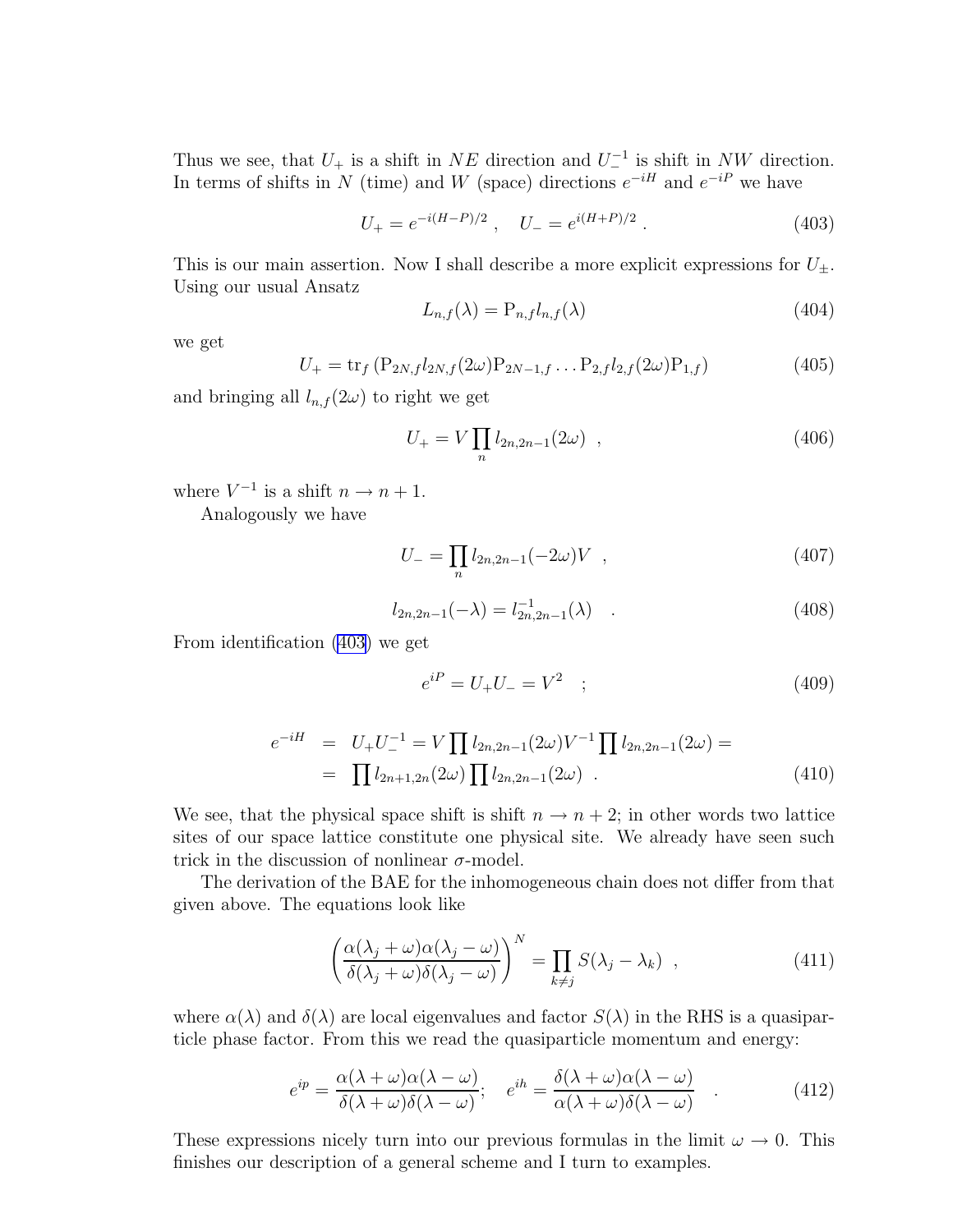<span id="page-49-0"></span>Thus we see, that  $U_+$  is a shift in  $NE$  direction and  $U_-^{-1}$  is shift in NW direction. In terms of shifts in N (time) and W (space) directions  $e^{-iH}$  and  $e^{-iP}$  we have

$$
U_{+} = e^{-i(H-P)/2} \ , \quad U_{-} = e^{i(H+P)/2} \ . \tag{403}
$$

This is our main assertion. Now I shall describe a more explicit expressions for  $U_{\pm}$ . Using our usual Ansatz

$$
L_{n,f}(\lambda) = \mathcal{P}_{n,f} l_{n,f}(\lambda) \tag{404}
$$

we get

$$
U_{+} = \text{tr}_{f} \left( P_{2N,f} l_{2N,f} (2\omega) P_{2N-1,f} \dots P_{2,f} l_{2,f} (2\omega) P_{1,f} \right) \tag{405}
$$

and bringing all  $l_{n,f}(2\omega)$  to right we get

$$
U_{+} = V \prod_{n} l_{2n,2n-1}(2\omega) , \qquad (406)
$$

where  $V^{-1}$  is a shift  $n \to n+1$ .

Analogously we have

$$
U_{-} = \prod_{n} l_{2n,2n-1}(-2\omega)V , \qquad (407)
$$

$$
l_{2n,2n-1}(-\lambda) = l_{2n,2n-1}^{-1}(\lambda) \quad . \tag{408}
$$

From identification (403) we get

$$
e^{iP} = U_{+}U_{-} = V^{2} \quad ; \tag{409}
$$

$$
e^{-iH} = U_{+}U_{-}^{-1} = V \prod l_{2n,2n-1}(2\omega)V^{-1} \prod l_{2n,2n-1}(2\omega) =
$$
  
= 
$$
\prod l_{2n+1,2n}(2\omega) \prod l_{2n,2n-1}(2\omega) .
$$
 (410)

We see, that the physical space shift is shift  $n \to n+2$ ; in other words two lattice sites of our space lattice constitute one physical site. We already have seen such trick in the discussion of nonlinear  $\sigma$ -model.

The derivation of the BAE for the inhomogeneous chain does not differ from that given above. The equations look like

$$
\left(\frac{\alpha(\lambda_j + \omega)\alpha(\lambda_j - \omega)}{\delta(\lambda_j + \omega)\delta(\lambda_j - \omega)}\right)^N = \prod_{k \neq j} S(\lambda_j - \lambda_k) , \qquad (411)
$$

where  $\alpha(\lambda)$  and  $\delta(\lambda)$  are local eigenvalues and factor  $S(\lambda)$  in the RHS is a quasiparticle phase factor. From this we read the quasiparticle momentum and energy:

$$
e^{ip} = \frac{\alpha(\lambda + \omega)\alpha(\lambda - \omega)}{\delta(\lambda + \omega)\delta(\lambda - \omega)}; \quad e^{ih} = \frac{\delta(\lambda + \omega)\alpha(\lambda - \omega)}{\alpha(\lambda + \omega)\delta(\lambda - \omega)} \quad . \tag{412}
$$

These expressions nicely turn into our previous formulas in the limit  $\omega \to 0$ . This finishes our description of a general scheme and I turn to examples.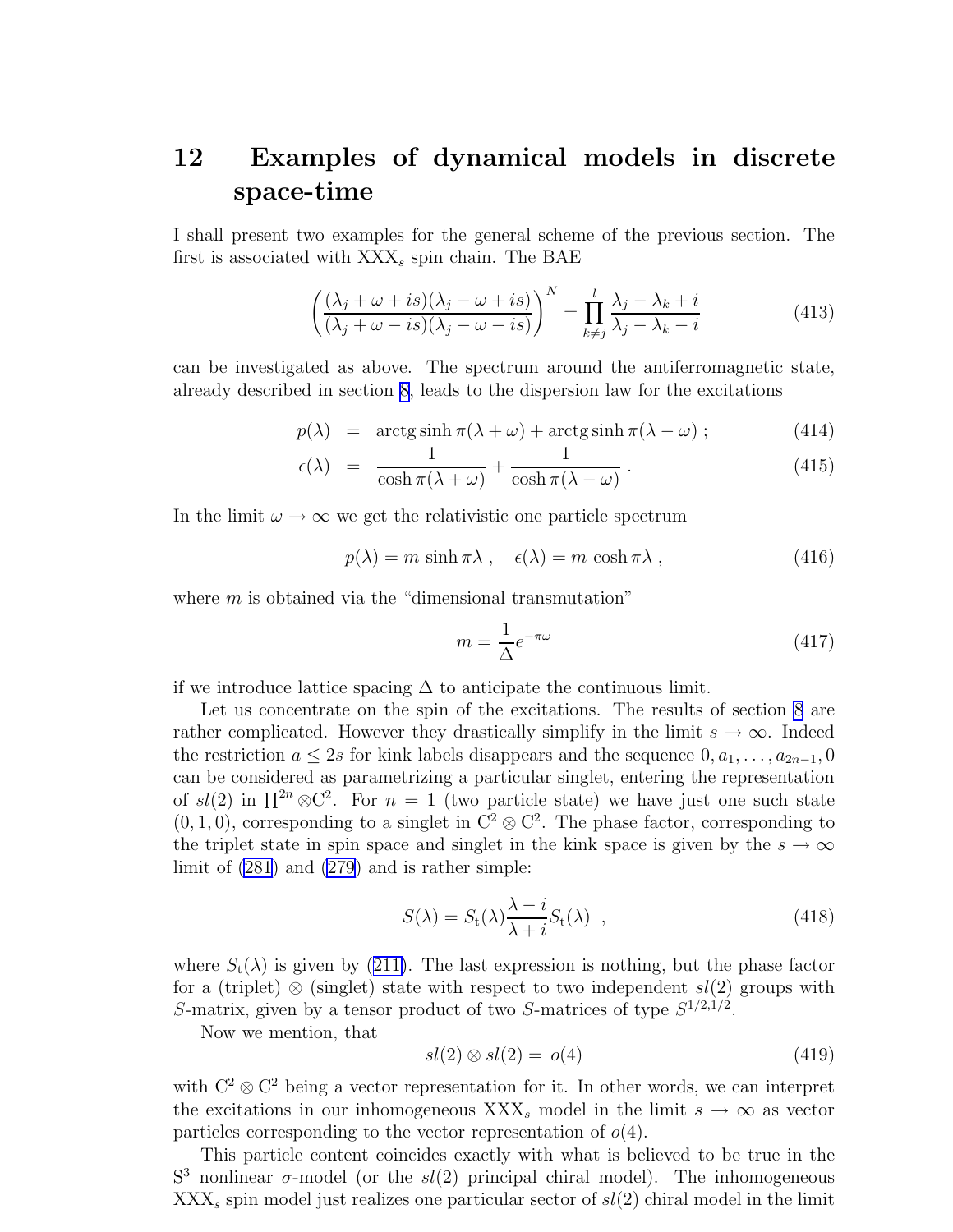### <span id="page-50-0"></span>12 Examples of dynamical models in discrete space-time

I shall present two examples for the general scheme of the previous section. The first is associated with  $XXX<sub>s</sub>$  spin chain. The BAE

$$
\left(\frac{(\lambda_j + \omega + is)(\lambda_j - \omega + is)}{(\lambda_j + \omega - is)(\lambda_j - \omega - is)}\right)^N = \prod_{k \neq j}^l \frac{\lambda_j - \lambda_k + i}{\lambda_j - \lambda_k - i}
$$
(413)

can be investigated as above. The spectrum around the antiferromagnetic state, already described in section [8](#page-29-0), leads to the dispersion law for the excitations

$$
p(\lambda) = \arctg \sinh \pi(\lambda + \omega) + \arctg \sinh \pi(\lambda - \omega) ; \qquad (414)
$$

$$
\epsilon(\lambda) = \frac{1}{\cosh \pi(\lambda + \omega)} + \frac{1}{\cosh \pi(\lambda - \omega)}.
$$
 (415)

In the limit  $\omega \to \infty$  we get the relativistic one particle spectrum

$$
p(\lambda) = m \sinh \pi \lambda , \quad \epsilon(\lambda) = m \cosh \pi \lambda , \qquad (416)
$$

where  $m$  is obtained via the "dimensional transmutation"

$$
m = \frac{1}{\Delta} e^{-\pi \omega} \tag{417}
$$

if we introduce lattice spacing  $\Delta$  to anticipate the continuous limit.

Let us concentrate on the spin of the excitations. The results of section [8](#page-29-0) are rather complicated. However they drastically simplify in the limit  $s \to \infty$ . Indeed the restriction  $a \leq 2s$  for kink labels disappears and the sequence  $0, a_1, \ldots, a_{2n-1}, 0$ can be considered as parametrizing a particular singlet, entering the representation of  $sl(2)$  in  $\prod^{2n} \otimes C^2$ . For  $n = 1$  (two particle state) we have just one such state  $(0, 1, 0)$ , corresponding to a singlet in  $C^2 \otimes C^2$ . The phase factor, corresponding to the triplet state in spin space and singlet in the kink space is given by the  $s \to \infty$ limit of [\(281\)](#page-36-0) and [\(279](#page-35-0)) and is rather simple:

$$
S(\lambda) = S_{t}(\lambda) \frac{\lambda - i}{\lambda + i} S_{t}(\lambda) , \qquad (418)
$$

where $S_t(\lambda)$  is given by ([211\)](#page-28-0). The last expression is nothing, but the phase factor for a (triplet) ⊗ (singlet) state with respect to two independent  $sl(2)$  groups with S-matrix, given by a tensor product of two S-matrices of type  $S^{1/2,1/2}$ .

Now we mention, that

$$
sl(2) \otimes sl(2) = o(4) \tag{419}
$$

with  $C^2 \otimes C^2$  being a vector representation for it. In other words, we can interpret the excitations in our inhomogeneous  $XXX<sub>s</sub>$  model in the limit  $s \to \infty$  as vector particles corresponding to the vector representation of  $o(4)$ .

This particle content coincides exactly with what is believed to be true in the S<sup>3</sup> nonlinear  $\sigma$ -model (or the  $sl(2)$  principal chiral model). The inhomogeneous  $XXX<sub>s</sub>$  spin model just realizes one particular sector of  $sl(2)$  chiral model in the limit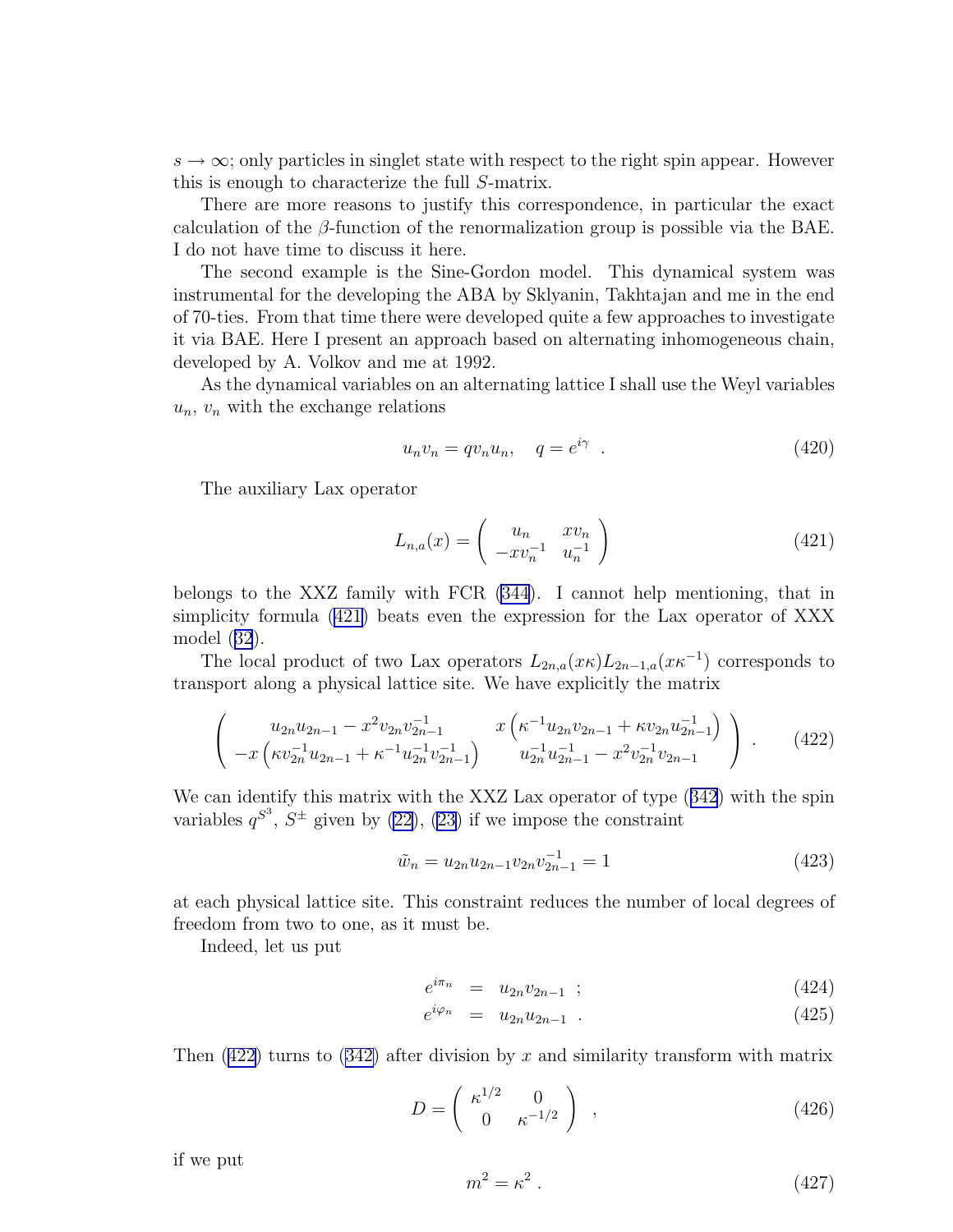<span id="page-51-0"></span> $s \to \infty$ ; only particles in singlet state with respect to the right spin appear. However this is enough to characterize the full S-matrix.

There are more reasons to justify this correspondence, in particular the exact calculation of the  $\beta$ -function of the renormalization group is possible via the BAE. I do not have time to discuss it here.

The second example is the Sine-Gordon model. This dynamical system was instrumental for the developing the ABA by Sklyanin, Takhtajan and me in the end of 70-ties. From that time there were developed quite a few approaches to investigate it via BAE. Here I present an approach based on alternating inhomogeneous chain, developed by A. Volkov and me at 1992.

As the dynamical variables on an alternating lattice I shall use the Weyl variables  $u_n$ ,  $v_n$  with the exchange relations

$$
u_n v_n = q v_n u_n, \quad q = e^{i\gamma} \quad . \tag{420}
$$

The auxiliary Lax operator

$$
L_{n,a}(x) = \begin{pmatrix} u_n & xv_n \\ -xv_n^{-1} & u_n^{-1} \end{pmatrix}
$$
 (421)

belongs to the XXZ family with FCR [\(344](#page-42-0)). I cannot help mentioning, that in simplicity formula (421) beats even the expression for the Lax operator of XXX model([32](#page-6-0)).

The local product of two Lax operators  $L_{2n,a}(x\kappa)L_{2n-1,a}(x\kappa^{-1})$  corresponds to transport along a physical lattice site. We have explicitly the matrix

$$
\begin{pmatrix} u_{2n}u_{2n-1} - x^2 v_{2n} v_{2n-1}^{-1} & x \left( \kappa^{-1} u_{2n} v_{2n-1} + \kappa v_{2n} u_{2n-1}^{-1} \right) \\ -x \left( \kappa v_{2n}^{-1} u_{2n-1} + \kappa^{-1} u_{2n}^{-1} v_{2n-1}^{-1} \right) & u_{2n}^{-1} u_{2n-1}^{-1} - x^2 v_{2n}^{-1} v_{2n-1} \end{pmatrix} . \tag{422}
$$

Wecan identify this matrix with the XXZ Lax operator of type  $(342)$  $(342)$  $(342)$  with the spin variables  $q^{S^3}$ ,  $S^{\pm}$  given by [\(22\)](#page-5-0), [\(23\)](#page-5-0) if we impose the constraint

$$
\tilde{w}_n = u_{2n} u_{2n-1} v_{2n} v_{2n-1}^{-1} = 1 \tag{423}
$$

at each physical lattice site. This constraint reduces the number of local degrees of freedom from two to one, as it must be.

Indeed, let us put

$$
e^{i\pi_n} = u_{2n}v_{2n-1} \t{424}
$$

$$
e^{i\varphi_n} = u_{2n}u_{2n-1} \tag{425}
$$

Then  $(422)$  turns to  $(342)$  after division by x and similarity transform with matrix

$$
D = \begin{pmatrix} \kappa^{1/2} & 0\\ 0 & \kappa^{-1/2} \end{pmatrix} , \qquad (426)
$$

if we put

$$
m^2 = \kappa^2 \,. \tag{427}
$$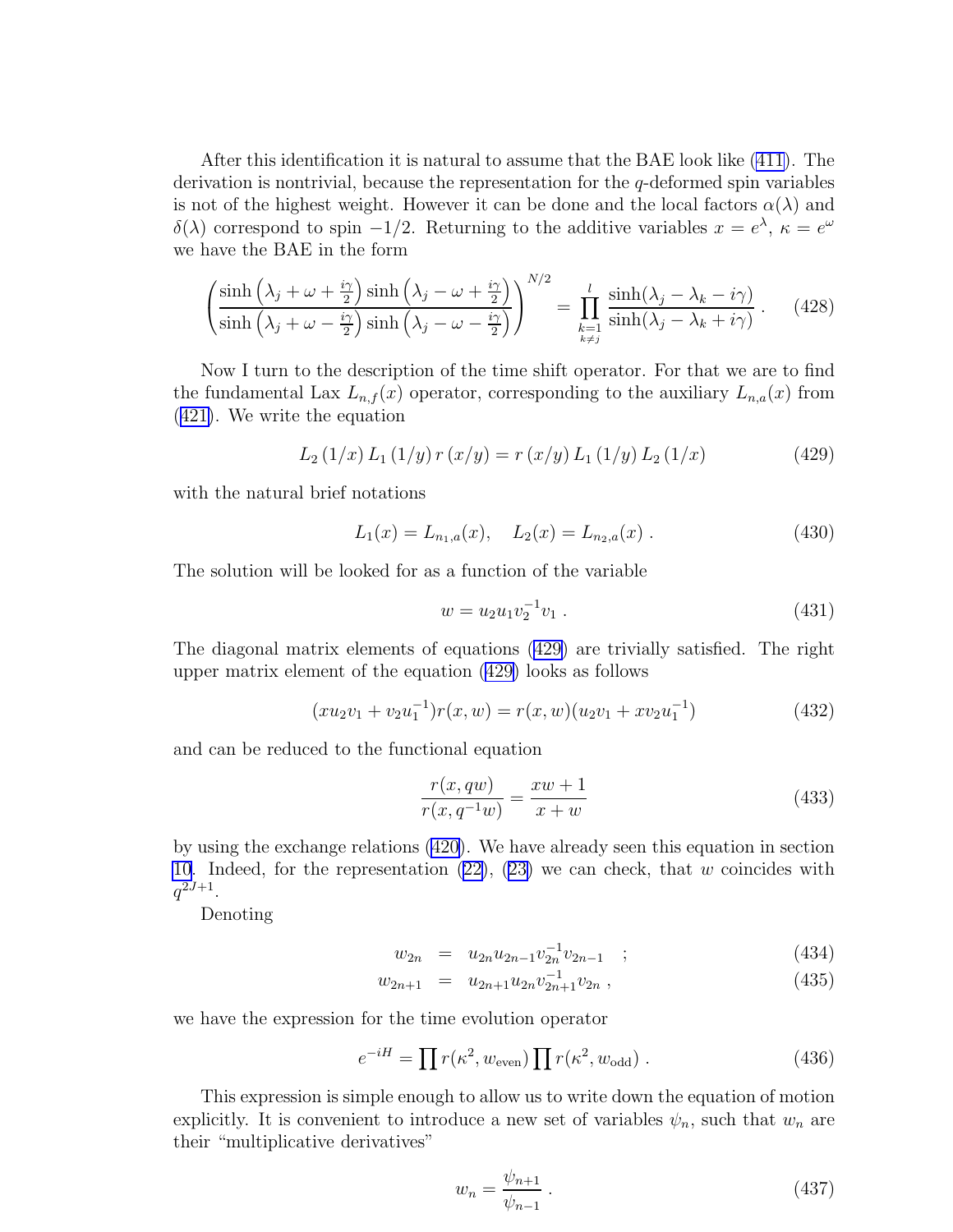<span id="page-52-0"></span>After this identification it is natural to assume that the BAE look like [\(411\)](#page-49-0). The derivation is nontrivial, because the representation for the q-deformed spin variables is not of the highest weight. However it can be done and the local factors  $\alpha(\lambda)$  and δ(λ) correspond to spin -1/2. Returning to the additive variables  $x = e^{\lambda}$ ,  $\kappa = e^{\omega}$ we have the BAE in the form

$$
\left(\frac{\sinh\left(\lambda_j+\omega+\frac{i\gamma}{2}\right)\sinh\left(\lambda_j-\omega+\frac{i\gamma}{2}\right)}{\sinh\left(\lambda_j+\omega-\frac{i\gamma}{2}\right)\sinh\left(\lambda_j-\omega-\frac{i\gamma}{2}\right)}\right)^{N/2} = \prod_{\substack{k=1\\k\neq j}}^l \frac{\sinh(\lambda_j-\lambda_k-i\gamma)}{\sinh(\lambda_j-\lambda_k+i\gamma)}.
$$
 (428)

Now I turn to the description of the time shift operator. For that we are to find the fundamental Lax  $L_{n,f}(x)$  operator, corresponding to the auxiliary  $L_{n,a}(x)$  from ([421\)](#page-51-0). We write the equation

$$
L_2(1/x) L_1(1/y) r(x/y) = r(x/y) L_1(1/y) L_2(1/x)
$$
 (429)

with the natural brief notations

$$
L_1(x) = L_{n_1, a}(x), \quad L_2(x) = L_{n_2, a}(x) . \tag{430}
$$

The solution will be looked for as a function of the variable

$$
w = u_2 u_1 v_2^{-1} v_1 . \tag{431}
$$

The diagonal matrix elements of equations (429) are trivially satisfied. The right upper matrix element of the equation (429) looks as follows

$$
(xu_2v_1 + v_2u_1^{-1})r(x, w) = r(x, w)(u_2v_1 + xv_2u_1^{-1})
$$
\n(432)

and can be reduced to the functional equation

$$
\frac{r(x, qw)}{r(x, q^{-1}w)} = \frac{xw + 1}{x + w} \tag{433}
$$

by using the exchange relations [\(420](#page-51-0)). We have already seen this equation in section [10](#page-42-0).Indeed, for the representation  $(22)$  $(22)$ ,  $(23)$  $(23)$  we can check, that w coincides with  $q^{2J+1}$ .

Denoting

$$
w_{2n} = u_{2n} u_{2n-1} v_{2n}^{-1} v_{2n-1} ; \qquad (434)
$$

$$
w_{2n+1} = u_{2n+1} u_{2n} v_{2n+1}^{-1} v_{2n} , \qquad (435)
$$

we have the expression for the time evolution operator

$$
e^{-iH} = \prod r(\kappa^2, w_{\text{even}}) \prod r(\kappa^2, w_{\text{odd}}) . \tag{436}
$$

This expression is simple enough to allow us to write down the equation of motion explicitly. It is convenient to introduce a new set of variables  $\psi_n$ , such that  $w_n$  are their "multiplicative derivatives"

$$
w_n = \frac{\psi_{n+1}}{\psi_{n-1}} \,. \tag{437}
$$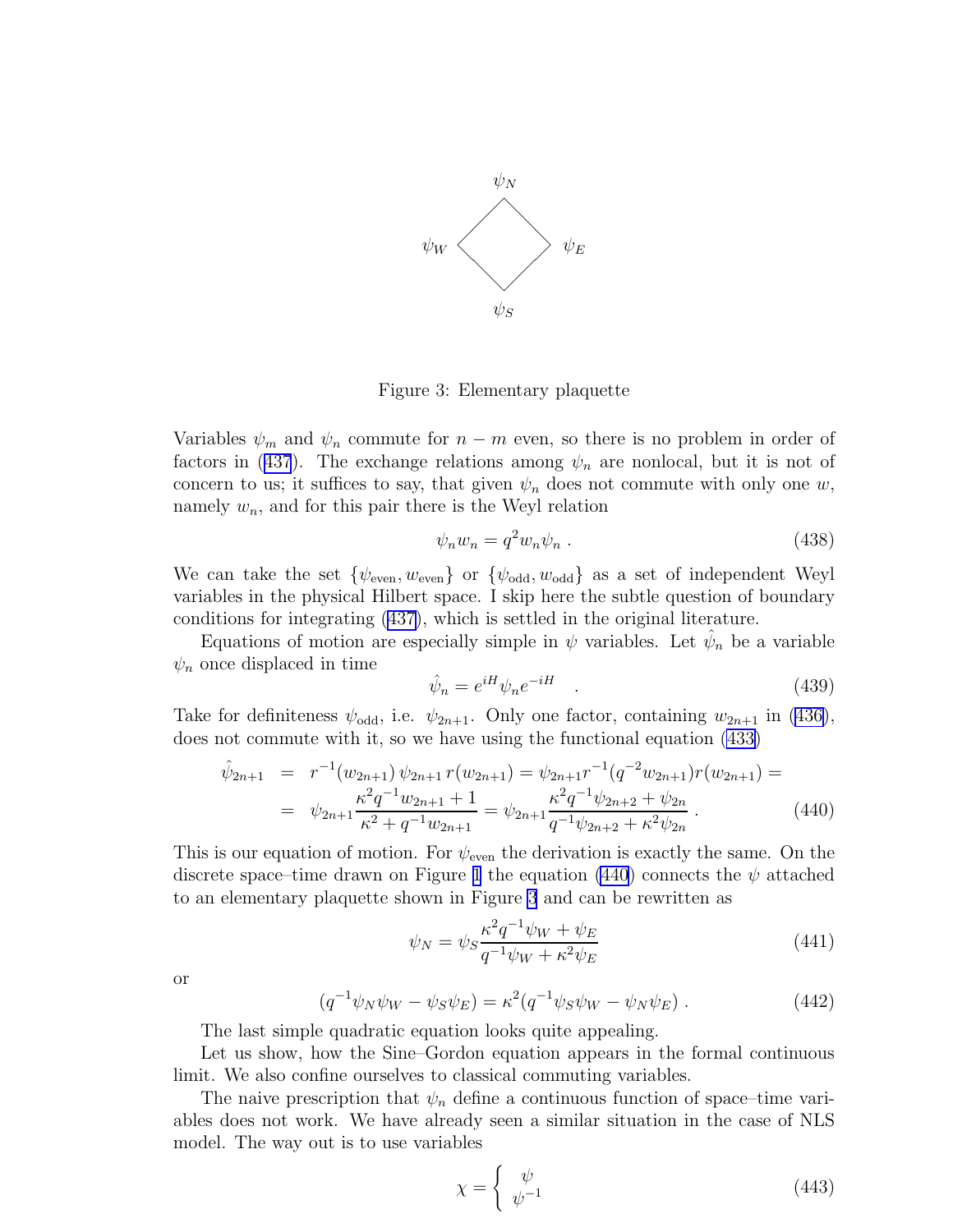<span id="page-53-0"></span>

Figure 3: Elementary plaquette

Variables  $\psi_m$  and  $\psi_n$  commute for  $n - m$  even, so there is no problem in order of factorsin ([437](#page-52-0)). The exchange relations among  $\psi_n$  are nonlocal, but it is not of concern to us; it suffices to say, that given  $\psi_n$  does not commute with only one w, namely  $w_n$ , and for this pair there is the Weyl relation

$$
\psi_n w_n = q^2 w_n \psi_n \tag{438}
$$

We can take the set  $\{\psi_{\text{even}}, w_{\text{even}}\}$  or  $\{\psi_{\text{odd}}, w_{\text{odd}}\}$  as a set of independent Weyl variables in the physical Hilbert space. I skip here the subtle question of boundary conditions for integrating [\(437\)](#page-52-0), which is settled in the original literature.

Equations of motion are especially simple in  $\psi$  variables. Let  $\hat{\psi}_n$  be a variable  $\psi_n$  once displaced in time

$$
\hat{\psi}_n = e^{iH}\psi_n e^{-iH} \quad . \tag{439}
$$

Take for definiteness  $\psi_{\text{odd}}$ , i.e.  $\psi_{2n+1}$ . Only one factor, containing  $w_{2n+1}$  in [\(436\)](#page-52-0), does not commute with it, so we have using the functional equation [\(433\)](#page-52-0)

$$
\hat{\psi}_{2n+1} = r^{-1}(w_{2n+1}) \psi_{2n+1} r(w_{2n+1}) = \psi_{2n+1} r^{-1} (q^{-2} w_{2n+1}) r(w_{2n+1}) =
$$
\n
$$
= \psi_{2n+1} \frac{\kappa^2 q^{-1} w_{2n+1} + 1}{\kappa^2 + q^{-1} w_{2n+1}} = \psi_{2n+1} \frac{\kappa^2 q^{-1} \psi_{2n+2} + \psi_{2n}}{q^{-1} \psi_{2n+2} + \kappa^2 \psi_{2n}}.
$$
\n(440)

This is our equation of motion. For  $\psi_{\text{even}}$  the derivation is exactly the same. On the discrete space–time drawn on Figure [1](#page-47-0) the equation (440) connects the  $\psi$  attached to an elementary plaquette shown in Figure 3 and can be rewritten as

$$
\psi_N = \psi_S \frac{\kappa^2 q^{-1} \psi_W + \psi_E}{q^{-1} \psi_W + \kappa^2 \psi_E} \tag{441}
$$

or

$$
(q^{-1}\psi_N\psi_W - \psi_S\psi_E) = \kappa^2 (q^{-1}\psi_S\psi_W - \psi_N\psi_E) . \tag{442}
$$

The last simple quadratic equation looks quite appealing.

Let us show, how the Sine–Gordon equation appears in the formal continuous limit. We also confine ourselves to classical commuting variables.

The naive prescription that  $\psi_n$  define a continuous function of space–time variables does not work. We have already seen a similar situation in the case of NLS model. The way out is to use variables

$$
\chi = \begin{cases} \psi \\ \psi^{-1} \end{cases} \tag{443}
$$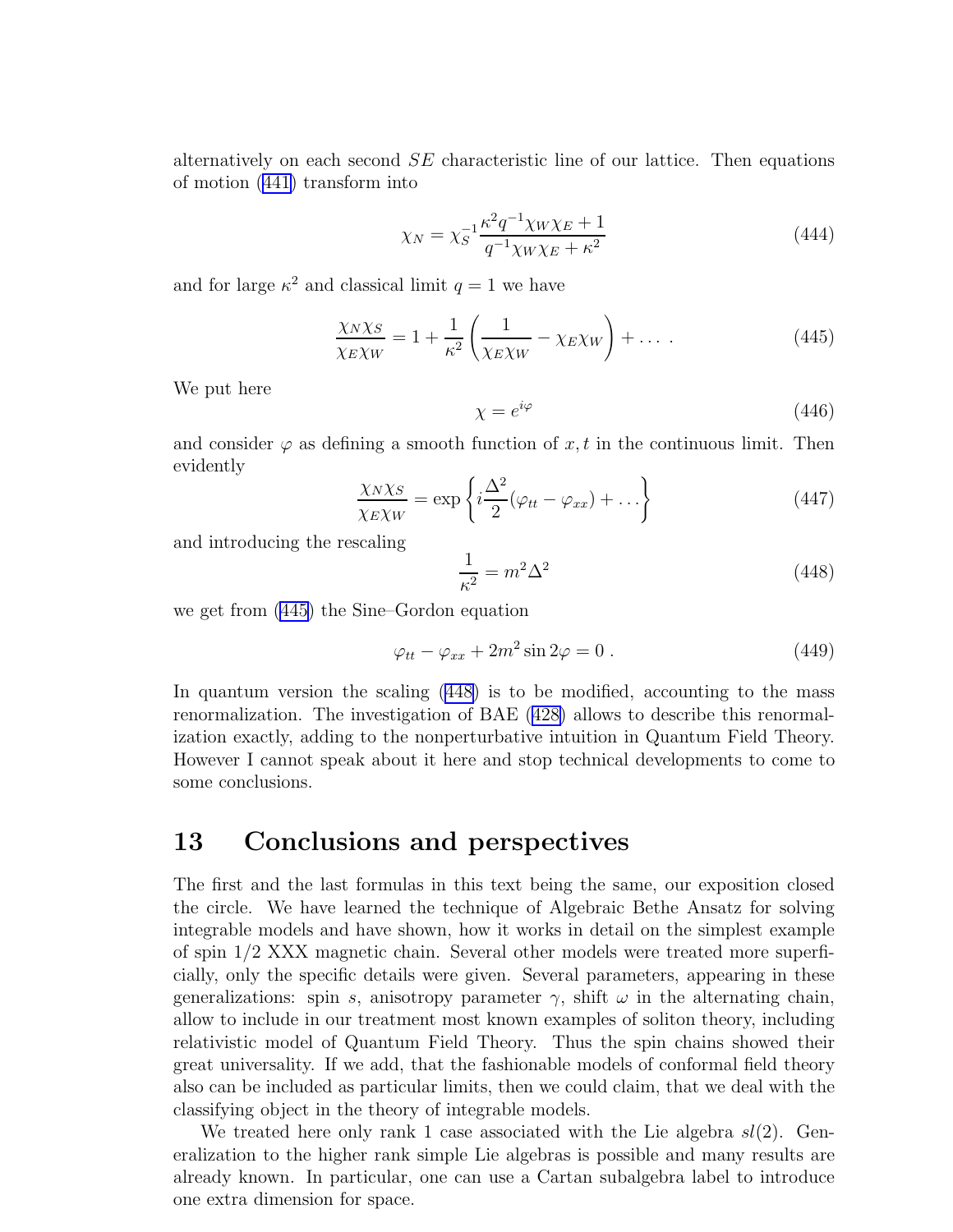alternatively on each second  $SE$  characteristic line of our lattice. Then equations of motion([441\)](#page-53-0) transform into

$$
\chi_N = \chi_S^{-1} \frac{\kappa^2 q^{-1} \chi_W \chi_E + 1}{q^{-1} \chi_W \chi_E + \kappa^2}
$$
\n(444)

and for large  $\kappa^2$  and classical limit  $q = 1$  we have

$$
\frac{\chi_N \chi_S}{\chi_E \chi_W} = 1 + \frac{1}{\kappa^2} \left( \frac{1}{\chi_E \chi_W} - \chi_E \chi_W \right) + \dots \tag{445}
$$

We put here

$$
\chi = e^{i\varphi} \tag{446}
$$

and consider  $\varphi$  as defining a smooth function of x, t in the continuous limit. Then evidently

$$
\frac{\chi_N \chi_S}{\chi_E \chi_W} = \exp\left\{ i \frac{\Delta^2}{2} (\varphi_{tt} - \varphi_{xx}) + \dots \right\} \tag{447}
$$

and introducing the rescaling

$$
\frac{1}{\kappa^2} = m^2 \Delta^2 \tag{448}
$$

we get from (445) the Sine–Gordon equation

$$
\varphi_{tt} - \varphi_{xx} + 2m^2 \sin 2\varphi = 0.
$$
\n(449)

In quantum version the scaling (448) is to be modified, accounting to the mass renormalization. The investigation of BAE [\(428\)](#page-52-0) allows to describe this renormalization exactly, adding to the nonperturbative intuition in Quantum Field Theory. However I cannot speak about it here and stop technical developments to come to some conclusions.

#### 13 Conclusions and perspectives

The first and the last formulas in this text being the same, our exposition closed the circle. We have learned the technique of Algebraic Bethe Ansatz for solving integrable models and have shown, how it works in detail on the simplest example of spin 1/2 XXX magnetic chain. Several other models were treated more superficially, only the specific details were given. Several parameters, appearing in these generalizations: spin s, anisotropy parameter  $\gamma$ , shift  $\omega$  in the alternating chain, allow to include in our treatment most known examples of soliton theory, including relativistic model of Quantum Field Theory. Thus the spin chains showed their great universality. If we add, that the fashionable models of conformal field theory also can be included as particular limits, then we could claim, that we deal with the classifying object in the theory of integrable models.

We treated here only rank 1 case associated with the Lie algebra  $sl(2)$ . Generalization to the higher rank simple Lie algebras is possible and many results are already known. In particular, one can use a Cartan subalgebra label to introduce one extra dimension for space.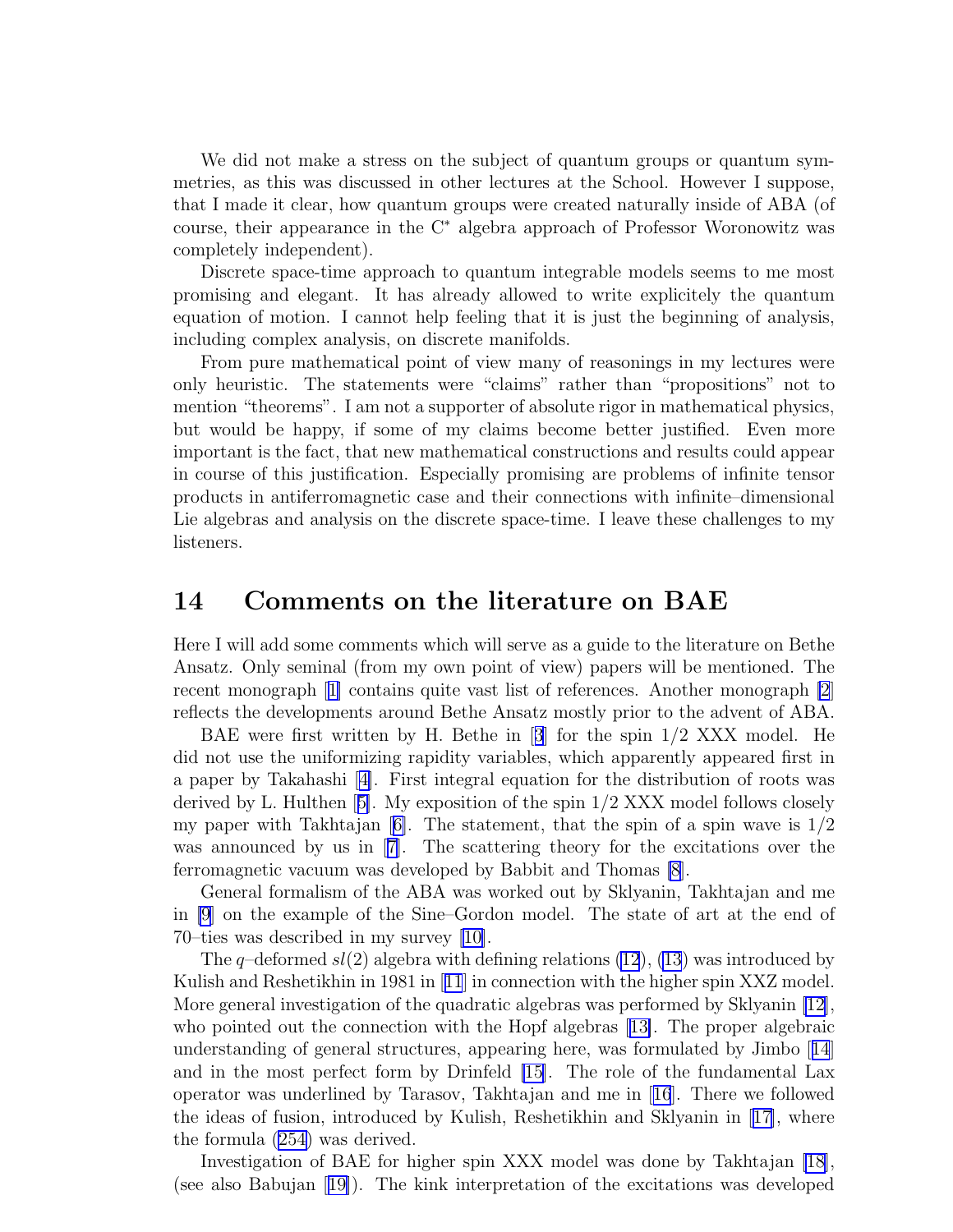We did not make a stress on the subject of quantum groups or quantum symmetries, as this was discussed in other lectures at the School. However I suppose, that I made it clear, how quantum groups were created naturally inside of ABA (of course, their appearance in the C<sup>∗</sup> algebra approach of Professor Woronowitz was completely independent).

Discrete space-time approach to quantum integrable models seems to me most promising and elegant. It has already allowed to write explicitely the quantum equation of motion. I cannot help feeling that it is just the beginning of analysis, including complex analysis, on discrete manifolds.

From pure mathematical point of view many of reasonings in my lectures were only heuristic. The statements were "claims" rather than "propositions" not to mention "theorems". I am not a supporter of absolute rigor in mathematical physics, but would be happy, if some of my claims become better justified. Even more important is the fact, that new mathematical constructions and results could appear in course of this justification. Especially promising are problems of infinite tensor products in antiferromagnetic case and their connections with infinite–dimensional Lie algebras and analysis on the discrete space-time. I leave these challenges to my listeners.

#### 14 Comments on the literature on BAE

Here I will add some comments which will serve as a guide to the literature on Bethe Ansatz. Only seminal (from my own point of view) papers will be mentioned. The recent monograph[[1\]](#page-57-0) contains quite vast list of references. Another monograph [\[2](#page-57-0)] reflects the developments around Bethe Ansatz mostly prior to the advent of ABA.

BAE were first written by H. Bethe in[[3](#page-57-0)] for the spin 1/2 XXX model. He did not use the uniformizing rapidity variables, which apparently appeared first in a paper by Takahashi[[4\]](#page-57-0). First integral equation for the distribution of roots was derived by L. Hulthen[[5\]](#page-57-0). My exposition of the spin 1/2 XXX model follows closely mypaper with Takhtajan  $|6|$ . The statement, that the spin of a spin wave is  $1/2$ was announced by us in [\[7\]](#page-57-0). The scattering theory for the excitations over the ferromagnetic vacuum was developed by Babbit and Thomas [\[8](#page-57-0)].

General formalism of the ABA was worked out by Sklyanin, Takhtajan and me in [\[9](#page-57-0)] on the example of the Sine–Gordon model. The state of art at the end of 70–ties was described in my survey[[10\]](#page-57-0).

The q-deformed  $sl(2)$  algebra with defining relations [\(12](#page-4-0)), [\(13](#page-4-0)) was introduced by Kulish and Reshetikhin in 1981 in[[11](#page-57-0)] in connection with the higher spin XXZ model. More general investigation of the quadratic algebras was performed by Sklyanin [\[12](#page-57-0)], who pointed out the connection with the Hopf algebras[[13\]](#page-57-0). The proper algebraic understanding of general structures, appearing here, was formulated by Jimbo[[14](#page-57-0)] and in the most perfect form by Drinfeld [\[15\]](#page-57-0). The role of the fundamental Lax operator was underlined by Tarasov, Takhtajan and me in[[16](#page-57-0)]. There we followed the ideas of fusion, introduced by Kulish, Reshetikhin and Sklyanin in[[17\]](#page-57-0), where the formula [\(254\)](#page-32-0) was derived.

Investigation of BAE for higher spin XXX model was done by Takhtajan [\[18](#page-57-0)], (see also Babujan[[19\]](#page-57-0)). The kink interpretation of the excitations was developed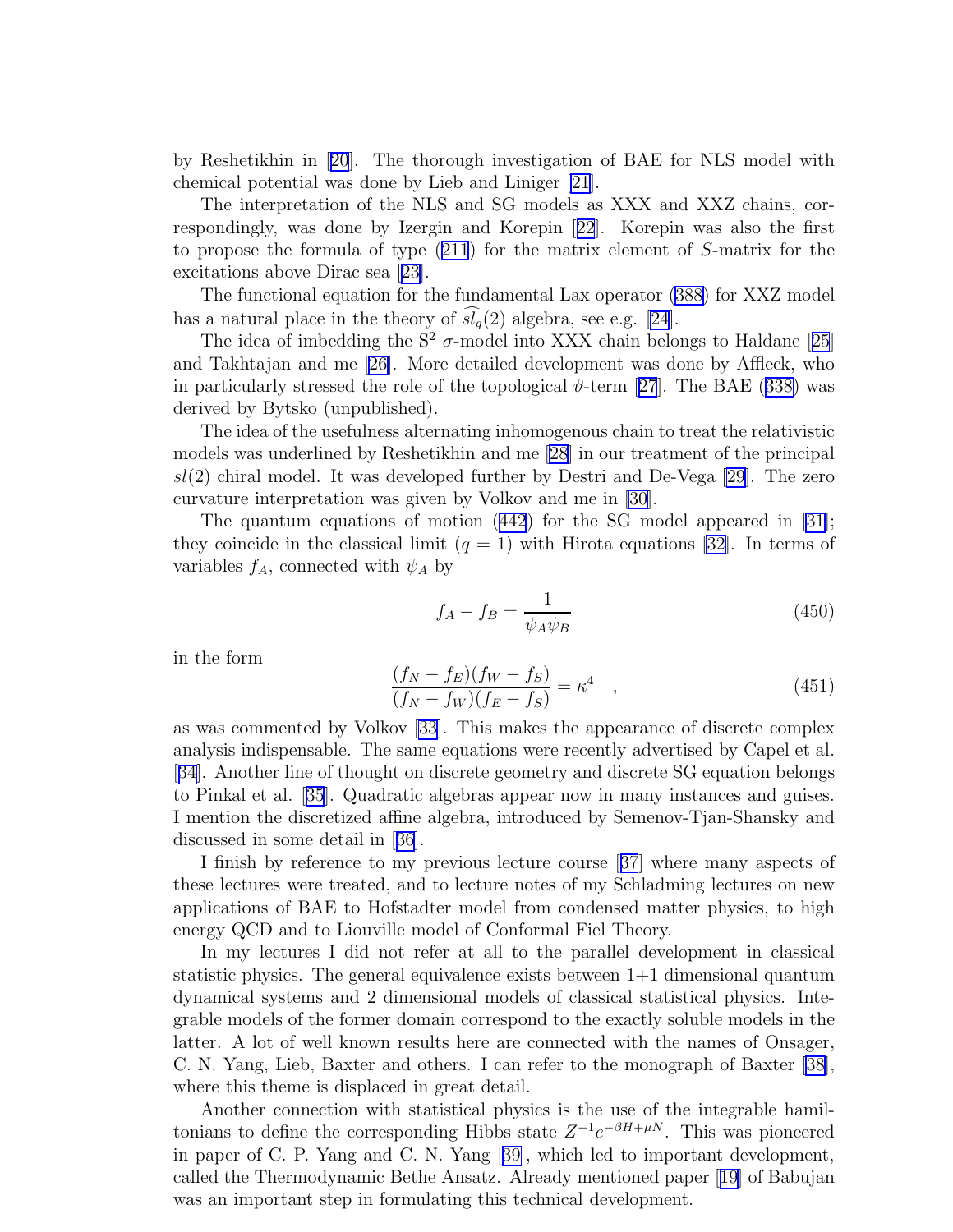by Reshetikhin in[[20](#page-57-0)]. The thorough investigation of BAE for NLS model with chemical potential was done by Lieb and Liniger [\[21](#page-58-0)].

The interpretation of the NLS and SG models as XXX and XXZ chains, correspondingly, was done by Izergin and Korepin[[22](#page-58-0)]. Korepin was also the first to propose the formula of type([211](#page-28-0)) for the matrix element of S-matrix for the excitations above Dirac sea [\[23\]](#page-58-0).

The functional equation for the fundamental Lax operator [\(388\)](#page-46-0) for XXZ model has a natural place in the theory of  $\widehat{sl}_q(2)$  algebra, see e.g. [\[24](#page-58-0)].

Theidea of imbedding the  $S^2$   $\sigma$ -model into XXX chain belongs to Haldane [[25](#page-58-0)] and Takhtajan and me [\[26\]](#page-58-0). More detailed development was done by Affleck, who inparticularly stressed the role of the topological  $\vartheta$ -term [[27](#page-58-0)]. The BAE ([338\)](#page-41-0) was derived by Bytsko (unpublished).

The idea of the usefulness alternating inhomogenous chain to treat the relativistic models was underlined by Reshetikhin and me [\[28](#page-58-0)] in our treatment of the principal  $sl(2)$  chiral model. It was developed further by Destri and De-Vega [\[29\]](#page-58-0). The zero curvature interpretation was given by Volkov and me in [\[30](#page-58-0)].

The quantum equations of motion([442](#page-53-0)) for the SG model appeared in [\[31](#page-58-0)]; they coincide in the classical limit  $(q = 1)$  with Hirota equations [\[32](#page-58-0)]. In terms of variables  $f_A$ , connected with  $\psi_A$  by

$$
f_A - f_B = \frac{1}{\psi_A \psi_B} \tag{450}
$$

in the form

$$
\frac{(f_N - f_E)(f_W - f_S)}{(f_N - f_W)(f_E - f_S)} = \kappa^4 \quad ,
$$
\n(451)

as was commented by Volkov [\[33](#page-58-0)]. This makes the appearance of discrete complex analysis indispensable. The same equations were recently advertised by Capel et al. [[34](#page-58-0)]. Another line of thought on discrete geometry and discrete SG equation belongs to Pinkal et al.[[35](#page-58-0)]. Quadratic algebras appear now in many instances and guises. I mention the discretized affine algebra, introduced by Semenov-Tjan-Shansky and discussed in some detail in[[36](#page-58-0)].

I finish by reference to my previous lecture course[[37](#page-58-0)] where many aspects of these lectures were treated, and to lecture notes of my Schladming lectures on new applications of BAE to Hofstadter model from condensed matter physics, to high energy QCD and to Liouville model of Conformal Fiel Theory.

In my lectures I did not refer at all to the parallel development in classical statistic physics. The general equivalence exists between 1+1 dimensional quantum dynamical systems and 2 dimensional models of classical statistical physics. Integrable models of the former domain correspond to the exactly soluble models in the latter. A lot of well known results here are connected with the names of Onsager, C. N. Yang, Lieb, Baxter and others. I can refer to the monograph of Baxter [\[38](#page-58-0)], where this theme is displaced in great detail.

Another connection with statistical physics is the use of the integrable hamiltonians to define the corresponding Hibbs state  $Z^{-1}e^{-\beta H + \mu N}$ . This was pioneered in paper of C. P. Yang and C. N. Yang[[39\]](#page-58-0), which led to important development, called the Thermodynamic Bethe Ansatz. Already mentioned paper[[19](#page-57-0)] of Babujan was an important step in formulating this technical development.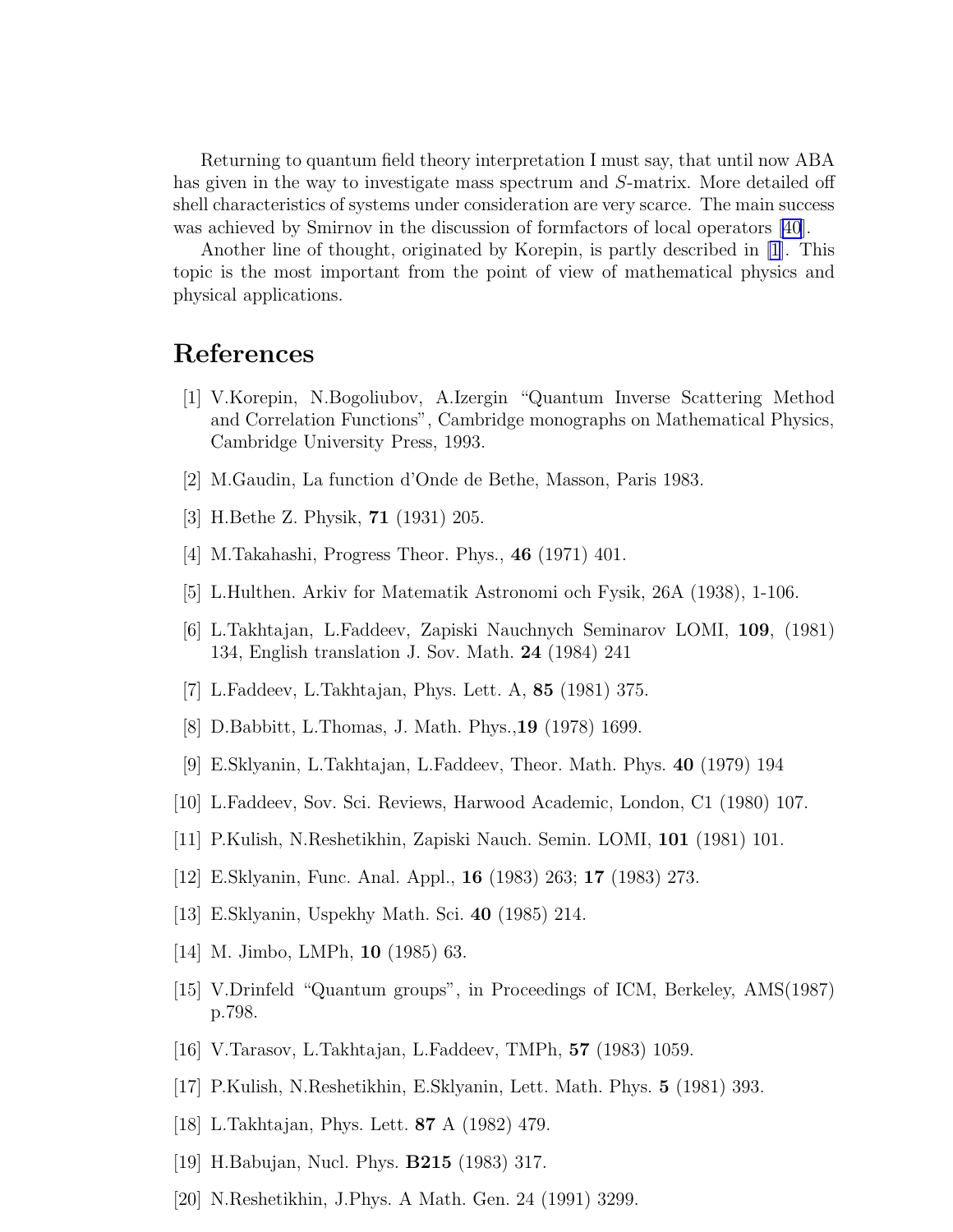<span id="page-57-0"></span>Returning to quantum field theory interpretation I must say, that until now ABA has given in the way to investigate mass spectrum and S-matrix. More detailed off shell characteristics of systems under consideration are very scarce. The main success was achieved by Smirnov in the discussion of formfactors of local operators [\[40\]](#page-58-0).

Another line of thought, originated by Korepin, is partly described in [1]. This topic is the most important from the point of view of mathematical physics and physical applications.

### References

- [1] V.Korepin, N.Bogoliubov, A.Izergin "Quantum Inverse Scattering Method and Correlation Functions", Cambridge monographs on Mathematical Physics, Cambridge University Press, 1993.
- [2] M.Gaudin, La function d'Onde de Bethe, Masson, Paris 1983.
- [3] H.Bethe Z. Physik, 71 (1931) 205.
- [4] M.Takahashi, Progress Theor. Phys., 46 (1971) 401.
- [5] L.Hulthen. Arkiv for Matematik Astronomi och Fysik, 26A (1938), 1-106.
- [6] L.Takhtajan, L.Faddeev, Zapiski Nauchnych Seminarov LOMI, 109, (1981) 134, English translation J. Sov. Math. 24 (1984) 241
- [7] L.Faddeev, L.Takhtajan, Phys. Lett. A, 85 (1981) 375.
- [8] D.Babbitt, L.Thomas, J. Math. Phys.,19 (1978) 1699.
- [9] E.Sklyanin, L.Takhtajan, L.Faddeev, Theor. Math. Phys. 40 (1979) 194
- [10] L.Faddeev, Sov. Sci. Reviews, Harwood Academic, London, C1 (1980) 107.
- [11] P.Kulish, N.Reshetikhin, Zapiski Nauch. Semin. LOMI, 101 (1981) 101.
- [12] E.Sklyanin, Func. Anal. Appl., 16 (1983) 263; 17 (1983) 273.
- [13] E.Sklyanin, Uspekhy Math. Sci. 40 (1985) 214.
- [14] M. Jimbo, LMPh, **10** (1985) 63.
- [15] V.Drinfeld "Quantum groups", in Proceedings of ICM, Berkeley, AMS(1987) p.798.
- [16] V.Tarasov, L.Takhtajan, L.Faddeev, TMPh, 57 (1983) 1059.
- [17] P.Kulish, N.Reshetikhin, E.Sklyanin, Lett. Math. Phys. 5 (1981) 393.
- [18] L.Takhtajan, Phys. Lett. 87 A (1982) 479.
- [19] H.Babujan, Nucl. Phys. B215 (1983) 317.
- [20] N.Reshetikhin, J.Phys. A Math. Gen. 24 (1991) 3299.